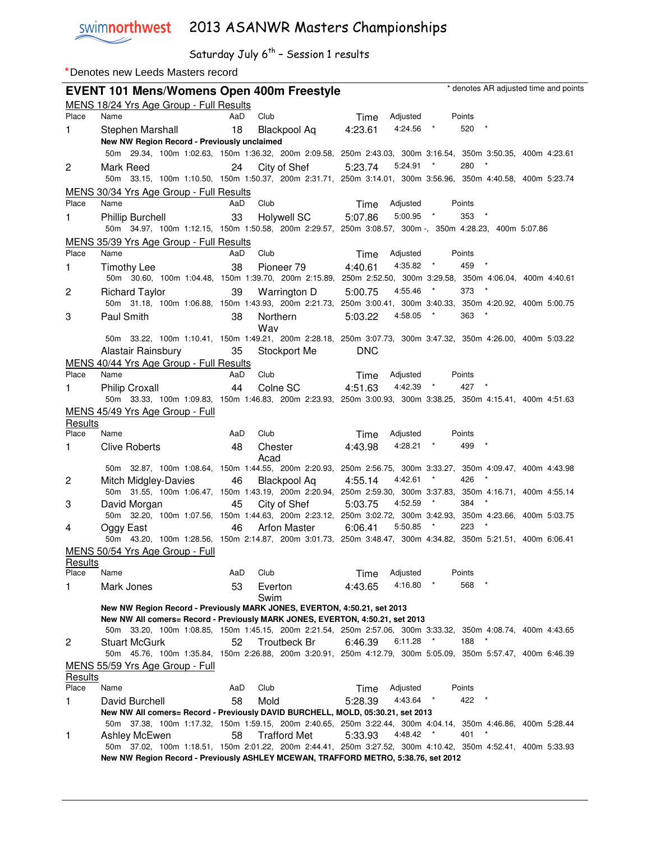swimnorthwest 2013 ASANWR Masters Championships

|         | Denotes new Leeds Masters record                 |                                                                                 |                                                                                                             |
|---------|--------------------------------------------------|---------------------------------------------------------------------------------|-------------------------------------------------------------------------------------------------------------|
|         | <b>EVENT 101 Mens/Womens Open 400m Freestyle</b> |                                                                                 | * denotes AR adjusted time and points                                                                       |
|         | MENS 18/24 Yrs Age Group - Full Results          |                                                                                 |                                                                                                             |
| Place   | Name                                             | Club<br>AaD                                                                     | Adjusted<br>Points<br>Time                                                                                  |
| 1       | Stephen Marshall                                 | 18<br>Blackpool Aq                                                              | 4:24.56<br>$\rightarrow$<br>520<br>4:23.61                                                                  |
|         | New NW Region Record - Previously unclaimed      |                                                                                 |                                                                                                             |
|         |                                                  |                                                                                 | 50m 29.34, 100m 1:02.63, 150m 1:36.32, 200m 2:09.58, 250m 2:43.03, 300m 3:16.54, 350m 3:50.35, 400m 4:23.61 |
| 2       | Mark Reed                                        | City of Shef<br>24                                                              | $\star$<br>280<br>5:23.74<br>5:24.91                                                                        |
|         |                                                  |                                                                                 | 50m 33.15, 100m 1:10.50, 150m 1:50.37, 200m 2:31.71, 250m 3:14.01, 300m 3:56.96, 350m 4:40.58, 400m 5:23.74 |
|         | MENS 30/34 Yrs Age Group - Full Results          |                                                                                 |                                                                                                             |
| Place   | Name                                             | Club<br>AaD                                                                     | Adjusted<br>Time<br>Points                                                                                  |
| 1       | <b>Phillip Burchell</b>                          | 33<br>Holywell SC                                                               | $\rightarrow$<br>5:00.95<br>353<br>5:07.86                                                                  |
|         |                                                  |                                                                                 | 50m 34.97, 100m 1:12.15, 150m 1:50.58, 200m 2:29.57, 250m 3:08.57, 300m -, 350m 4:28.23, 400m 5:07.86       |
|         | MENS 35/39 Yrs Age Group - Full Results          |                                                                                 |                                                                                                             |
| Place   | Name                                             | Club<br>AaD                                                                     | Adjusted<br>Points<br>Time                                                                                  |
| 1       | <b>Timothy Lee</b>                               | 38<br>Pioneer 79                                                                | $\rightarrow$<br>459<br>$^\star$<br>4:35.82<br>4:40.61                                                      |
|         |                                                  |                                                                                 | 50m 30.60, 100m 1:04.48, 150m 1:39.70, 200m 2:15.89, 250m 2:52.50, 300m 3:29.58, 350m 4:06.04, 400m 4:40.61 |
| 2       | <b>Richard Taylor</b>                            | 39<br>Warrington D                                                              | 4:55.46<br>$\star$<br>373<br>5:00.75                                                                        |
|         |                                                  |                                                                                 | 50m 31.18, 100m 1:06.88, 150m 1:43.93, 200m 2:21.73, 250m 3:00.41, 300m 3:40.33, 350m 4:20.92, 400m 5:00.75 |
| 3       | Paul Smith                                       | 38<br>Northern                                                                  | 363<br>4:58.05<br>$\rightarrow$<br>5:03.22                                                                  |
|         |                                                  | Wav                                                                             |                                                                                                             |
|         |                                                  |                                                                                 | 50m 33.22, 100m 1:10.41, 150m 1:49.21, 200m 2:28.18, 250m 3:07.73, 300m 3:47.32, 350m 4:26.00, 400m 5:03.22 |
|         | Alastair Rainsbury                               | 35<br>Stockport Me                                                              | <b>DNC</b>                                                                                                  |
|         | MENS 40/44 Yrs Age Group - Full Results          |                                                                                 |                                                                                                             |
| Place   | Name                                             | Club<br>AaD                                                                     | Adjusted<br>Points<br>Time                                                                                  |
| 1       | <b>Philip Croxall</b>                            | Colne SC<br>44                                                                  | $^\star$<br>4:42.39<br>427<br>4:51.63                                                                       |
|         |                                                  |                                                                                 | 50m 33.33, 100m 1:09.83, 150m 1:46.83, 200m 2:23.93, 250m 3:00.93, 300m 3:38.25, 350m 4:15.41, 400m 4:51.63 |
|         | MENS 45/49 Yrs Age Group - Full                  |                                                                                 |                                                                                                             |
| Results |                                                  |                                                                                 |                                                                                                             |
| Place   | Name                                             | AaD<br>Club                                                                     | Adjusted<br>Points<br>Time                                                                                  |
| 1       | Clive Roberts                                    | 48<br>Chester                                                                   | 4:28.21<br>499<br>4:43.98                                                                                   |
|         |                                                  | Acad                                                                            | 50m 32.87, 100m 1:08.64, 150m 1:44.55, 200m 2:20.93, 250m 2:56.75, 300m 3:33.27, 350m 4:09.47, 400m 4:43.98 |
| 2       | Mitch Midgley-Davies                             | 46<br><b>Blackpool Aq</b>                                                       | $^\star$<br>4:42.61<br>426<br>4:55.14                                                                       |
|         |                                                  |                                                                                 | 50m 31.55, 100m 1:06.47, 150m 1:43.19, 200m 2:20.94, 250m 2:59.30, 300m 3:37.83, 350m 4:16.71, 400m 4:55.14 |
| 3       | David Morgan                                     | 45<br>City of Shef                                                              | 4:52.59<br>$\star$<br>384<br>5:03.75                                                                        |
|         |                                                  |                                                                                 | 50m 32.20, 100m 1:07.56, 150m 1:44.63, 200m 2:23.12, 250m 3:02.72, 300m 3:42.93, 350m 4:23.66, 400m 5:03.75 |
| 4       | Oggy East                                        | 46<br><b>Arfon Master</b>                                                       | 223<br>5:50.85<br>$\star$<br>6:06.41                                                                        |
|         |                                                  |                                                                                 | 50m 43.20, 100m 1:28.56, 150m 2:14.87, 200m 3:01.73, 250m 3:48.47, 300m 4:34.82, 350m 5:21.51, 400m 6:06.41 |
|         | MENS 50/54 Yrs Age Group - Full                  |                                                                                 |                                                                                                             |
| Results |                                                  |                                                                                 |                                                                                                             |
| Place   | Name                                             | Club<br>AaD                                                                     | Adjusted<br>Points<br>Time                                                                                  |
| 1       | Mark Jones                                       | 53<br>Everton<br>Swim                                                           | 4:16.80<br>568<br>4:43.65                                                                                   |
|         |                                                  | New NW Region Record - Previously MARK JONES, EVERTON, 4:50.21, set 2013        |                                                                                                             |
|         |                                                  | New NW All comers= Record - Previously MARK JONES, EVERTON, 4:50.21, set 2013   |                                                                                                             |
|         |                                                  |                                                                                 | 50m 33.20, 100m 1:08.85, 150m 1:45.15, 200m 2:21.54, 250m 2:57.06, 300m 3:33.32, 350m 4:08.74, 400m 4:43.65 |
| 2       | <b>Stuart McGurk</b>                             | Troutbeck Br<br>52                                                              | 188<br>6:11.28<br>6:46.39                                                                                   |
|         |                                                  |                                                                                 | 50m 45.76, 100m 1:35.84, 150m 2:26.88, 200m 3:20.91, 250m 4:12.79, 300m 5:05.09, 350m 5:57.47, 400m 6:46.39 |
|         | MENS 55/59 Yrs Age Group - Full                  |                                                                                 |                                                                                                             |
| Results |                                                  |                                                                                 |                                                                                                             |
| Place   | Name                                             | Club<br>AaD                                                                     | Adjusted<br>Points<br>Time                                                                                  |
| 1       | David Burchell                                   | 58<br>Mold                                                                      | 4:43.64<br>422<br>5:28.39                                                                                   |
|         |                                                  | New NW All comers= Record - Previously DAVID BURCHELL, MOLD, 05:30.21, set 2013 | 50m 37.38, 100m 1:17.32, 150m 1:59.15, 200m 2:40.65, 250m 3:22.44, 300m 4:04.14, 350m 4:46.86, 400m 5:28.44 |
| 1       | Ashley McEwen                                    | 58<br><b>Trafford Met</b>                                                       | 4:48.42<br>401<br>5:33.93                                                                                   |
|         |                                                  |                                                                                 | 50m 37.02, 100m 1:18.51, 150m 2:01.22, 200m 2:44.41, 250m 3:27.52, 300m 4:10.42, 350m 4:52.41, 400m 5:33.93 |
|         |                                                  |                                                                                 | New NW Region Record - Previously ASHLEY MCEWAN, TRAFFORD METRO, 5:38.76, set 2012                          |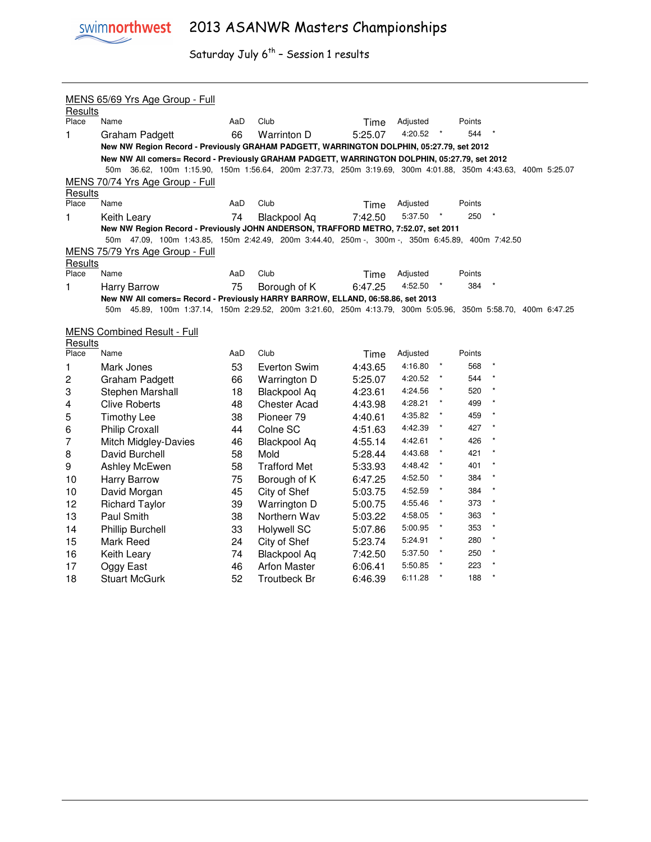

|                  | MENS 65/69 Yrs Age Group - Full                                                                             |     |                     |         |                     |              |               |         |                            |  |  |
|------------------|-------------------------------------------------------------------------------------------------------------|-----|---------------------|---------|---------------------|--------------|---------------|---------|----------------------------|--|--|
| Results<br>Place | Name                                                                                                        | AaD | Club                | Time    | Adjusted            |              | Points        |         |                            |  |  |
| $\mathbf{1}$     | Graham Padgett                                                                                              | 66  | Warrinton D         | 5:25.07 | 4:20.52             |              | 544           |         |                            |  |  |
|                  | New NW Region Record - Previously GRAHAM PADGETT, WARRINGTON DOLPHIN, 05:27.79, set 2012                    |     |                     |         |                     |              |               |         |                            |  |  |
|                  | New NW All comers= Record - Previously GRAHAM PADGETT, WARRINGTON DOLPHIN, 05:27.79, set 2012               |     |                     |         |                     |              |               |         |                            |  |  |
|                  | 50m 36.62, 100m 1:15.90, 150m 1:56.64, 200m 2:37.73, 250m 3:19.69, 300m 4:01.88, 350m 4:43.63, 400m 5:25.07 |     |                     |         |                     |              |               |         |                            |  |  |
|                  | MENS 70/74 Yrs Age Group - Full                                                                             |     |                     |         |                     |              |               |         |                            |  |  |
| Results<br>Place | Name                                                                                                        | AaD | Club                |         |                     |              |               |         |                            |  |  |
|                  |                                                                                                             |     |                     | Time    | Adjusted<br>5:37.50 |              | Points<br>250 |         |                            |  |  |
| 1                | Keith Learv<br>New NW Region Record - Previously JOHN ANDERSON, TRAFFORD METRO, 7:52.07, set 2011           | 74  | <b>Blackpool Aq</b> | 7:42.50 |                     |              |               |         |                            |  |  |
|                  | 50m 47.09, 100m 1:43.85, 150m 2:42.49, 200m 3:44.40, 250m -, 300m -, 350m 6:45.89, 400m 7:42.50             |     |                     |         |                     |              |               |         |                            |  |  |
|                  | MENS 75/79 Yrs Age Group - Full                                                                             |     |                     |         |                     |              |               |         |                            |  |  |
| Results          |                                                                                                             |     |                     |         |                     |              |               |         |                            |  |  |
| Place            | Name                                                                                                        | AaD | Club                | Time    | Adjusted            |              | Points        |         |                            |  |  |
| 1                | Harry Barrow                                                                                                | 75  | Borough of K        | 6:47.25 | 4:52.50             |              | 384           |         |                            |  |  |
|                  | New NW All comers= Record - Previously HARRY BARROW, ELLAND, 06:58.86, set 2013                             |     |                     |         |                     |              |               |         |                            |  |  |
|                  | 50m 45.89, 100m 1:37.14, 150m 2:29.52, 200m 3:21.60, 250m 4:13.79, 300m 5:05.96,                            |     |                     |         |                     |              |               |         | 350m 5:58.70, 400m 6:47.25 |  |  |
|                  | <b>MENS Combined Result - Full</b>                                                                          |     |                     |         |                     |              |               |         |                            |  |  |
| Results          |                                                                                                             |     |                     |         |                     |              |               |         |                            |  |  |
| Place            | Name                                                                                                        | AaD | Club                | Time    | Adjusted            |              | Points        |         |                            |  |  |
| 1                | Mark Jones                                                                                                  | 53  | Everton Swim        | 4:43.65 | 4:16.80             |              | 568           |         |                            |  |  |
| 2                | Graham Padgett                                                                                              | 66  | Warrington D        | 5:25.07 | 4:20.52             |              | 544           |         |                            |  |  |
| 3                | Stephen Marshall                                                                                            | 18  | <b>Blackpool Aq</b> | 4:23.61 | 4:24.56             |              | 520           |         |                            |  |  |
| 4                | <b>Clive Roberts</b>                                                                                        | 48  | <b>Chester Acad</b> | 4:43.98 | 4:28.21             |              | 499           |         |                            |  |  |
| 5                | <b>Timothy Lee</b>                                                                                          | 38  | Pioneer 79          | 4:40.61 | 4:35.82             |              | 459           |         |                            |  |  |
| 6                | Philip Croxall                                                                                              | 44  | Colne SC            | 4:51.63 | 4:42.39             | $\star$      | 427           |         |                            |  |  |
| 7                | <b>Mitch Midgley-Davies</b>                                                                                 | 46  | <b>Blackpool Aq</b> | 4:55.14 | 4:42.61             | $\star$      | 426           |         |                            |  |  |
| 8                | David Burchell                                                                                              | 58  | Mold                | 5:28.44 | 4:43.68             | $\pmb{\ast}$ | 421           | $\star$ |                            |  |  |
| 9                | Ashley McEwen                                                                                               | 58  | <b>Trafford Met</b> | 5:33.93 | 4:48.42             | $\star$      | 401           | $\star$ |                            |  |  |
| 10               | <b>Harry Barrow</b>                                                                                         | 75  | Borough of K        | 6:47.25 | 4:52.50             |              | 384           |         |                            |  |  |
| 10               | David Morgan                                                                                                | 45  | City of Shef        | 5:03.75 | 4:52.59             |              | 384           |         |                            |  |  |
| 12               | <b>Richard Taylor</b>                                                                                       | 39  | Warrington D        | 5:00.75 | 4:55.46             |              | 373           |         |                            |  |  |
| 13               | Paul Smith                                                                                                  | 38  | Northern Wav        | 5:03.22 | 4:58.05             | $\star$      | 363           |         |                            |  |  |
| 14               | <b>Phillip Burchell</b>                                                                                     | 33  | <b>Holywell SC</b>  | 5:07.86 | 5:00.95             | $\pmb{\ast}$ | 353           |         |                            |  |  |
| 15               | Mark Reed                                                                                                   | 24  | City of Shef        | 5:23.74 | 5:24.91             | $\star$      | 280           | $\star$ |                            |  |  |
| 16               | Keith Leary                                                                                                 | 74  | <b>Blackpool Aq</b> | 7:42.50 | 5:37.50             |              | 250           | $\star$ |                            |  |  |
| 17               | Oggy East                                                                                                   | 46  | <b>Arfon Master</b> | 6:06.41 | 5:50.85             |              | 223           |         |                            |  |  |
| 18               | <b>Stuart McGurk</b>                                                                                        | 52  | <b>Troutbeck Br</b> | 6:46.39 | 6:11.28             |              | 188           |         |                            |  |  |
|                  |                                                                                                             |     |                     |         |                     |              |               |         |                            |  |  |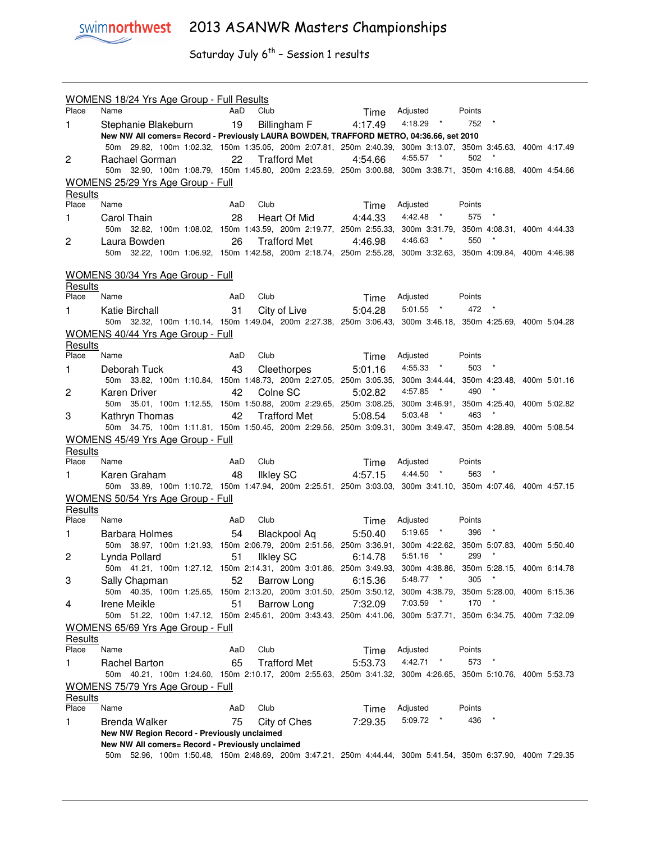swimnorthwest 2013 ASANWR Masters Championships

|                  | WOMENS 18/24 Yrs Age Group - Full Results                                                                                                                       |     |                     |         |                                          |               |            |  |
|------------------|-----------------------------------------------------------------------------------------------------------------------------------------------------------------|-----|---------------------|---------|------------------------------------------|---------------|------------|--|
| Place            | Name                                                                                                                                                            | AaD | Club                | Time    | Adjusted                                 | Points        |            |  |
| 1                | Stephanie Blakeburn<br>New NW All comers= Record - Previously LAURA BOWDEN, TRAFFORD METRO, 04:36.66, set 2010                                                  | 19  | Billingham F        | 4:17.49 | 4:18.29 *                                | 752           |            |  |
|                  | 50m 29.82, 100m 1:02.32, 150m 1:35.05, 200m 2:07.81, 250m 2:40.39, 300m 3:13.07, 350m 3:45.63, 400m 4:17.49                                                     |     |                     |         |                                          |               |            |  |
| 2                | Rachael Gorman                                                                                                                                                  | 22  | <b>Trafford Met</b> | 4:54.66 | 4:55.57<br>$\star$                       | 502           |            |  |
|                  | 50m 32.90, 100m 1:08.79, 150m 1:45.80, 200m 2:23.59, 250m 3:00.88, 300m 3:38.71, 350m 4:16.88, 400m 4:54.66                                                     |     |                     |         |                                          |               |            |  |
|                  | WOMENS 25/29 Yrs Age Group - Full                                                                                                                               |     |                     |         |                                          |               |            |  |
| Results          |                                                                                                                                                                 |     |                     |         |                                          |               |            |  |
| Place            | Name                                                                                                                                                            | AaD | Club                | Time    | Adjusted                                 | Points        |            |  |
| 1                | Carol Thain<br>50m 32.82, 100m 1:08.02, 150m 1:43.59, 200m 2:19.77, 250m 2:55.33, 300m 3:31.79, 350m 4:08.31, 400m 4:44.33                                      | 28  | Heart Of Mid        | 4:44.33 | 4:42.48 *                                | 575           |            |  |
| 2                | Laura Bowden                                                                                                                                                    | 26  | <b>Trafford Met</b> | 4:46.98 | 4:46.63<br>$\star$                       | 550           |            |  |
|                  | 50m 32.22, 100m 1:06.92, 150m 1:42.58, 200m 2:18.74, 250m 2:55.28, 300m 3:32.63, 350m 4:09.84, 400m 4:46.98                                                     |     |                     |         |                                          |               |            |  |
|                  |                                                                                                                                                                 |     |                     |         |                                          |               |            |  |
| Results          | <b>WOMENS 30/34 Yrs Age Group - Full</b>                                                                                                                        |     |                     |         |                                          |               |            |  |
| Place            | Name                                                                                                                                                            | AaD | Club                | Time    | Adjusted                                 | Points        |            |  |
| 1.               | Katie Birchall                                                                                                                                                  | 31  | City of Live        | 5:04.28 | $5:01.55$ *                              | 472           |            |  |
|                  | 50m 32.32, 100m 1:10.14, 150m 1:49.04, 200m 2:27.38, 250m 3:06.43, 300m 3:46.18, 350m 4:25.69, 400m 5:04.28                                                     |     |                     |         |                                          |               |            |  |
|                  | WOMENS 40/44 Yrs Age Group - Full                                                                                                                               |     |                     |         |                                          |               |            |  |
| Results<br>Place |                                                                                                                                                                 |     |                     |         |                                          |               |            |  |
|                  | Name                                                                                                                                                            | AaD | Club                | Time    | Adjusted<br>4:55.33 *                    | Points<br>503 | $\star$    |  |
| 1                | Deborah Tuck<br>50m 33.82, 100m 1:10.84, 150m 1:48.73, 200m 2:27.05, 250m 3:05.35,                                                                              | 43  | Cleethorpes         | 5:01.16 | 300m 3:44.44, 350m 4:23.48, 400m 5:01.16 |               |            |  |
| 2                | Karen Driver                                                                                                                                                    | 42  | Colne SC            | 5:02.82 | 4:57.85<br>$\star$                       | 490           |            |  |
|                  | 50m 35.01, 100m 1:12.55, 150m 1:50.88, 200m 2:29.65, 250m 3:08.25,                                                                                              |     |                     |         | 300m 3:46.91, 350m 4:25.40, 400m 5:02.82 |               |            |  |
| 3                | Kathryn Thomas                                                                                                                                                  | 42  | <b>Trafford Met</b> | 5:08.54 | 5:03.48<br>$\pmb{\ast}$                  | 463           | $\star$    |  |
|                  | 50m 34.75, 100m 1:11.81, 150m 1:50.45, 200m 2:29.56, 250m 3:09.31, 300m 3:49.47, 350m 4:28.89, 400m 5:08.54                                                     |     |                     |         |                                          |               |            |  |
|                  | <b>WOMENS 45/49 Yrs Age Group - Full</b>                                                                                                                        |     |                     |         |                                          |               |            |  |
| Results          |                                                                                                                                                                 | AaD |                     |         |                                          |               |            |  |
| Place            | Name                                                                                                                                                            |     | Club                | Time    | Adjusted<br>4:44.50<br>$\star$           | Points<br>563 |            |  |
| 1.               | Karen Graham<br>50m 33.89, 100m 1:10.72, 150m 1:47.94, 200m 2:25.51, 250m 3:03.03, 300m 3:41.10, 350m 4:07.46, 400m 4:57.15                                     | 48  | <b>Ilkley SC</b>    | 4:57.15 |                                          |               |            |  |
|                  | WOMENS 50/54 Yrs Age Group - Full                                                                                                                               |     |                     |         |                                          |               |            |  |
| Results          |                                                                                                                                                                 |     |                     |         |                                          |               |            |  |
| Place            | Name                                                                                                                                                            | AaD | Club                |         |                                          |               |            |  |
| 1                |                                                                                                                                                                 |     |                     | Time    | Adjusted                                 | Points        |            |  |
|                  | Barbara Holmes                                                                                                                                                  | 54  | <b>Blackpool Aq</b> | 5:50.40 | 5:19.65<br>$\star$                       | 396           | $^{\star}$ |  |
|                  | 50m 38.97, 100m 1:21.93, 150m 2:06.79, 200m 2:51.56, 250m 3:36.91, 300m 4:22.62, 350m 5:07.83, 400m 5:50.40                                                     |     |                     |         |                                          |               |            |  |
| 2                | Lynda Pollard                                                                                                                                                   | 51  | Ilkley SC           | 6:14.78 | $\star$<br>5:51.16                       | 299           | $\star$    |  |
|                  | 50m 41.21, 100m 1:27.12, 150m 2:14.31, 200m 3:01.86, 250m 3:49.93, 300m 4:38.86, 350m 5:28.15, 400m 6:14.78                                                     |     |                     |         |                                          |               |            |  |
| 3                | Sally Chapman                                                                                                                                                   | 52  | Barrow Long         | 6:15.36 | 5:48.77<br>$\star$                       | 305           |            |  |
|                  | 50m 40.35, 100m 1:25.65, 150m 2:13.20, 200m 3:01.50, 250m 3:50.12,                                                                                              |     |                     |         | 300m 4:38.79, 350m 5:28.00, 400m 6:15.36 |               |            |  |
| 4                | Irene Meikle                                                                                                                                                    | 51  | Barrow Long         | 7:32.09 | 7:03.59<br>$\overline{a}$                | 170           |            |  |
|                  | 50m 51.22, 100m 1:47.12, 150m 2:45.61, 200m 3:43.43, 250m 4:41.06, 300m 5:37.71, 350m 6:34.75, 400m 7:32.09                                                     |     |                     |         |                                          |               |            |  |
| Results          | <b>WOMENS 65/69 Yrs Age Group - Full</b>                                                                                                                        |     |                     |         |                                          |               |            |  |
| Place            | Name                                                                                                                                                            | AaD | Club                | Time    | Adjusted                                 | Points        |            |  |
| 1                | <b>Rachel Barton</b>                                                                                                                                            | 65  | <b>Trafford Met</b> | 5:53.73 | 4:42.71                                  | 573           |            |  |
|                  | 50m 40.21, 100m 1:24.60, 150m 2:10.17, 200m 2:55.63, 250m 3:41.32, 300m 4:26.65, 350m 5:10.76, 400m 5:53.73                                                     |     |                     |         |                                          |               |            |  |
|                  | <b>WOMENS 75/79 Yrs Age Group - Full</b>                                                                                                                        |     |                     |         |                                          |               |            |  |
| <b>Results</b>   | Name                                                                                                                                                            | AaD | Club                |         | Adjusted                                 | Points        |            |  |
| Place            |                                                                                                                                                                 |     |                     | Time    | 5:09.72                                  | 436           |            |  |
| 1                | Brenda Walker<br>New NW Region Record - Previously unclaimed                                                                                                    | 75  | City of Ches        | 7:29.35 |                                          |               |            |  |
|                  | New NW All comers= Record - Previously unclaimed<br>50m 52.96, 100m 1:50.48, 150m 2:48.69, 200m 3:47.21, 250m 4:44.44, 300m 5:41.54, 350m 6:37.90, 400m 7:29.35 |     |                     |         |                                          |               |            |  |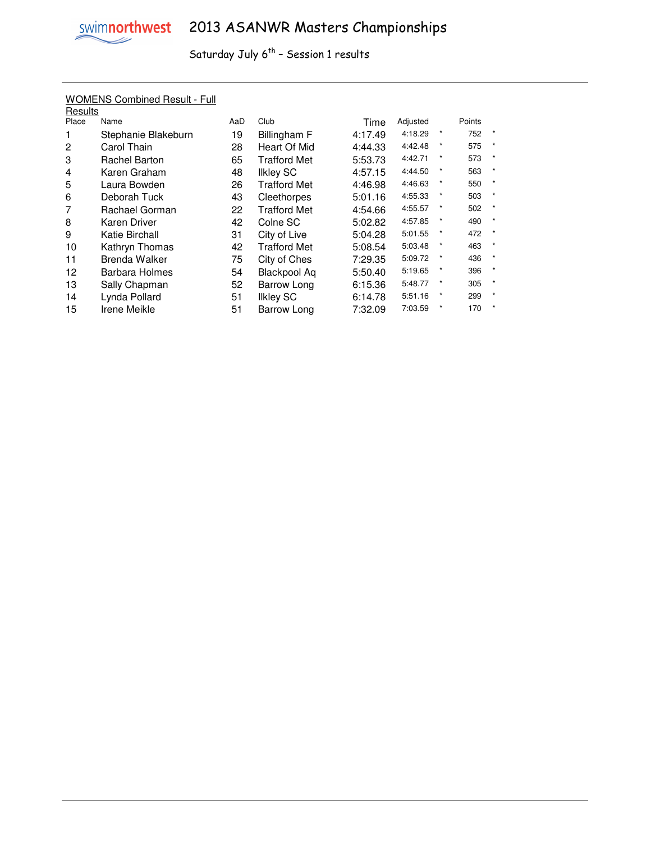|         | <u>WUMENS COMMIC RESULE FUIL</u> |     |                     |         |          |         |        |              |
|---------|----------------------------------|-----|---------------------|---------|----------|---------|--------|--------------|
| Results |                                  |     |                     |         |          |         |        |              |
| Place   | Name                             | AaD | Club                | Time    | Adjusted |         | Points |              |
|         | Stephanie Blakeburn              | 19  | Billingham F        | 4:17.49 | 4:18.29  | $\star$ | 752    | $\star$      |
| 2       | Carol Thain                      | 28  | Heart Of Mid        | 4:44.33 | 4:42.48  | $\star$ | 575    | $\star$      |
| 3       | <b>Rachel Barton</b>             | 65  | <b>Trafford Met</b> | 5:53.73 | 4:42.71  |         | 573    | $\star$      |
| 4       | Karen Graham                     | 48  | <b>Ilkley SC</b>    | 4:57.15 | 4:44.50  | $\star$ | 563    | $\star$      |
| 5       | Laura Bowden                     | 26  | <b>Trafford Met</b> | 4:46.98 | 4:46.63  | $\star$ | 550    | $\star$      |
| 6       | Deborah Tuck                     | 43  | Cleethorpes         | 5:01.16 | 4:55.33  | $\star$ | 503    | $\star$      |
| 7       | Rachael Gorman                   | 22  | <b>Trafford Met</b> | 4:54.66 | 4:55.57  | $\ast$  | 502    | $\star$      |
| 8       | Karen Driver                     | 42  | Colne SC            | 5:02.82 | 4:57.85  | $\ast$  | 490    | $\star$      |
| 9       | Katie Birchall                   | 31  | City of Live        | 5:04.28 | 5:01.55  | $\star$ | 472    | $\pmb{\ast}$ |
| 10      | Kathryn Thomas                   | 42  | <b>Trafford Met</b> | 5:08.54 | 5:03.48  | $\star$ | 463    | $\star$      |
| 11      | <b>Brenda Walker</b>             | 75  | City of Ches        | 7:29.35 | 5:09.72  | $\ast$  | 436    | $\star$      |
| 12      | <b>Barbara Holmes</b>            | 54  | <b>Blackpool Aq</b> | 5:50.40 | 5:19.65  | $\star$ | 396    | $\star$      |
| 13      | Sally Chapman                    | 52  | Barrow Long         | 6:15.36 | 5:48.77  |         | 305    | $\star$      |
| 14      | Lynda Pollard                    | 51  | <b>Ilkley SC</b>    | 6:14.78 | 5:51.16  | $\star$ | 299    | $\star$      |
| 15      | Irene Meikle                     | 51  | Barrow Long         | 7:32.09 | 7:03.59  |         | 170    | $\star$      |
|         |                                  |     |                     |         |          |         |        |              |

### WOMENS Combined Result - Full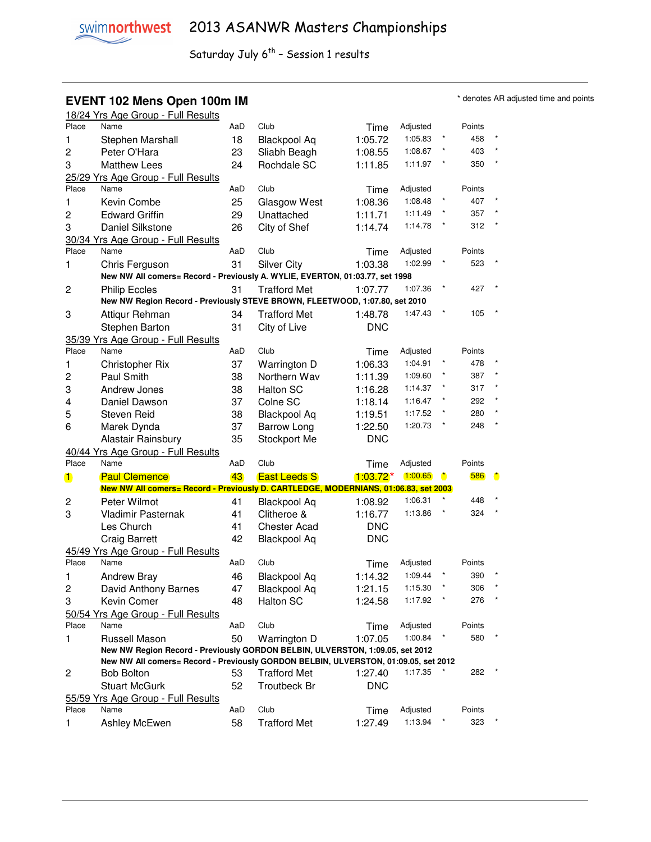#### **EVENT 102 Mens Open 100m IM IM EVENT 102 Mens Open 100m IM**

|                | 18/24 Yrs Age Group - Full Results                                                  |     |                     |             |          |                      |        |         |
|----------------|-------------------------------------------------------------------------------------|-----|---------------------|-------------|----------|----------------------|--------|---------|
| Place          | Name                                                                                | AaD | Club                | Time        | Adjusted |                      | Points |         |
| 1              | Stephen Marshall                                                                    | 18  | <b>Blackpool Aq</b> | 1:05.72     | 1:05.83  |                      | 458    |         |
| 2              | Peter O'Hara                                                                        | 23  | Sliabh Beagh        | 1:08.55     | 1:08.67  |                      | 403    | $\star$ |
| 3              | <b>Matthew Lees</b>                                                                 | 24  | Rochdale SC         | 1:11.85     | 1:11.97  |                      | 350    | $\star$ |
|                | 25/29 Yrs Age Group - Full Results                                                  |     |                     |             |          |                      |        |         |
| Place          | Name                                                                                | AaD | Club                | Time        | Adjusted |                      | Points |         |
| 1              | Kevin Combe                                                                         | 25  |                     | 1:08.36     | 1:08.48  |                      | 407    |         |
|                |                                                                                     |     | Glasgow West        |             | 1:11.49  |                      | 357    |         |
| $\overline{c}$ | <b>Edward Griffin</b>                                                               | 29  | Unattached          | 1:11.71     |          |                      |        |         |
| 3              | Daniel Silkstone                                                                    | 26  | City of Shef        | 1:14.74     | 1:14.78  |                      | 312    |         |
|                | 30/34 Yrs Age Group - Full Results                                                  |     |                     |             |          |                      |        |         |
| Place          | Name                                                                                | AaD | Club                | Time        | Adjusted |                      | Points |         |
| 1              | Chris Ferguson                                                                      | 31  | <b>Silver City</b>  | 1:03.38     | 1:02.99  |                      | 523    |         |
|                | New NW All comers= Record - Previously A. WYLIE, EVERTON, 01:03.77, set 1998        |     |                     |             |          |                      |        |         |
| 2              | <b>Philip Eccles</b>                                                                | 31  | <b>Trafford Met</b> | 1:07.77     | 1:07.36  |                      | 427    |         |
|                | New NW Region Record - Previously STEVE BROWN, FLEETWOOD, 1:07.80, set 2010         |     |                     |             |          |                      |        |         |
| 3              | Attiqur Rehman                                                                      | 34  | <b>Trafford Met</b> | 1:48.78     | 1:47.43  |                      | 105    |         |
|                | Stephen Barton                                                                      | 31  | City of Live        | <b>DNC</b>  |          |                      |        |         |
|                | 35/39 Yrs Age Group - Full Results                                                  |     |                     |             |          |                      |        |         |
| Place          | Name                                                                                | AaD | Club                | Time        | Adjusted |                      | Points |         |
| 1              | <b>Christopher Rix</b>                                                              | 37  | Warrington D        | 1:06.33     | 1:04.91  |                      | 478    |         |
| $\overline{c}$ | Paul Smith                                                                          | 38  | Northern Wav        | 1:11.39     | 1:09.60  |                      | 387    |         |
| 3              | Andrew Jones                                                                        | 38  | <b>Halton SC</b>    | 1:16.28     | 1:14.37  |                      | 317    |         |
| 4              | Daniel Dawson                                                                       | 37  | Colne SC            | 1:18.14     | 1:16.47  |                      | 292    | $\star$ |
|                |                                                                                     |     |                     |             | 1:17.52  |                      | 280    | $\star$ |
| 5              | <b>Steven Reid</b>                                                                  | 38  | <b>Blackpool Aq</b> | 1:19.51     |          |                      |        | $\star$ |
| 6              | Marek Dynda                                                                         | 37  | <b>Barrow Long</b>  | 1:22.50     | 1:20.73  |                      | 248    |         |
|                | Alastair Rainsbury                                                                  | 35  | Stockport Me        | <b>DNC</b>  |          |                      |        |         |
|                | 40/44 Yrs Age Group - Full Results                                                  |     |                     |             |          |                      |        |         |
| Place          | Name                                                                                | AaD | Club                | Time        | Adjusted |                      | Points |         |
| $\blacksquare$ | <b>Paul Clemence</b>                                                                | 43  | <b>East Leeds S</b> | $1:03.72^*$ | 1:00.65  | $\ddot{\phantom{a}}$ | 586    | O       |
|                | New NW All comers= Record - Previously D. CARTLEDGE, MODERNIANS, 01:06.83, set 2003 |     |                     |             |          |                      |        |         |
| 2              | Peter Wilmot                                                                        | 41  | <b>Blackpool Aq</b> | 1:08.92     | 1:06.31  |                      | 448    |         |
| 3              | Vladimir Pasternak                                                                  | 41  | Clitheroe &         | 1:16.77     | 1:13.86  |                      | 324    |         |
|                | Les Church                                                                          | 41  | <b>Chester Acad</b> | <b>DNC</b>  |          |                      |        |         |
|                | <b>Craig Barrett</b>                                                                | 42  | <b>Blackpool Aq</b> | <b>DNC</b>  |          |                      |        |         |
|                | 45/49 Yrs Age Group - Full Results                                                  |     |                     |             |          |                      |        |         |
| Place          | Name                                                                                | AaD | Club                | Time        | Adjusted |                      | Points |         |
| 1              | <b>Andrew Bray</b>                                                                  | 46  | <b>Blackpool Aq</b> | 1:14.32     | 1:09.44  |                      | 390    |         |
| 2              | David Anthony Barnes                                                                | 47  | <b>Blackpool Aq</b> | 1:21.15     | 1:15.30  |                      | 306    |         |
| 3              | Kevin Comer                                                                         | 48  | Halton SC           | 1:24.58     | 1:17.92  | $\star$              | 276    |         |
|                | 50/54 Yrs Age Group - Full Results                                                  |     |                     |             |          |                      |        |         |
| Place          | Name                                                                                | AaD | Club                | Time        | Adjusted |                      | Points |         |
| 1              | Russell Mason                                                                       | 50  | Warrington D        | 1:07.05     | 1:00.84  |                      | 580    |         |
|                | New NW Region Record - Previously GORDON BELBIN, ULVERSTON, 1:09.05, set 2012       |     |                     |             |          |                      |        |         |
|                | New NW All comers= Record - Previously GORDON BELBIN, ULVERSTON, 01:09.05, set 2012 |     |                     |             |          |                      |        |         |
| 2              | <b>Bob Bolton</b>                                                                   | 53  | <b>Trafford Met</b> | 1:27.40     | 1:17.35  |                      | 282    |         |
|                | <b>Stuart McGurk</b>                                                                | 52  | Troutbeck Br        | <b>DNC</b>  |          |                      |        |         |
|                |                                                                                     |     |                     |             |          |                      |        |         |
|                | 55/59 Yrs Age Group - Full Results                                                  |     |                     |             |          |                      |        |         |
| Place          | Name                                                                                | AaD | Club                | Time        | Adjusted |                      | Points |         |
| 1              | Ashley McEwen                                                                       | 58  | <b>Trafford Met</b> | 1:27.49     | 1:13.94  |                      | 323    |         |
|                |                                                                                     |     |                     |             |          |                      |        |         |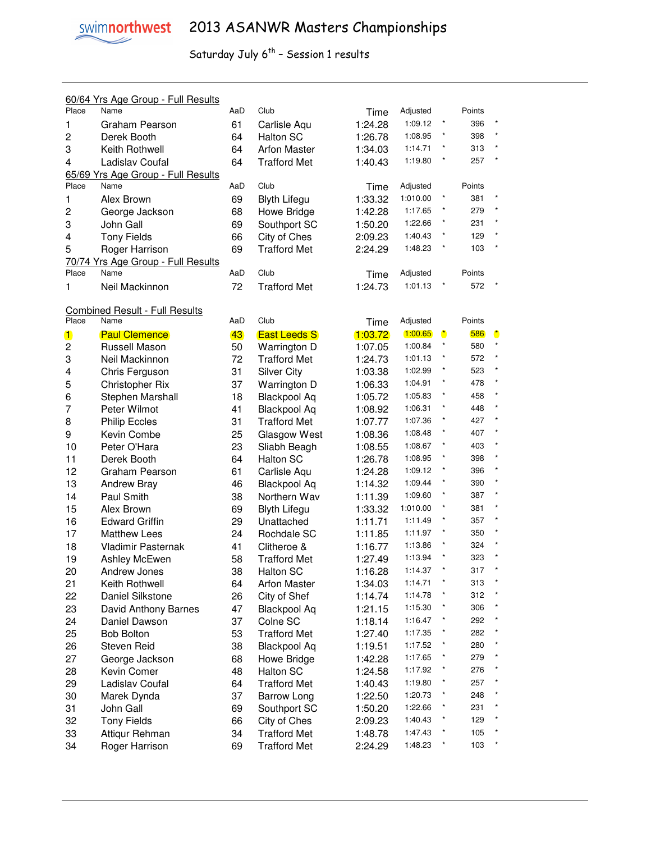|                | 60/64 Yrs Age Group - Full Results    |     |                     |         |                    |                      |        |              |
|----------------|---------------------------------------|-----|---------------------|---------|--------------------|----------------------|--------|--------------|
| Place          | Name                                  | AaD | Club                | Time    | Adjusted           |                      | Points |              |
| 1              | Graham Pearson                        | 61  | Carlisle Aqu        | 1:24.28 | 1:09.12            | $\star$              | 396    | $\pmb{\ast}$ |
| $\overline{c}$ | Derek Booth                           | 64  | Halton SC           | 1:26.78 | 1:08.95            |                      | 398    | $\star$      |
| 3              | Keith Rothwell                        | 64  | <b>Arfon Master</b> | 1:34.03 | 1:14.71            |                      | 313    | $\star$      |
| 4              | Ladislav Coufal                       | 64  | <b>Trafford Met</b> | 1:40.43 | 1:19.80            |                      | 257    | $\star$      |
|                | 65/69 Yrs Age Group - Full Results    |     |                     |         |                    |                      |        |              |
| Place          | Name                                  | AaD | Club                | Time    | Adjusted           |                      | Points |              |
| 1              | Alex Brown                            | 69  | <b>Blyth Lifegu</b> | 1:33.32 | 1:010.00           |                      | 381    |              |
| 2              | George Jackson                        | 68  | Howe Bridge         | 1:42.28 | 1:17.65            |                      | 279    | $\star$      |
| 3              | John Gall                             | 69  | Southport SC        | 1:50.20 | 1:22.66            |                      | 231    | $\star$      |
| 4              | <b>Tony Fields</b>                    | 66  | City of Ches        | 2:09.23 | 1:40.43            |                      | 129    | $\star$      |
| 5              | Roger Harrison                        | 69  | <b>Trafford Met</b> | 2:24.29 | 1:48.23            |                      | 103    | $\star$      |
|                | 70/74 Yrs Age Group - Full Results    |     |                     |         |                    |                      |        |              |
| Place          | Name                                  | AaD | Club                | Time    | Adjusted           |                      | Points |              |
| 1              | Neil Mackinnon                        | 72  | <b>Trafford Met</b> | 1:24.73 | 1:01.13            |                      | 572    |              |
|                |                                       |     |                     |         |                    |                      |        |              |
|                | <b>Combined Result - Full Results</b> |     |                     |         |                    |                      |        |              |
| Place          | Name                                  | AaD | Club                | Time    | Adjusted           |                      | Points |              |
| $\mathbf 1$    | <b>Paul Clemence</b>                  | 43  | <b>East Leeds S</b> | 1:03.72 | 1:00.65            | $\ddot{\phantom{a}}$ | 586    | $\bullet$    |
| $\overline{c}$ | Russell Mason                         | 50  | Warrington D        | 1:07.05 | 1:00.84            | $\star$              | 580    | $\star$      |
| 3              | Neil Mackinnon                        | 72  | <b>Trafford Met</b> | 1:24.73 | 1:01.13            |                      | 572    | $\star$      |
| 4              | Chris Ferguson                        | 31  | <b>Silver City</b>  | 1:03.38 | 1:02.99            |                      | 523    | $\star$      |
| 5              | <b>Christopher Rix</b>                | 37  | Warrington D        | 1:06.33 | 1:04.91            |                      | 478    | $\star$      |
| 6              | Stephen Marshall                      | 18  | <b>Blackpool Aq</b> | 1:05.72 | 1:05.83            |                      | 458    | $\star$      |
| $\overline{7}$ | Peter Wilmot                          | 41  | <b>Blackpool Aq</b> | 1:08.92 | 1:06.31            |                      | 448    | $\star$      |
| 8              | <b>Philip Eccles</b>                  | 31  | <b>Trafford Met</b> | 1:07.77 | 1:07.36            |                      | 427    | $\star$      |
| 9              | Kevin Combe                           | 25  | Glasgow West        | 1:08.36 | 1:08.48            |                      | 407    | $\pmb{\ast}$ |
| 10             | Peter O'Hara                          | 23  | Sliabh Beagh        | 1:08.55 | 1:08.67            |                      | 403    | $\star$      |
| 11             | Derek Booth                           | 64  | <b>Halton SC</b>    | 1:26.78 | 1:08.95            |                      | 398    | $\star$      |
| 12             | Graham Pearson                        | 61  | Carlisle Aqu        | 1:24.28 | 1:09.12            |                      | 396    | $\star$      |
| 13             | <b>Andrew Bray</b>                    | 46  | <b>Blackpool Aq</b> | 1:14.32 | 1:09.44            |                      | 390    | $\star$      |
| 14             | Paul Smith                            | 38  | Northern Wav        | 1:11.39 | 1:09.60            |                      | 387    | $\star$      |
| 15             | Alex Brown                            | 69  | <b>Blyth Lifegu</b> | 1:33.32 | 1:010.00           |                      | 381    | $\star$      |
| 16             | <b>Edward Griffin</b>                 | 29  | Unattached          | 1:11.71 | 1:11.49            |                      | 357    | $\star$      |
| 17             | <b>Matthew Lees</b>                   | 24  | Rochdale SC         | 1:11.85 | 1:11.97            | $\star$              | 350    | $\star$      |
| 18             | Vladimir Pasternak                    | 41  | Clitheroe &         | 1:16.77 | 1:13.86            |                      | 324    | $\star$      |
| 19             | Ashley McEwen                         | 58  | <b>Trafford Met</b> | 1:27.49 | 1:13.94            | $\pmb{\ast}$         | 323    | $\star$      |
| 20             | Andrew Jones                          | 38  | Halton SC           | 1:16.28 | 1:14.37            | $\star$              | 317    | $\star$      |
| 21             | Keith Rothwell                        | 64  | <b>Arfon Master</b> | 1:34.03 | 1:14.71            | $\star$              | 313    |              |
| 22             | Daniel Silkstone                      | 26  | City of Shef        | 1:14.74 | 1:14.78            |                      | 312    |              |
| 23             | David Anthony Barnes                  | 47  | <b>Blackpool Aq</b> | 1:21.15 | 1:15.30            |                      | 306    |              |
| 24             | Daniel Dawson                         | 37  | Colne SC            |         | 1:16.47            |                      | 292    |              |
|                |                                       | 53  | <b>Trafford Met</b> | 1:18.14 | 1:17.35            |                      | 282    |              |
| 25             | <b>Bob Bolton</b>                     |     |                     | 1:27.40 |                    |                      | 280    |              |
| 26             | <b>Steven Reid</b>                    | 38  | <b>Blackpool Aq</b> | 1:19.51 | 1:17.52<br>1:17.65 |                      | 279    |              |
| 27             | George Jackson                        | 68  | Howe Bridge         | 1:42.28 | 1:17.92            |                      | 276    |              |
| 28             | Kevin Comer                           | 48  | Halton SC           | 1:24.58 |                    |                      |        |              |
| 29             | Ladislav Coufal                       | 64  | <b>Trafford Met</b> | 1:40.43 | 1:19.80            |                      | 257    |              |
| 30             | Marek Dynda                           | 37  | <b>Barrow Long</b>  | 1:22.50 | 1:20.73            |                      | 248    |              |
| 31             | John Gall                             | 69  | Southport SC        | 1:50.20 | 1:22.66            |                      | 231    |              |
| 32             | <b>Tony Fields</b>                    | 66  | City of Ches        | 2:09.23 | 1:40.43            |                      | 129    |              |
| 33             | Attiqur Rehman                        | 34  | <b>Trafford Met</b> | 1:48.78 | 1:47.43            |                      | 105    |              |
| 34             | Roger Harrison                        | 69  | <b>Trafford Met</b> | 2:24.29 | 1:48.23            |                      | 103    |              |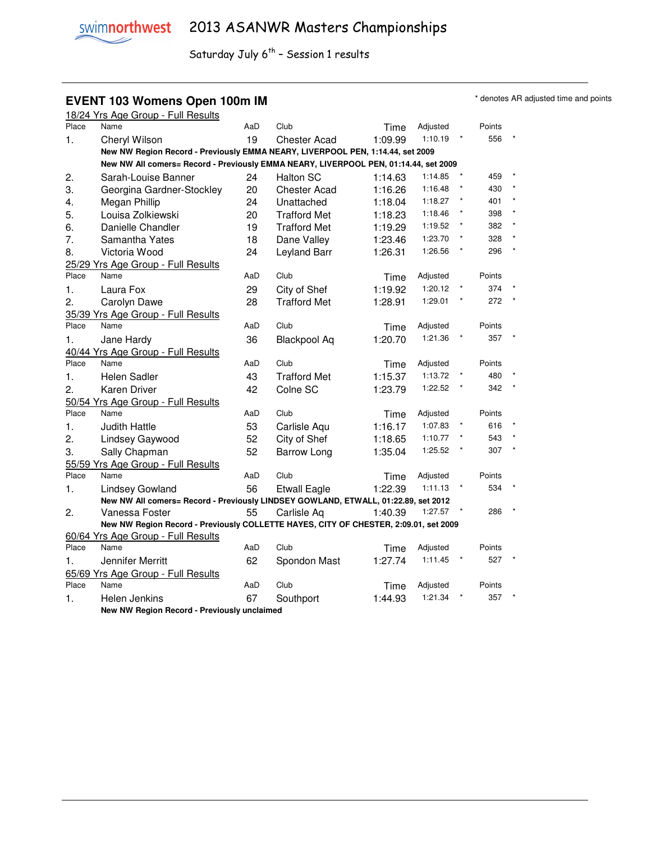### **EVENT 103 Womens Open 100m IM EVENT 103 Womens Open 100m IM**

|       | 18/24 Yrs Age Group - Full Results                                                   |     |                     |         |          |         |        |  |
|-------|--------------------------------------------------------------------------------------|-----|---------------------|---------|----------|---------|--------|--|
| Place | Name                                                                                 | AaD | Club                | Time    | Adjusted |         | Points |  |
| 1.    | Cheryl Wilson                                                                        | 19  | <b>Chester Acad</b> | 1:09.99 | 1:10.19  |         | 556    |  |
|       | New NW Region Record - Previously EMMA NEARY, LIVERPOOL PEN, 1:14.44, set 2009       |     |                     |         |          |         |        |  |
|       | New NW All comers= Record - Previously EMMA NEARY, LIVERPOOL PEN, 01:14.44, set 2009 |     |                     |         |          |         |        |  |
| 2.    | Sarah-Louise Banner                                                                  | 24  | <b>Halton SC</b>    | 1:14.63 | 1:14.85  |         | 459    |  |
| 3.    | Georgina Gardner-Stockley                                                            | 20  | <b>Chester Acad</b> | 1:16.26 | 1:16.48  |         | 430    |  |
| 4.    | Megan Phillip                                                                        | 24  | Unattached          | 1:18.04 | 1:18.27  | $\star$ | 401    |  |
| 5.    | Louisa Zolkiewski                                                                    | 20  | <b>Trafford Met</b> | 1:18.23 | 1:18.46  | $\star$ | 398    |  |
| 6.    | Danielle Chandler                                                                    | 19  | <b>Trafford Met</b> | 1:19.29 | 1:19.52  |         | 382    |  |
| 7.    | Samantha Yates                                                                       | 18  | Dane Valley         | 1:23.46 | 1:23.70  |         | 328    |  |
| 8.    | Victoria Wood                                                                        | 24  | Leyland Barr        | 1:26.31 | 1:26.56  |         | 296    |  |
|       | 25/29 Yrs Age Group - Full Results                                                   |     |                     |         |          |         |        |  |
| Place | Name                                                                                 | AaD | Club                | Time    | Adjusted |         | Points |  |
| 1.    | Laura Fox                                                                            | 29  | City of Shef        | 1:19.92 | 1:20.12  |         | 374    |  |
| 2.    | Carolyn Dawe                                                                         | 28  | <b>Trafford Met</b> | 1:28.91 | 1:29.01  |         | 272    |  |
|       | 35/39 Yrs Age Group - Full Results                                                   |     |                     |         |          |         |        |  |
| Place | Name                                                                                 | AaD | Club                | Time    | Adjusted |         | Points |  |
| 1.    | Jane Hardy                                                                           | 36  | <b>Blackpool Aq</b> | 1:20.70 | 1:21.36  |         | 357    |  |
|       | 40/44 Yrs Age Group - Full Results                                                   |     |                     |         |          |         |        |  |
| Place | Name                                                                                 | AaD | Club                | Time    | Adjusted |         | Points |  |
| 1.    | Helen Sadler                                                                         | 43  | <b>Trafford Met</b> | 1:15.37 | 1:13.72  |         | 480    |  |
| 2.    | Karen Driver                                                                         | 42  | Colne SC            | 1:23.79 | 1:22.52  |         | 342    |  |
|       | 50/54 Yrs Age Group - Full Results                                                   |     |                     |         |          |         |        |  |
| Place | Name                                                                                 | AaD | Club                | Time    | Adjusted |         | Points |  |
| 1.    | <b>Judith Hattle</b>                                                                 | 53  | Carlisle Aqu        | 1:16.17 | 1:07.83  |         | 616    |  |
| 2.    | Lindsey Gaywood                                                                      | 52  | City of Shef        | 1:18.65 | 1:10.77  |         | 543    |  |
| 3.    | Sally Chapman                                                                        | 52  | <b>Barrow Long</b>  | 1:35.04 | 1:25.52  |         | 307    |  |
|       | 55/59 Yrs Age Group - Full Results                                                   |     |                     |         |          |         |        |  |
| Place | Name                                                                                 | AaD | Club                | Time    | Adjusted |         | Points |  |
| 1.    | Lindsey Gowland                                                                      | 56  | <b>Etwall Eagle</b> | 1:22.39 | 1:11.13  |         | 534    |  |
|       | New NW All comers= Record - Previously LINDSEY GOWLAND, ETWALL, 01:22.89, set 2012   |     |                     |         |          |         |        |  |
| 2.    | Vanessa Foster                                                                       | 55  | Carlisle Aq         | 1:40.39 | 1:27.57  |         | 286    |  |
|       | New NW Region Record - Previously COLLETTE HAYES, CITY OF CHESTER, 2:09.01, set 2009 |     |                     |         |          |         |        |  |
|       | 60/64 Yrs Age Group - Full Results                                                   |     |                     |         |          |         |        |  |
| Place | Name                                                                                 | AaD | Club                | Time    | Adjusted |         | Points |  |
| 1.    | Jennifer Merritt                                                                     | 62  | Spondon Mast        | 1:27.74 | 1:11.45  |         | 527    |  |
|       | 65/69 Yrs Age Group - Full Results                                                   |     |                     |         |          |         |        |  |
| Place | Name                                                                                 | AaD | Club                | Time    | Adjusted |         | Points |  |
| 1.    | Helen Jenkins                                                                        | 67  | Southport           | 1:44.93 | 1:21.34  |         | 357    |  |
|       | New NW Region Record - Previously unclaimed                                          |     |                     |         |          |         |        |  |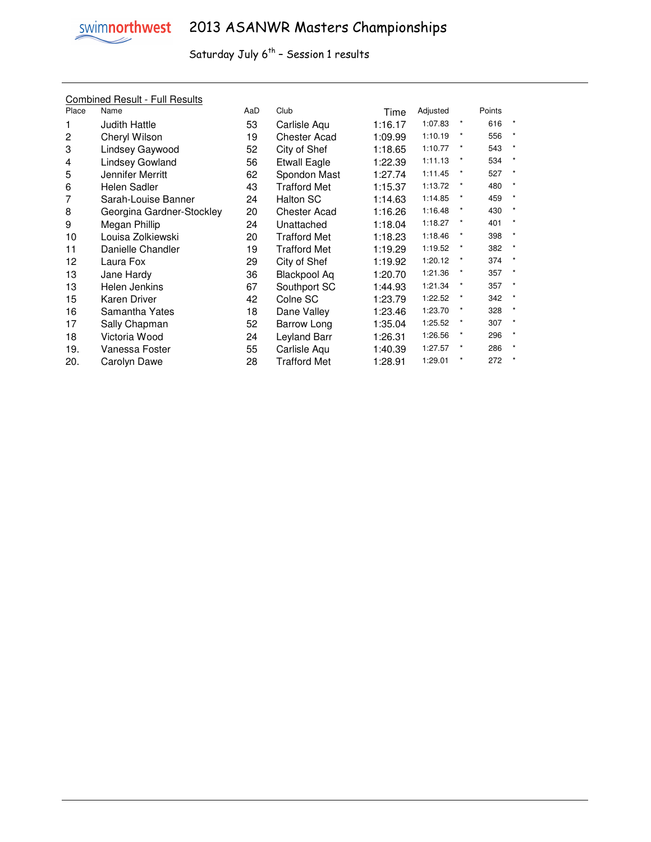

#### Combined Result - Full Results

| Place          | Name                      | AaD | Club                | Time    | Adjusted |            | Points |         |
|----------------|---------------------------|-----|---------------------|---------|----------|------------|--------|---------|
|                | <b>Judith Hattle</b>      | 53  | Carlisle Aqu        | 1:16.17 | 1:07.83  | $\star$    | 616    |         |
| $\overline{c}$ | Cheryl Wilson             | 19  | <b>Chester Acad</b> | 1:09.99 | 1:10.19  | $^{\star}$ | 556    | $\star$ |
| 3              | Lindsey Gaywood           | 52  | City of Shef        | 1:18.65 | 1:10.77  | $\ast$     | 543    | $\star$ |
| 4              | <b>Lindsey Gowland</b>    | 56  | <b>Etwall Eagle</b> | 1:22.39 | 1:11.13  |            | 534    | $\star$ |
| 5              | Jennifer Merritt          | 62  | Spondon Mast        | 1:27.74 | 1:11.45  |            | 527    |         |
| 6              | Helen Sadler              | 43  | <b>Trafford Met</b> | 1:15.37 | 1:13.72  | $\star$    | 480    | $\star$ |
|                | Sarah-Louise Banner       | 24  | Halton SC           | 1:14.63 | 1:14.85  | $\star$    | 459    | $\star$ |
| 8              | Georgina Gardner-Stockley | 20  | <b>Chester Acad</b> | 1:16.26 | 1:16.48  | $\star$    | 430    | $\star$ |
| 9              | Megan Phillip             | 24  | Unattached          | 1:18.04 | 1:18.27  | *          | 401    |         |
| 10             | Louisa Zolkiewski         | 20  | <b>Trafford Met</b> | 1:18.23 | 1:18.46  | *          | 398    | $\star$ |
| 11             | Danielle Chandler         | 19  | <b>Trafford Met</b> | 1:19.29 | 1:19.52  | $\star$    | 382    | $\star$ |
| 12             | Laura Fox                 | 29  | City of Shef        | 1:19.92 | 1:20.12  |            | 374    | $\star$ |
| 13             | Jane Hardy                | 36  | <b>Blackpool Aq</b> | 1:20.70 | 1:21.36  |            | 357    |         |
| 13             | Helen Jenkins             | 67  | Southport SC        | 1:44.93 | 1:21.34  | *          | 357    |         |
| 15             | Karen Driver              | 42  | Colne SC            | 1:23.79 | 1:22.52  | $\star$    | 342    | $\star$ |
| 16             | Samantha Yates            | 18  | Dane Valley         | 1:23.46 | 1:23.70  | *          | 328    | $\star$ |
| 17             | Sally Chapman             | 52  | Barrow Long         | 1:35.04 | 1:25.52  | $\star$    | 307    | $\star$ |
| 18             | Victoria Wood             | 24  | Leyland Barr        | 1:26.31 | 1:26.56  |            | 296    |         |
| 19.            | Vanessa Foster            | 55  | Carlisle Aqu        | 1:40.39 | 1:27.57  | $\star$    | 286    |         |
| 20.            | Carolyn Dawe              | 28  | <b>Trafford Met</b> | 1:28.91 | 1:29.01  | $\star$    | 272    |         |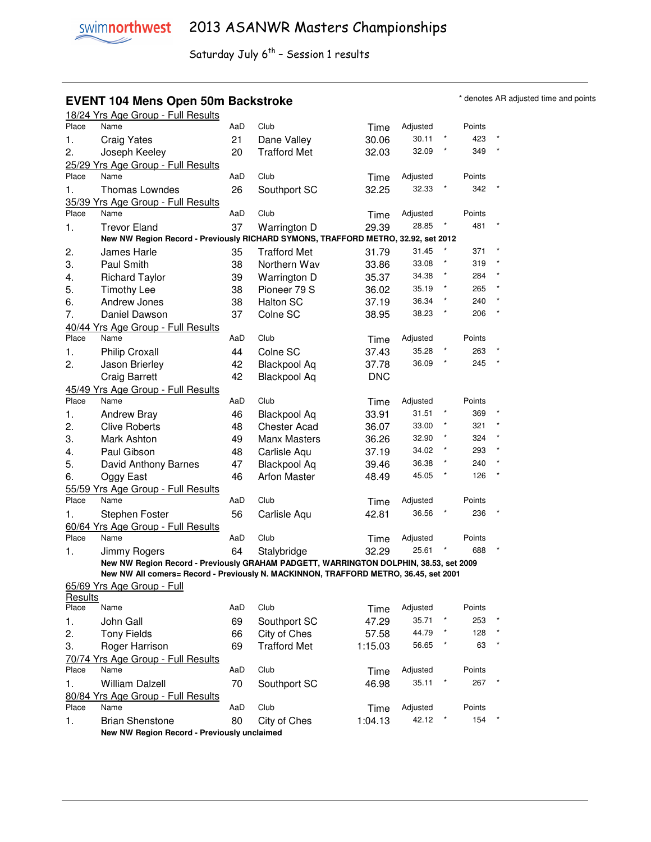# **EVENT 104 Mens Open 50m Backstroke \*** denotes AR adjusted time and points **\*** denotes AR adjusted time and points

|         | 18/24 Yrs Age Group - Full Results                                                    |     |                     |            |          |         |        |         |
|---------|---------------------------------------------------------------------------------------|-----|---------------------|------------|----------|---------|--------|---------|
| Place   | Name                                                                                  | AaD | Club                | Time       | Adjusted |         | Points |         |
| 1.      | <b>Craig Yates</b>                                                                    | 21  | Dane Valley         | 30.06      | 30.11    |         | 423    |         |
| 2.      | Joseph Keeley                                                                         | 20  | <b>Trafford Met</b> | 32.03      | 32.09    |         | 349    |         |
|         | 25/29 Yrs Age Group - Full Results                                                    |     |                     |            |          |         |        |         |
| Place   | Name                                                                                  | AaD | Club                | Time       | Adjusted |         | Points |         |
| 1.      | Thomas Lowndes                                                                        | 26  | Southport SC        | 32.25      | 32.33    |         | 342    |         |
|         | 35/39 Yrs Age Group - Full Results                                                    |     |                     |            |          |         |        |         |
| Place   | Name                                                                                  | AaD | Club                | Time       | Adjusted |         | Points |         |
| 1.      | <b>Trevor Eland</b>                                                                   | 37  | Warrington D        | 29.39      | 28.85    |         | 481    |         |
|         | New NW Region Record - Previously RICHARD SYMONS, TRAFFORD METRO, 32.92, set 2012     |     |                     |            |          |         |        |         |
| 2.      | James Harle                                                                           | 35  | <b>Trafford Met</b> | 31.79      | 31.45    | $\ast$  | 371    |         |
| 3.      | Paul Smith                                                                            | 38  | Northern Wav        | 33.86      | 33.08    |         | 319    |         |
| 4.      | <b>Richard Taylor</b>                                                                 | 39  | Warrington D        | 35.37      | 34.38    |         | 284    |         |
| 5.      | <b>Timothy Lee</b>                                                                    | 38  | Pioneer 79 S        | 36.02      | 35.19    |         | 265    |         |
| 6.      | Andrew Jones                                                                          | 38  | Halton SC           | 37.19      | 36.34    |         | 240    |         |
| 7.      | Daniel Dawson                                                                         | 37  | Colne SC            | 38.95      | 38.23    |         | 206    |         |
|         | 40/44 Yrs Age Group - Full Results                                                    |     |                     |            |          |         |        |         |
| Place   | Name                                                                                  | AaD | Club                | Time       | Adjusted |         | Points |         |
| 1.      | <b>Philip Croxall</b>                                                                 | 44  | Colne SC            | 37.43      | 35.28    |         | 263    |         |
| 2.      | Jason Brierley                                                                        | 42  | <b>Blackpool Aq</b> | 37.78      | 36.09    |         | 245    |         |
|         | <b>Craig Barrett</b>                                                                  | 42  | <b>Blackpool Aq</b> | <b>DNC</b> |          |         |        |         |
|         | 45/49 Yrs Age Group - Full Results                                                    |     |                     |            |          |         |        |         |
| Place   | Name                                                                                  | AaD | Club                | Time       | Adjusted |         | Points |         |
| 1.      | <b>Andrew Bray</b>                                                                    | 46  | <b>Blackpool Aq</b> | 33.91      | 31.51    |         | 369    |         |
| 2.      | <b>Clive Roberts</b>                                                                  | 48  | <b>Chester Acad</b> | 36.07      | 33.00    |         | 321    |         |
| 3.      | Mark Ashton                                                                           | 49  | Manx Masters        | 36.26      | 32.90    | $\star$ | 324    | $\star$ |
| 4.      | Paul Gibson                                                                           | 48  | Carlisle Aqu        | 37.19      | 34.02    |         | 293    | $\star$ |
| 5.      | David Anthony Barnes                                                                  | 47  | <b>Blackpool Aq</b> | 39.46      | 36.38    | $\star$ | 240    |         |
| 6.      | Oggy East                                                                             | 46  | <b>Arfon Master</b> | 48.49      | 45.05    | $\ast$  | 126    |         |
|         | 55/59 Yrs Age Group - Full Results                                                    |     |                     |            |          |         |        |         |
| Place   | Name                                                                                  | AaD | Club                | Time       | Adjusted |         | Points |         |
| 1.      | Stephen Foster                                                                        | 56  | Carlisle Aqu        | 42.81      | 36.56    |         | 236    |         |
|         | 60/64 Yrs Age Group - Full Results                                                    |     |                     |            |          |         |        |         |
| Place   | Name                                                                                  | AaD | Club                | Time       | Adjusted |         | Points |         |
| 1.      | Jimmy Rogers                                                                          | 64  | Stalybridge         | 32.29      | 25.61    |         | 688    |         |
|         | New NW Region Record - Previously GRAHAM PADGETT, WARRINGTON DOLPHIN, 38.53, set 2009 |     |                     |            |          |         |        |         |
|         | New NW All comers= Record - Previously N. MACKINNON, TRAFFORD METRO, 36.45, set 2001  |     |                     |            |          |         |        |         |
|         | 65/69 Yrs Age Group - Full                                                            |     |                     |            |          |         |        |         |
| Results |                                                                                       |     |                     |            |          |         |        |         |
| Place   | Name                                                                                  | AaD | Club                | Time       | Adjusted |         | Points |         |
| 1.      | John Gall                                                                             | 69  | Southport SC        | 47.29      | 35.71    |         | 253    |         |
| 2.      | <b>Tony Fields</b>                                                                    | 66  | City of Ches        | 57.58      | 44.79    |         | 128    |         |
| 3.      | Roger Harrison                                                                        | 69  | <b>Trafford Met</b> | 1:15.03    | 56.65    |         | 63     |         |
|         | 70/74 Yrs Age Group - Full Results                                                    |     |                     |            |          |         |        |         |
| Place   | Name                                                                                  | AaD | Club                | Time       | Adjusted |         | Points |         |
| 1.      | <b>William Dalzell</b>                                                                | 70  | Southport SC        | 46.98      | 35.11    |         | 267    |         |
|         | 80/84 Yrs Age Group - Full Results                                                    |     |                     |            |          |         |        |         |
| Place   | Name                                                                                  | AaD | Club                | Time       | Adjusted |         | Points |         |
| 1.      | <b>Brian Shenstone</b>                                                                | 80  | City of Ches        | 1:04.13    | 42.12    |         | 154    |         |
|         | New NW Region Record - Previously unclaimed                                           |     |                     |            |          |         |        |         |
|         |                                                                                       |     |                     |            |          |         |        |         |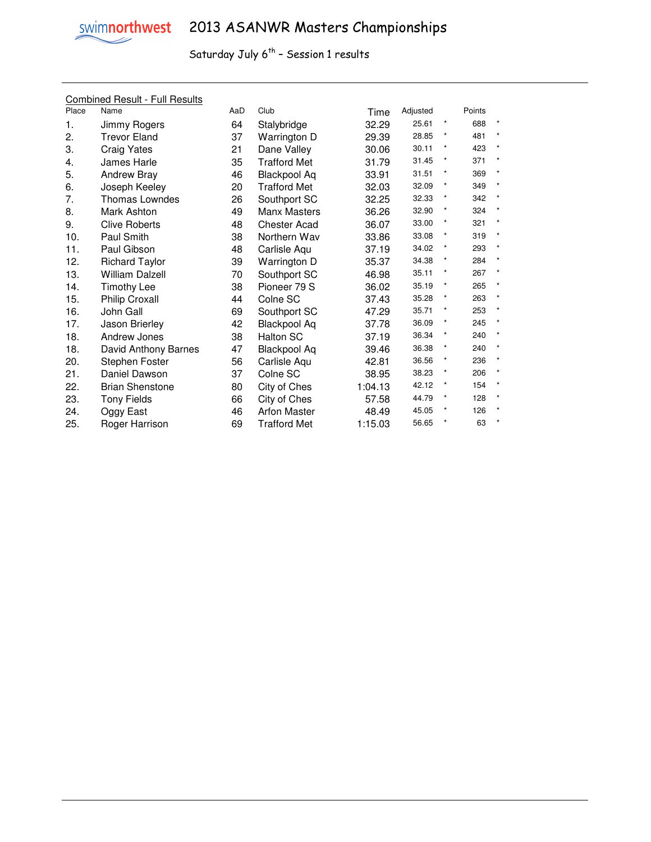|       | <b>Combined Result - Full Results</b> |     |                     |         |          |         |        |            |
|-------|---------------------------------------|-----|---------------------|---------|----------|---------|--------|------------|
| Place | Name                                  | AaD | Club                | Time    | Adjusted |         | Points |            |
| 1.    | Jimmy Rogers                          | 64  | Stalybridge         | 32.29   | 25.61    | $\star$ | 688    |            |
| 2.    | <b>Trevor Eland</b>                   | 37  | Warrington D        | 29.39   | 28.85    | *       | 481    |            |
| 3.    | <b>Craig Yates</b>                    | 21  | Dane Valley         | 30.06   | 30.11    | *       | 423    | $\star$    |
| 4.    | James Harle                           | 35  | <b>Trafford Met</b> | 31.79   | 31.45    | $\star$ | 371    | $\star$    |
| 5.    | <b>Andrew Bray</b>                    | 46  | <b>Blackpool Aq</b> | 33.91   | 31.51    |         | 369    | $\star$    |
| 6.    | Joseph Keeley                         | 20  | <b>Trafford Met</b> | 32.03   | 32.09    | *       | 349    | $\star$    |
| 7.    | <b>Thomas Lowndes</b>                 | 26  | Southport SC        | 32.25   | 32.33    | $\star$ | 342    | $^{\star}$ |
| 8.    | Mark Ashton                           | 49  | <b>Manx Masters</b> | 36.26   | 32.90    | ×       | 324    | $\star$    |
| 9.    | <b>Clive Roberts</b>                  | 48  | <b>Chester Acad</b> | 36.07   | 33.00    |         | 321    | $\star$    |
| 10.   | Paul Smith                            | 38  | Northern Wav        | 33.86   | 33.08    | $\star$ | 319    | $\star$    |
| 11.   | Paul Gibson                           | 48  | Carlisle Agu        | 37.19   | 34.02    | $\star$ | 293    | $\star$    |
| 12.   | <b>Richard Taylor</b>                 | 39  | Warrington D        | 35.37   | 34.38    |         | 284    | $\star$    |
| 13.   | <b>William Dalzell</b>                | 70  | Southport SC        | 46.98   | 35.11    |         | 267    | $\star$    |
| 14.   | <b>Timothy Lee</b>                    | 38  | Pioneer 79 S        | 36.02   | 35.19    | $\star$ | 265    | $^{\star}$ |
| 15.   | <b>Philip Croxall</b>                 | 44  | Colne SC            | 37.43   | 35.28    |         | 263    |            |
| 16.   | John Gall                             | 69  | Southport SC        | 47.29   | 35.71    | *       | 253    | $\star$    |
| 17.   | Jason Brierley                        | 42  | <b>Blackpool Aq</b> | 37.78   | 36.09    | $\star$ | 245    | $\star$    |
| 18.   | Andrew Jones                          | 38  | <b>Halton SC</b>    | 37.19   | 36.34    | $\star$ | 240    | $\star$    |
| 18.   | David Anthony Barnes                  | 47  | <b>Blackpool Aq</b> | 39.46   | 36.38    |         | 240    | $\star$    |
| 20.   | Stephen Foster                        | 56  | Carlisle Aqu        | 42.81   | 36.56    | $\star$ | 236    | $\star$    |
| 21.   | Daniel Dawson                         | 37  | Colne SC            | 38.95   | 38.23    | $\star$ | 206    | $\star$    |
| 22.   | <b>Brian Shenstone</b>                | 80  | City of Ches        | 1:04.13 | 42.12    |         | 154    | $\star$    |
| 23.   | <b>Tony Fields</b>                    | 66  | City of Ches        | 57.58   | 44.79    |         | 128    | $\star$    |
| 24.   | Oggy East                             | 46  | <b>Arfon Master</b> | 48.49   | 45.05    | $\star$ | 126    | $\star$    |
| 25.   | Roger Harrison                        | 69  | <b>Trafford Met</b> | 1:15.03 | 56.65    |         | 63     |            |
|       |                                       |     |                     |         |          |         |        |            |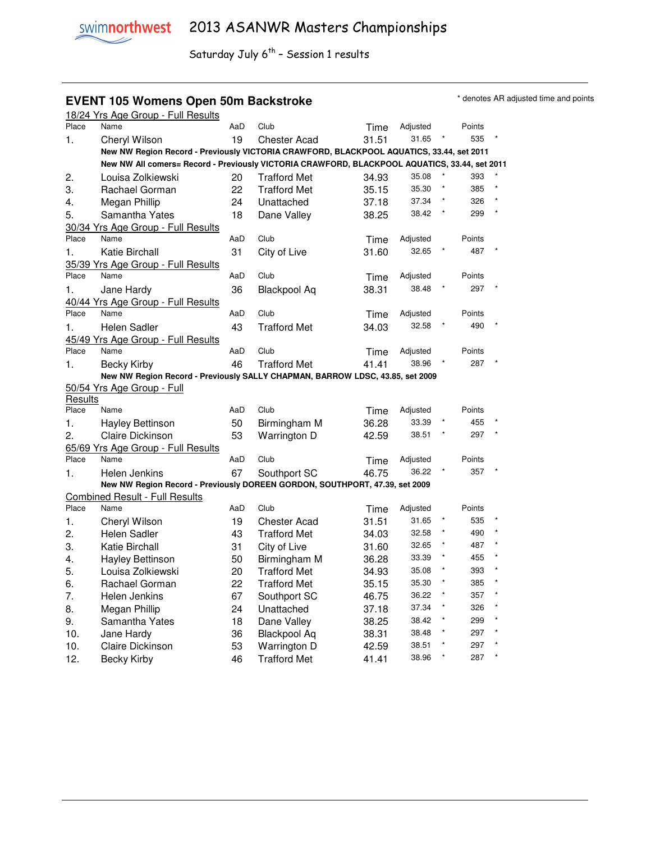### **EVENT 105 Womens Open 50m Backstroke EXELL ARE A PACK CONVERTED MONOGRAFY** denotes AR adjusted time and points

|         | 18/24 Yrs Age Group - Full Results                                                            |     |                     |       |                   |         |               |  |
|---------|-----------------------------------------------------------------------------------------------|-----|---------------------|-------|-------------------|---------|---------------|--|
| Place   | Name                                                                                          | AaD | Club                | Time  | Adjusted          |         | Points        |  |
| 1.      | Cheryl Wilson                                                                                 | 19  | Chester Acad        | 31.51 | 31.65             |         | 535           |  |
|         | New NW Region Record - Previously VICTORIA CRAWFORD, BLACKPOOL AQUATICS, 33.44, set 2011      |     |                     |       |                   |         |               |  |
|         | New NW All comers= Record - Previously VICTORIA CRAWFORD, BLACKPOOL AQUATICS, 33.44, set 2011 |     |                     |       |                   |         |               |  |
| 2.      | Louisa Zolkiewski                                                                             | 20  | <b>Trafford Met</b> | 34.93 | 35.08             |         | 393           |  |
| 3.      | Rachael Gorman                                                                                | 22  | <b>Trafford Met</b> | 35.15 | 35.30             |         | 385           |  |
| 4.      | Megan Phillip                                                                                 | 24  | Unattached          | 37.18 | 37.34             |         | 326           |  |
| 5.      | Samantha Yates                                                                                | 18  | Dane Valley         | 38.25 | 38.42             | *       | 299           |  |
|         | 30/34 Yrs Age Group - Full Results                                                            |     |                     |       |                   |         |               |  |
| Place   | Name                                                                                          | AaD | Club                | Time  | Adjusted          |         | Points        |  |
| 1.      | Katie Birchall                                                                                | 31  | City of Live        | 31.60 | 32.65             |         | 487           |  |
|         | 35/39 Yrs Age Group - Full Results                                                            |     |                     |       |                   |         |               |  |
| Place   | Name                                                                                          | AaD | Club                | Time  | Adjusted          |         | Points        |  |
| 1.      | Jane Hardy                                                                                    | 36  | Blackpool Aq        | 38.31 | 38.48             |         | 297           |  |
|         | 40/44 Yrs Age Group - Full Results                                                            |     |                     |       |                   |         |               |  |
| Place   | Name                                                                                          | AaD | Club                | Time  | Adjusted          |         | Points        |  |
| 1.      | Helen Sadler                                                                                  | 43  | <b>Trafford Met</b> | 34.03 | 32.58             |         | 490           |  |
|         | 45/49 Yrs Age Group - Full Results                                                            |     |                     |       |                   |         |               |  |
| Place   | Name                                                                                          | AaD | Club                | Time  | Adjusted          |         | Points        |  |
| 1.      | <b>Becky Kirby</b>                                                                            | 46  | <b>Trafford Met</b> | 41.41 | 38.96             |         | 287           |  |
|         | New NW Region Record - Previously SALLY CHAPMAN, BARROW LDSC, 43.85, set 2009                 |     |                     |       |                   |         |               |  |
|         | 50/54 Yrs Age Group - Full                                                                    |     |                     |       |                   |         |               |  |
| Results |                                                                                               |     |                     |       |                   |         |               |  |
| Place   | Name                                                                                          | AaD | Club                | Time  | Adjusted          |         | Points        |  |
| 1.      | <b>Hayley Bettinson</b>                                                                       | 50  | Birmingham M        | 36.28 | 33.39             |         | 455<br>297    |  |
| 2.      | Claire Dickinson                                                                              | 53  | Warrington D        | 42.59 | 38.51             |         |               |  |
| Place   | 65/69 Yrs Age Group - Full Results<br>Name                                                    |     | Club                |       |                   |         |               |  |
|         |                                                                                               | AaD |                     | Time  | Adjusted<br>36.22 |         | Points<br>357 |  |
| 1.      | Helen Jenkins                                                                                 | 67  | Southport SC        | 46.75 |                   |         |               |  |
|         | New NW Region Record - Previously DOREEN GORDON, SOUTHPORT, 47.39, set 2009                   |     |                     |       |                   |         |               |  |
| Place   | <b>Combined Result - Full Results</b><br>Name                                                 | AaD | Club                | Time  | Adjusted          |         | Points        |  |
| 1.      | Cheryl Wilson                                                                                 | 19  | <b>Chester Acad</b> | 31.51 | 31.65             |         | 535           |  |
| 2.      | Helen Sadler                                                                                  | 43  | <b>Trafford Met</b> | 34.03 | 32.58             |         | 490           |  |
| 3.      | Katie Birchall                                                                                | 31  | City of Live        | 31.60 | 32.65             | ×       | 487           |  |
| 4.      | <b>Hayley Bettinson</b>                                                                       | 50  | Birmingham M        | 36.28 | 33.39             | $\star$ | 455           |  |
| 5.      | Louisa Zolkiewski                                                                             | 20  | <b>Trafford Met</b> | 34.93 | 35.08             | $\star$ | 393           |  |
| 6.      | Rachael Gorman                                                                                | 22  | <b>Trafford Met</b> | 35.15 | 35.30             | ×       | 385           |  |
|         |                                                                                               |     |                     |       | 36.22             | $\star$ | 357           |  |
| 7.      | Helen Jenkins                                                                                 | 67  | Southport SC        | 46.75 |                   | $\star$ | 326           |  |
| 8.      | Megan Phillip                                                                                 | 24  | Unattached          | 37.18 | 37.34             | ×       |               |  |
| 9.      | Samantha Yates                                                                                | 18  | Dane Valley         | 38.25 | 38.42<br>38.48    | ×       | 299<br>297    |  |
| 10.     | Jane Hardv                                                                                    | 36  | <b>Blackpool Aq</b> | 38.31 |                   | $\star$ |               |  |
| 10.     | <b>Claire Dickinson</b>                                                                       | 53  | Warrington D        | 42.59 | 38.51             | $\star$ | 297           |  |
| 12.     | Becky Kirby                                                                                   | 46  | <b>Trafford Met</b> | 41.41 | 38.96             |         | 287           |  |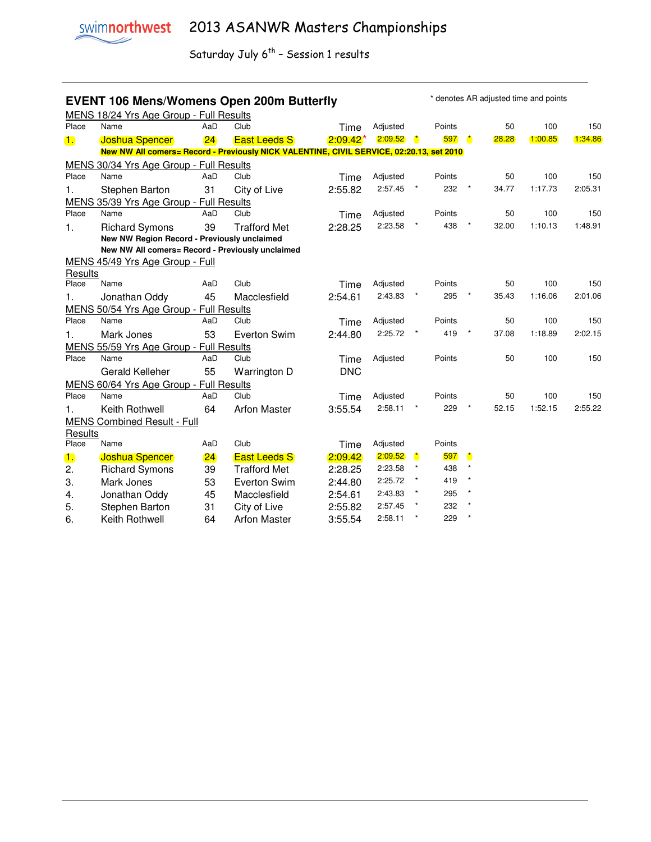|                | * denotes AR adjusted time and points<br><b>EVENT 106 Mens/Womens Open 200m Butterfly</b><br>MENS 18/24 Yrs Age Group - Full Results |     |                     |             |          |              |        |              |       |         |         |
|----------------|--------------------------------------------------------------------------------------------------------------------------------------|-----|---------------------|-------------|----------|--------------|--------|--------------|-------|---------|---------|
| Place          | Name                                                                                                                                 | AaD | Club                | Time        | Adjusted |              | Points |              | 50    | 100     | 150     |
| $\blacksquare$ | <b>Joshua Spencer</b>                                                                                                                | 24  | <b>East Leeds S</b> | $2:09.42^*$ | 2:09.52  | $\mathbf{r}$ | 597    | $\mathbf{r}$ | 28.28 | 1:00.85 | 1:34.86 |
|                | New NW All comers= Record - Previously NICK VALENTINE, CIVIL SERVICE, 02:20.13, set 2010                                             |     |                     |             |          |              |        |              |       |         |         |
|                | MENS 30/34 Yrs Age Group - Full Results                                                                                              |     |                     |             |          |              |        |              |       |         |         |
| Place          | Name                                                                                                                                 | AaD | Club                | Time        | Adjusted |              | Points |              | 50    | 100     | 150     |
| 1.             | Stephen Barton<br>MENS 35/39 Yrs Age Group - Full Results                                                                            | 31  | City of Live        | 2:55.82     | 2:57.45  | $\star$      | 232    | $\star$      | 34.77 | 1:17.73 | 2:05.31 |
| Place          | Name                                                                                                                                 | AaD | Club                | Time        | Adjusted |              | Points |              | 50    | 100     | 150     |
| 1.             | <b>Richard Symons</b><br>New NW Region Record - Previously unclaimed                                                                 | 39  | <b>Trafford Met</b> | 2:28.25     | 2:23.58  |              | 438    |              | 32.00 | 1:10.13 | 1:48.91 |
|                | New NW All comers= Record - Previously unclaimed                                                                                     |     |                     |             |          |              |        |              |       |         |         |
|                | MENS 45/49 Yrs Age Group - Full                                                                                                      |     |                     |             |          |              |        |              |       |         |         |
| Results        |                                                                                                                                      |     |                     |             |          |              |        |              |       |         |         |
| Place          | Name                                                                                                                                 | AaD | Club                | Time        | Adjusted |              | Points |              | 50    | 100     | 150     |
| 1.             | Jonathan Oddy                                                                                                                        | 45  | Macclesfield        | 2:54.61     | 2:43.83  |              | 295    |              | 35.43 | 1:16.06 | 2:01.06 |
|                | MENS 50/54 Yrs Age Group - Full Results                                                                                              |     |                     |             |          |              |        |              |       |         |         |
| Place          | Name                                                                                                                                 | AaD | Club                | Time        | Adjusted |              | Points |              | 50    | 100     | 150     |
| 1.             | Mark Jones                                                                                                                           | 53  | <b>Everton Swim</b> | 2:44.80     | 2:25.72  |              | 419    |              | 37.08 | 1:18.89 | 2:02.15 |
|                | MENS 55/59 Yrs Age Group - Full Results                                                                                              |     |                     |             |          |              |        |              |       |         |         |
| Place          | Name                                                                                                                                 | AaD | Club                | Time        | Adjusted |              | Points |              | 50    | 100     | 150     |
|                | Gerald Kelleher                                                                                                                      | 55  | Warrington D        | <b>DNC</b>  |          |              |        |              |       |         |         |
|                | MENS 60/64 Yrs Age Group - Full Results                                                                                              |     |                     |             |          |              |        |              |       |         |         |
| Place          | Name                                                                                                                                 | AaD | Club                | Time        | Adjusted |              | Points |              | 50    | 100     | 150     |
| 1.             | Keith Rothwell                                                                                                                       | 64  | <b>Arfon Master</b> | 3:55.54     | 2:58.11  |              | 229    |              | 52.15 | 1:52.15 | 2:55.22 |
|                | <b>MENS Combined Result - Full</b>                                                                                                   |     |                     |             |          |              |        |              |       |         |         |
| Results        |                                                                                                                                      |     |                     |             |          |              |        |              |       |         |         |
| Place          | Name                                                                                                                                 | AaD | Club                | Time        | Adjusted |              | Points |              |       |         |         |
| 1.             | <b>Joshua Spencer</b>                                                                                                                | 24  | <b>East Leeds S</b> | 2:09.42     | 2:09.52  | $\mathbf{r}$ | 597    |              |       |         |         |
| 2.             | <b>Richard Symons</b>                                                                                                                | 39  | <b>Trafford Met</b> | 2:28.25     | 2:23.58  | $\star$      | 438    |              |       |         |         |
| 3.             | Mark Jones                                                                                                                           | 53  | <b>Everton Swim</b> | 2:44.80     | 2:25.72  |              | 419    |              |       |         |         |
| 4.             | Jonathan Oddy                                                                                                                        | 45  | Macclesfield        | 2:54.61     | 2:43.83  |              | 295    |              |       |         |         |
| 5.             | Stephen Barton                                                                                                                       | 31  | City of Live        | 2:55.82     | 2:57.45  |              | 232    |              |       |         |         |
| 6.             | Keith Rothwell                                                                                                                       | 64  | <b>Arfon Master</b> | 3:55.54     | 2:58.11  |              | 229    |              |       |         |         |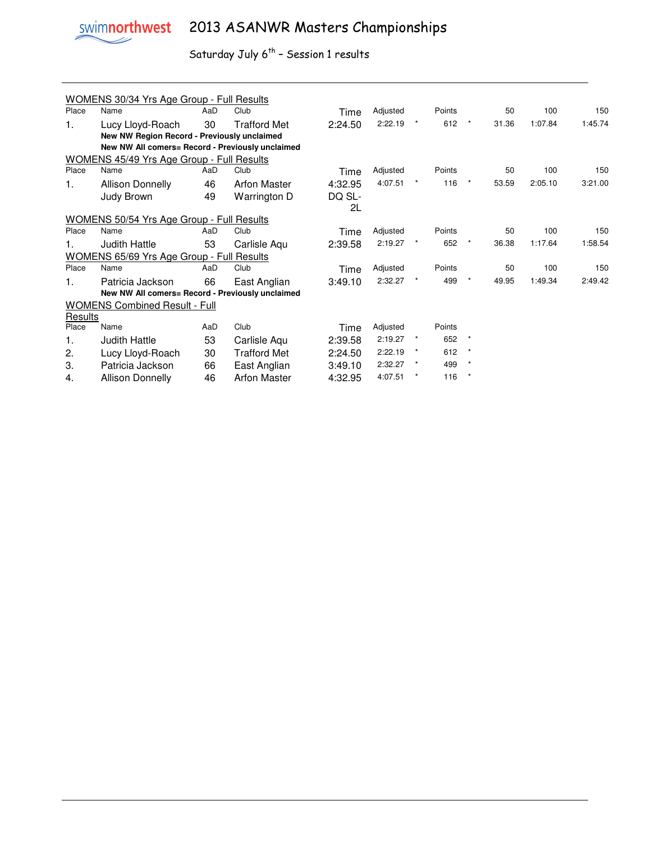

# swimnorthwest 2013 ASANWR Masters Championships

|         | <b>WOMENS 30/34 Yrs Age Group - Full Results</b> |     |                     |         |          |         |        |         |       |         |         |
|---------|--------------------------------------------------|-----|---------------------|---------|----------|---------|--------|---------|-------|---------|---------|
| Place   | Name                                             | AaD | Club                | Time    | Adjusted |         | Points |         | 50    | 100     | 150     |
| 1.      | Lucy Lloyd-Roach                                 | 30  | <b>Trafford Met</b> | 2:24.50 | 2:22.19  |         | 612    | $\star$ | 31.36 | 1:07.84 | 1:45.74 |
|         | New NW Region Record - Previously unclaimed      |     |                     |         |          |         |        |         |       |         |         |
|         | New NW All comers= Record - Previously unclaimed |     |                     |         |          |         |        |         |       |         |         |
|         | <b>WOMENS 45/49 Yrs Age Group - Full Results</b> |     |                     |         |          |         |        |         |       |         |         |
| Place   | Name                                             | AaD | Club                | Time    | Adjusted |         | Points |         | 50    | 100     | 150     |
| 1.      | <b>Allison Donnelly</b>                          | 46  | <b>Arfon Master</b> | 4:32.95 | 4:07.51  |         | 116    | $\star$ | 53.59 | 2:05.10 | 3:21.00 |
|         | Judy Brown                                       | 49  | Warrington D        | DQ SL-  |          |         |        |         |       |         |         |
|         |                                                  |     |                     | 2L      |          |         |        |         |       |         |         |
|         | WOMENS 50/54 Yrs Age Group - Full Results        |     |                     |         |          |         |        |         |       |         |         |
| Place   | Name                                             | AaD | Club                | Time    | Adjusted |         | Points |         | 50    | 100     | 150     |
| 1.      | <b>Judith Hattle</b>                             | 53  | Carlisle Aqu        | 2:39.58 | 2:19.27  |         | 652    | $\star$ | 36.38 | 1:17.64 | 1:58.54 |
|         | <b>WOMENS 65/69 Yrs Age Group - Full Results</b> |     |                     |         |          |         |        |         |       |         |         |
| Place   | Name                                             | AaD | Club                | Time    | Adjusted |         | Points |         | 50    | 100     | 150     |
| 1.      | Patricia Jackson                                 | 66  | East Anglian        | 3:49.10 | 2:32.27  |         | 499    | $\star$ | 49.95 | 1:49.34 | 2:49.42 |
|         | New NW All comers= Record - Previously unclaimed |     |                     |         |          |         |        |         |       |         |         |
|         | <b>WOMENS Combined Result - Full</b>             |     |                     |         |          |         |        |         |       |         |         |
| Results |                                                  |     |                     |         |          |         |        |         |       |         |         |
| Place   | Name                                             | AaD | Club                | Time    | Adjusted |         | Points |         |       |         |         |
| 1.      | <b>Judith Hattle</b>                             | 53  | Carlisle Aqu        | 2:39.58 | 2:19.27  |         | 652    | $\star$ |       |         |         |
| 2.      | Lucy Lloyd-Roach                                 | 30  | <b>Trafford Met</b> | 2:24.50 | 2:22.19  |         | 612    | ×       |       |         |         |
| 3.      | Patricia Jackson                                 | 66  | East Anglian        | 3:49.10 | 2:32.27  | $\star$ | 499    | $\star$ |       |         |         |
| 4.      | <b>Allison Donnelly</b>                          | 46  | <b>Arfon Master</b> | 4:32.95 | 4:07.51  |         | 116    | $\star$ |       |         |         |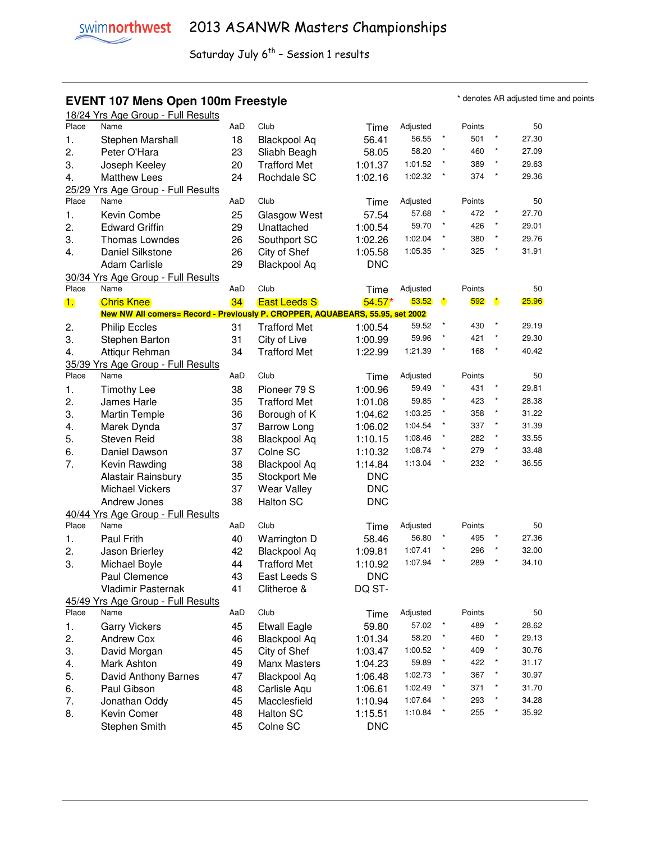#### **EVENT 107 Mens Open 100m Freestyle EXEL ARE A SUBSET A SUBSETY OF A SUBSET AREAD TO A SUBSET A SUBSET AND THE SUBSET OF SUBSET AND THE SUBSET OF SUBSET AND TO A SUBSET A SUBSET AND THE SUBSET OF SUBSET ASSESSMENT AND TH**

|                | 18/24 Yrs Age Group - Full Results                                            |     |                     |            |          |           |        |           |       |
|----------------|-------------------------------------------------------------------------------|-----|---------------------|------------|----------|-----------|--------|-----------|-------|
| Place          | Name                                                                          | AaD | Club                | Time       | Adjusted |           | Points |           | 50    |
| 1.             | Stephen Marshall                                                              | 18  | <b>Blackpool Aq</b> | 56.41      | 56.55    | $\star$   | 501    | $\star$   | 27.30 |
| 2.             | Peter O'Hara                                                                  | 23  | Sliabh Beagh        | 58.05      | 58.20    | $\star$   | 460    | $\star$   | 27.09 |
| 3.             | Joseph Keeley                                                                 | 20  | <b>Trafford Met</b> | 1:01.37    | 1:01.52  | $\star$   | 389    | $\star$   | 29.63 |
| 4.             | <b>Matthew Lees</b>                                                           | 24  | Rochdale SC         | 1:02.16    | 1:02.32  |           | 374    | $\star$   | 29.36 |
|                | 25/29 Yrs Age Group - Full Results                                            |     |                     |            |          |           |        |           |       |
| Place          | Name                                                                          | AaD | Club                | Time       | Adjusted |           | Points |           | 50    |
|                |                                                                               |     |                     |            | 57.68    |           | 472    | $\star$   | 27.70 |
| 1.             | Kevin Combe                                                                   | 25  | Glasgow West        | 57.54      |          | $^\star$  |        | $^\star$  |       |
| 2.             | <b>Edward Griffin</b>                                                         | 29  | Unattached          | 1:00.54    | 59.70    |           | 426    |           | 29.01 |
| 3.             | Thomas Lowndes                                                                | 26  | Southport SC        | 1:02.26    | 1:02.04  | $^\star$  | 380    | $^\star$  | 29.76 |
| 4.             | Daniel Silkstone                                                              | 26  | City of Shef        | 1:05.58    | 1:05.35  | $\star$   | 325    | $\star$   | 31.91 |
|                | <b>Adam Carlisle</b>                                                          | 29  | <b>Blackpool Aq</b> | <b>DNC</b> |          |           |        |           |       |
|                | 30/34 Yrs Age Group - Full Results                                            |     |                     |            |          |           |        |           |       |
| Place          | Name                                                                          | AaD | Club                | Time       | Adjusted |           | Points |           | 50    |
| $\blacksquare$ | <b>Chris Knee</b>                                                             | 34  | <b>East Leeds S</b> | $54.57*$   | 53.52    | $\bullet$ | 592    | $\bullet$ | 25.96 |
|                | New NW All comers= Record - Previously P. CROPPER, AQUABEARS, 55.95, set 2002 |     |                     |            |          |           |        |           |       |
| 2.             | <b>Philip Eccles</b>                                                          | 31  | <b>Trafford Met</b> | 1:00.54    | 59.52    |           | 430    |           | 29.19 |
| 3.             | Stephen Barton                                                                | 31  | City of Live        | 1:00.99    | 59.96    |           | 421    |           | 29.30 |
| 4.             | Attiqur Rehman                                                                | 34  | <b>Trafford Met</b> | 1:22.99    | 1:21.39  |           | 168    | $\star$   | 40.42 |
|                |                                                                               |     |                     |            |          |           |        |           |       |
| Place          | 35/39 Yrs Age Group - Full Results<br>Name                                    | AaD | Club                |            | Adjusted |           | Points |           | 50    |
|                |                                                                               |     |                     | Time       |          | $\star$   | 431    | $\star$   |       |
| 1.             | <b>Timothy Lee</b>                                                            | 38  | Pioneer 79 S        | 1:00.96    | 59.49    |           |        |           | 29.81 |
| 2.             | James Harle                                                                   | 35  | <b>Trafford Met</b> | 1:01.08    | 59.85    | $^\star$  | 423    | $\star$   | 28.38 |
| 3.             | <b>Martin Temple</b>                                                          | 36  | Borough of K        | 1:04.62    | 1:03.25  | $\star$   | 358    | $\star$   | 31.22 |
| 4.             | Marek Dynda                                                                   | 37  | Barrow Long         | 1:06.02    | 1:04.54  | $\star$   | 337    | $\star$   | 31.39 |
| 5.             | <b>Steven Reid</b>                                                            | 38  | <b>Blackpool Aq</b> | 1:10.15    | 1:08.46  |           | 282    | $\star$   | 33.55 |
| 6.             | Daniel Dawson                                                                 | 37  | Colne SC            | 1:10.32    | 1:08.74  | $\star$   | 279    | $\star$   | 33.48 |
| 7.             | Kevin Rawding                                                                 | 38  | <b>Blackpool Aq</b> | 1:14.84    | 1:13.04  | $\star$   | 232    | $\star$   | 36.55 |
|                | Alastair Rainsbury                                                            | 35  | Stockport Me        | <b>DNC</b> |          |           |        |           |       |
|                | <b>Michael Vickers</b>                                                        | 37  | <b>Wear Valley</b>  | <b>DNC</b> |          |           |        |           |       |
|                | Andrew Jones                                                                  | 38  | <b>Halton SC</b>    | <b>DNC</b> |          |           |        |           |       |
|                | 40/44 Yrs Age Group - Full Results                                            |     |                     |            |          |           |        |           |       |
| Place          | Name                                                                          | AaD | Club                | Time       | Adjusted |           | Points |           | 50    |
| 1.             |                                                                               |     | Warrington D        |            | 56.80    | $\star$   | 495    | $\star$   | 27.36 |
|                | Paul Frith                                                                    | 40  |                     | 58.46      | 1:07.41  |           | 296    | $\star$   | 32.00 |
| 2.             | Jason Brierley                                                                | 42  | Blackpool Aq        | 1:09.81    |          | $\star$   |        | $\star$   |       |
| 3.             | Michael Boyle                                                                 | 44  | <b>Trafford Met</b> | 1:10.92    | 1:07.94  |           | 289    |           | 34.10 |
|                | Paul Clemence                                                                 | 43  | East Leeds S        | <b>DNC</b> |          |           |        |           |       |
|                | Vladimir Pasternak                                                            | 41  | Clitheroe &         | DQ ST-     |          |           |        |           |       |
|                | 45/49 Yrs Age Group - Full Results                                            |     |                     |            |          |           |        |           |       |
| Place          | Name                                                                          | AaD | Club                | Time       | Adjusted |           | Points |           | 50    |
| 1.             | <b>Garry Vickers</b>                                                          | 45  | <b>Etwall Eagle</b> | 59.80      | 57.02    |           | 489    |           | 28.62 |
| 2.             | <b>Andrew Cox</b>                                                             | 46  | <b>Blackpool Aq</b> | 1:01.34    | 58.20    |           | 460    |           | 29.13 |
| 3.             | David Morgan                                                                  | 45  | City of Shef        | 1:03.47    | 1:00.52  |           | 409    | *         | 30.76 |
| 4.             | Mark Ashton                                                                   | 49  | Manx Masters        | 1:04.23    | 59.89    |           | 422    | $\star$   | 31.17 |
| 5.             | David Anthony Barnes                                                          | 47  | <b>Blackpool Aq</b> | 1:06.48    | 1:02.73  |           | 367    | $\star$   | 30.97 |
|                | Paul Gibson                                                                   | 48  | Carlisle Aqu        | 1:06.61    | 1:02.49  |           | 371    | $\star$   | 31.70 |
| 6.             |                                                                               |     |                     |            | 1:07.64  |           | 293    | $\star$   | 34.28 |
| 7.             | Jonathan Oddy                                                                 | 45  | Macclesfield        | 1:10.94    |          |           |        | $\star$   |       |
| 8.             | Kevin Comer                                                                   | 48  | <b>Halton SC</b>    | 1:15.51    | 1:10.84  |           | 255    |           | 35.92 |
|                | Stephen Smith                                                                 | 45  | Colne SC            | <b>DNC</b> |          |           |        |           |       |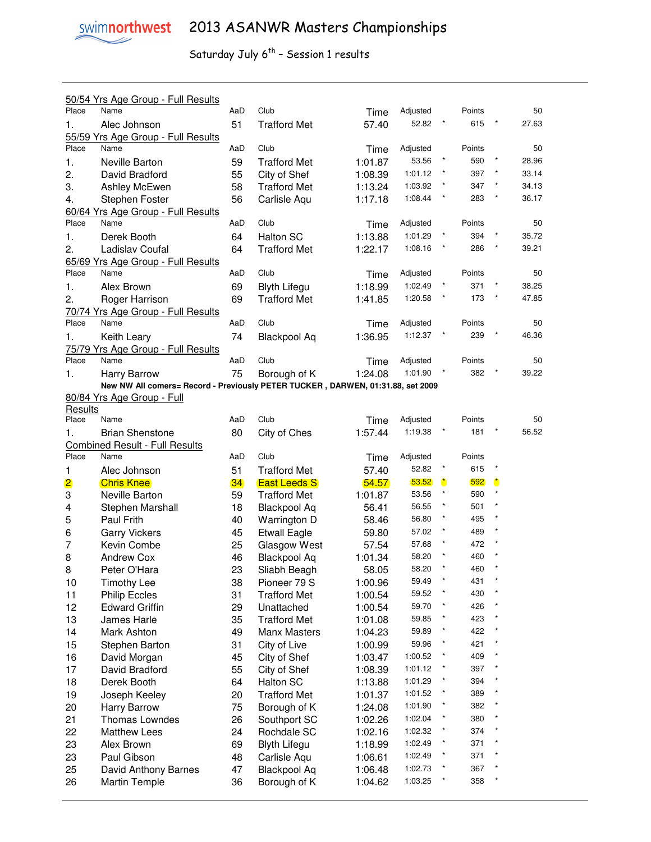|                     | 50/54 Yrs Age Group - Full Results                                              |          |                                     |                    |                    |           |            |                      |       |
|---------------------|---------------------------------------------------------------------------------|----------|-------------------------------------|--------------------|--------------------|-----------|------------|----------------------|-------|
| Place               | Name                                                                            | AaD      | Club                                | Time               | Adjusted           |           | Points     |                      | 50    |
| 1.                  | Alec Johnson                                                                    | 51       | <b>Trafford Met</b>                 | 57.40              | 52.82              |           | 615        |                      | 27.63 |
|                     | 55/59 Yrs Age Group - Full Results                                              |          |                                     |                    |                    |           |            |                      |       |
| Place               | Name                                                                            | AaD      | Club                                | Time               | Adjusted           |           | Points     |                      | 50    |
| 1.                  | Neville Barton                                                                  | 59       | <b>Trafford Met</b>                 | 1:01.87            | 53.56              |           | 590        |                      | 28.96 |
| 2.                  | David Bradford                                                                  | 55       | City of Shef                        | 1:08.39            | 1:01.12            |           | 397        |                      | 33.14 |
| 3.                  | Ashley McEwen                                                                   | 58       | <b>Trafford Met</b>                 | 1:13.24            | 1:03.92            |           | 347        |                      | 34.13 |
| 4.                  | Stephen Foster                                                                  | 56       | Carlisle Aqu                        | 1:17.18            | 1:08.44            |           | 283        |                      | 36.17 |
|                     | 60/64 Yrs Age Group - Full Results                                              |          |                                     |                    |                    |           |            |                      |       |
| Place               | Name                                                                            | AaD      | Club                                | Time               | Adjusted           |           | Points     |                      | 50    |
| 1.                  | Derek Booth                                                                     | 64       | <b>Halton SC</b>                    | 1:13.88            | 1:01.29            |           | 394        |                      | 35.72 |
| 2.                  | Ladislav Coufal                                                                 | 64       | <b>Trafford Met</b>                 | 1:22.17            | 1:08.16            |           | 286        |                      | 39.21 |
|                     | 65/69 Yrs Age Group - Full Results                                              |          |                                     |                    |                    |           |            |                      |       |
| Place               | Name                                                                            | AaD      | Club                                | Time               | Adjusted           |           | Points     |                      | 50    |
| 1.                  | Alex Brown                                                                      | 69       | <b>Blyth Lifegu</b>                 | 1:18.99            | 1:02.49            |           | 371        |                      | 38.25 |
| 2.                  | Roger Harrison                                                                  | 69       | <b>Trafford Met</b>                 | 1:41.85            | 1:20.58            |           | 173        | $\star$              | 47.85 |
|                     | 70/74 Yrs Age Group - Full Results                                              |          |                                     |                    |                    |           |            |                      |       |
| Place               | Name                                                                            | AaD      | Club                                | Time               | Adjusted           |           | Points     |                      | 50    |
| 1.                  | Keith Leary                                                                     | 74       | <b>Blackpool Aq</b>                 | 1:36.95            | 1:12.37            |           | 239        |                      | 46.36 |
|                     | 75/79 Yrs Age Group - Full Results                                              |          |                                     |                    |                    |           |            |                      |       |
| Place               | Name                                                                            | AaD      | Club                                | Time               | Adjusted           |           | Points     |                      | 50    |
| 1.                  | <b>Harry Barrow</b>                                                             | 75       | Borough of K                        | 1:24.08            | 1:01.90            |           | 382        |                      | 39.22 |
|                     | New NW All comers= Record - Previously PETER TUCKER, DARWEN, 01:31.88, set 2009 |          |                                     |                    |                    |           |            |                      |       |
|                     | 80/84 Yrs Age Group - Full                                                      |          |                                     |                    |                    |           |            |                      |       |
| <b>Results</b>      |                                                                                 |          |                                     |                    |                    |           |            |                      |       |
| Place               | Name                                                                            | AaD      | Club                                | Time               | Adjusted           |           | Points     |                      | 50    |
| 1.                  | <b>Brian Shenstone</b>                                                          | 80       | City of Ches                        | 1:57.44            | 1:19.38            | $\star$   | 181        |                      | 56.52 |
|                     | <b>Combined Result - Full Results</b>                                           |          |                                     |                    |                    |           |            |                      |       |
|                     |                                                                                 |          |                                     |                    |                    |           |            |                      |       |
| Place               | Name                                                                            | AaD      | Club                                | Time               | Adjusted           |           | Points     |                      |       |
| 1                   | Alec Johnson                                                                    | 51       | <b>Trafford Met</b>                 | 57.40              | 52.82              |           | 615        |                      |       |
|                     | <b>Chris Knee</b>                                                               | 34       | <b>East Leeds S</b>                 | 54.57              | 53.52              | $\bullet$ | 592        | $\ddot{\phantom{a}}$ |       |
| $\overline{2}$<br>3 | Neville Barton                                                                  | 59       | <b>Trafford Met</b>                 | 1:01.87            | 53.56              |           | 590        |                      |       |
| 4                   |                                                                                 | 18       |                                     | 56.41              | 56.55              |           | 501        |                      |       |
|                     | Stephen Marshall<br>Paul Frith                                                  | 40       | <b>Blackpool Aq</b><br>Warrington D | 58.46              | 56.80              |           | 495        |                      |       |
| 5                   |                                                                                 |          |                                     |                    | 57.02              |           | 489        |                      |       |
| 6<br>7              | <b>Garry Vickers</b>                                                            | 45       | <b>Etwall Eagle</b>                 | 59.80              | 57.68              |           | 472        |                      |       |
|                     | Kevin Combe<br><b>Andrew Cox</b>                                                | 25<br>46 | Glasgow West                        | 57.54<br>1:01.34   | 58.20              |           | 460        |                      |       |
| 8                   |                                                                                 |          | <b>Blackpool Aq</b>                 |                    | 58.20              |           | 460        |                      |       |
| 8                   | Peter O'Hara                                                                    | 23       | Sliabh Beagh                        | 58.05              | 59.49              |           | 431        |                      |       |
| 10                  | <b>Timothy Lee</b>                                                              | 38       | Pioneer 79 S                        | 1:00.96            | 59.52              |           | 430        |                      |       |
| 11                  | <b>Philip Eccles</b>                                                            | 31       | <b>Trafford Met</b>                 | 1:00.54            | 59.70              | $\star$   |            |                      |       |
| 12                  | <b>Edward Griffin</b>                                                           | 29       | Unattached                          | 1:00.54            |                    |           | 426        |                      |       |
| 13                  | James Harle                                                                     | 35       | <b>Trafford Met</b>                 | 1:01.08            | 59.85              |           | 423        |                      |       |
| 14                  | Mark Ashton                                                                     | 49       | Manx Masters                        | 1:04.23            | 59.89              |           | 422        |                      |       |
| 15                  | Stephen Barton                                                                  | 31       | City of Live                        | 1:00.99            | 59.96              |           | 421        |                      |       |
| 16                  | David Morgan                                                                    | 45       | City of Shef                        | 1:03.47            | 1:00.52            |           | 409        |                      |       |
| 17                  | David Bradford                                                                  | 55       | City of Shef                        | 1:08.39            | 1:01.12            |           | 397        |                      |       |
| 18                  | Derek Booth                                                                     | 64       | <b>Halton SC</b>                    | 1:13.88            | 1:01.29            |           | 394        |                      |       |
| 19                  | Joseph Keeley                                                                   | 20       | <b>Trafford Met</b>                 | 1:01.37            | 1:01.52            |           | 389        |                      |       |
| 20                  | Harry Barrow                                                                    | 75       | Borough of K                        | 1:24.08            | 1:01.90            |           | 382        |                      |       |
| 21                  | Thomas Lowndes                                                                  | 26       | Southport SC                        | 1:02.26            | 1:02.04            |           | 380        |                      |       |
| 22                  | <b>Matthew Lees</b>                                                             | 24       | Rochdale SC                         | 1:02.16            | 1:02.32            |           | 374        |                      |       |
| 23                  | Alex Brown                                                                      | 69       | <b>Blyth Lifegu</b>                 | 1:18.99            | 1:02.49            |           | 371        |                      |       |
| 23                  | Paul Gibson                                                                     | 48       | Carlisle Aqu                        | 1:06.61            | 1:02.49            |           | 371        |                      |       |
| 25<br>26            | David Anthony Barnes<br><b>Martin Temple</b>                                    | 47<br>36 | <b>Blackpool Aq</b><br>Borough of K | 1:06.48<br>1:04.62 | 1:02.73<br>1:03.25 |           | 367<br>358 |                      |       |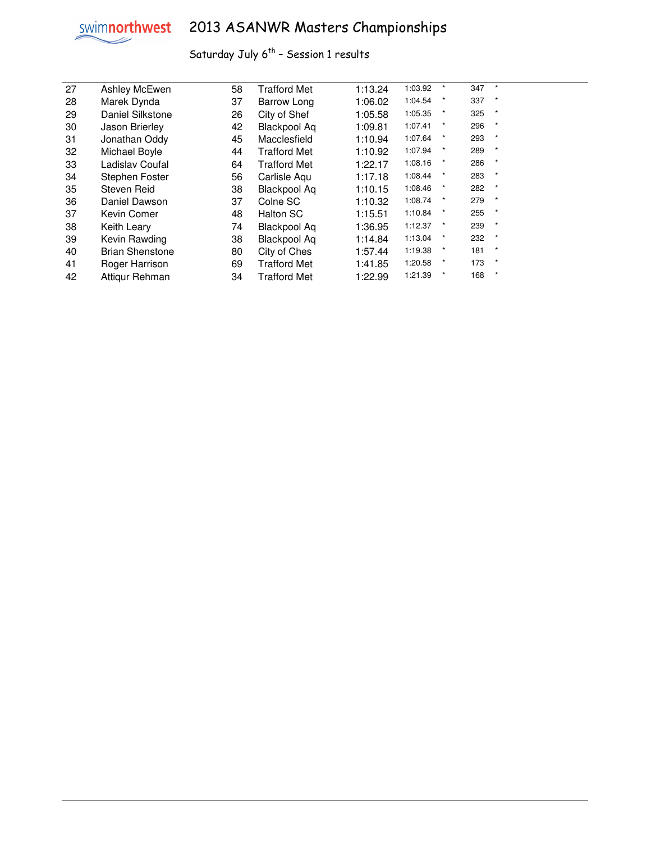

# swimnorthwest 2013 ASANWR Masters Championships

| 27 | Ashley McEwen          | 58 | <b>Trafford Met</b> | 1:13.24 | 1:03.92 | $\star$ | 347 | $\star$ |  |
|----|------------------------|----|---------------------|---------|---------|---------|-----|---------|--|
| 28 | Marek Dynda            | 37 | Barrow Long         | 1:06.02 | 1:04.54 | $\star$ | 337 | $\star$ |  |
| 29 | Daniel Silkstone       | 26 | City of Shef        | 1:05.58 | 1:05.35 | $\star$ | 325 | $\star$ |  |
| 30 | Jason Brierley         | 42 | <b>Blackpool Aq</b> | 1:09.81 | 1:07.41 | $\star$ | 296 | $\star$ |  |
| 31 | Jonathan Oddy          | 45 | Macclesfield        | 1:10.94 | 1:07.64 | $\star$ | 293 | $\star$ |  |
| 32 | Michael Boyle          | 44 | <b>Trafford Met</b> | 1:10.92 | 1:07.94 | $\star$ | 289 | $\star$ |  |
| 33 | Ladislav Coufal        | 64 | <b>Trafford Met</b> | 1:22.17 | 1:08.16 | $\star$ | 286 | $\star$ |  |
| 34 | Stephen Foster         | 56 | Carlisle Aqu        | 1:17.18 | 1:08.44 | $\star$ | 283 | $\star$ |  |
| 35 | Steven Reid            | 38 | <b>Blackpool Aq</b> | 1:10.15 | 1:08.46 | $\star$ | 282 | $\star$ |  |
| 36 | Daniel Dawson          | 37 | Colne SC            | 1:10.32 | 1:08.74 | $\star$ | 279 | $\ast$  |  |
| 37 | Kevin Comer            | 48 | <b>Halton SC</b>    | 1:15.51 | 1:10.84 | $\star$ | 255 | $\star$ |  |
| 38 | Keith Leary            | 74 | <b>Blackpool Aq</b> | 1:36.95 | 1:12.37 | $\star$ | 239 | $\star$ |  |
| 39 | Kevin Rawding          | 38 | <b>Blackpool Aq</b> | 1:14.84 | 1:13.04 | $\star$ | 232 | $\star$ |  |
| 40 | <b>Brian Shenstone</b> | 80 | City of Ches        | 1:57.44 | 1:19.38 | $\star$ | 181 | $\star$ |  |
| 41 | Roger Harrison         | 69 | <b>Trafford Met</b> | 1:41.85 | 1:20.58 | $\star$ | 173 | $\star$ |  |
| 42 | Attiqur Rehman         | 34 | <b>Trafford Met</b> | 1:22.99 | 1:21.39 | $\ast$  | 168 | $\star$ |  |
|    |                        |    |                     |         |         |         |     |         |  |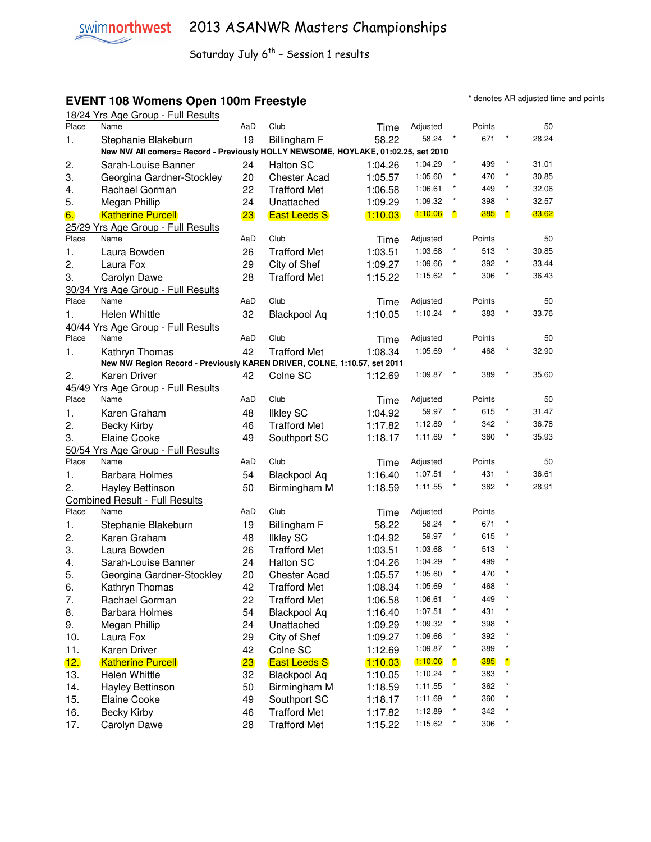### **EVENT 108 Womens Open 100m Freestyle EVENT 108 Womens Open 100m Freestyle**

18/24 Yrs Age Group - Full Results<br>Place Name Results AaD Club Time Adjusted

| Place | Name                                                                              | AaD | Club                | Time      | Adjusted |            | Points |           | 50    |
|-------|-----------------------------------------------------------------------------------|-----|---------------------|-----------|----------|------------|--------|-----------|-------|
| 1.    | Stephanie Blakeburn                                                               | 19  | Billingham F        | 58.22     | 58.24    | $^\star$   | 671    |           | 28.24 |
|       | New NW All comers= Record - Previously HOLLY NEWSOME, HOYLAKE, 01:02.25, set 2010 |     |                     |           |          |            |        |           |       |
| 2.    | Sarah-Louise Banner                                                               | 24  | Halton SC           | 1:04.26   | 1:04.29  | $^\star$   | 499    | $\star$   | 31.01 |
| 3.    | Georgina Gardner-Stockley                                                         | 20  | <b>Chester Acad</b> | 1:05.57   | 1:05.60  | $\star$    | 470    | $\star$   | 30.85 |
| 4.    | Rachael Gorman                                                                    | 22  | <b>Trafford Met</b> | 1:06.58   | 1:06.61  | $\star$    | 449    | $\star$   | 32.06 |
| 5.    | Megan Phillip                                                                     | 24  | Unattached          | 1:09.29   | 1:09.32  | $\star$    | 398    | $\star$   | 32.57 |
| 6.    | <b>Katherine Purcell</b>                                                          | 23  | <b>East Leeds S</b> | 1:10.03   | 1:10.06  | $\bullet$  | 385    | $\bullet$ | 33.62 |
|       |                                                                                   |     |                     |           |          |            |        |           |       |
| Place | 25/29 Yrs Age Group - Full Results<br>Name                                        | AaD | Club                |           |          |            |        |           |       |
|       |                                                                                   |     |                     | Time      | Adjusted | $^\star$   | Points | *         | 50    |
| 1.    | Laura Bowden                                                                      | 26  | <b>Trafford Met</b> | 1:03.51   | 1:03.68  | $\star$    | 513    | $\star$   | 30.85 |
| 2.    | Laura Fox                                                                         | 29  | City of Shef        | 1:09.27   | 1:09.66  |            | 392    |           | 33.44 |
| 3.    | Carolyn Dawe                                                                      | 28  | <b>Trafford Met</b> | 1:15.22   | 1:15.62  |            | 306    | $\star$   | 36.43 |
|       | 30/34 Yrs Age Group - Full Results                                                |     |                     |           |          |            |        |           |       |
| Place | Name                                                                              | AaD | Club                | Time      | Adjusted |            | Points |           | 50    |
| 1.    | Helen Whittle                                                                     | 32  | <b>Blackpool Aq</b> | 1:10.05   | 1:10.24  |            | 383    |           | 33.76 |
|       | 40/44 Yrs Age Group - Full Results                                                |     |                     |           |          |            |        |           |       |
| Place | Name                                                                              | AaD | Club                | Time      | Adjusted |            | Points |           | 50    |
| 1.    | Kathryn Thomas                                                                    | 42  | <b>Trafford Met</b> | 1:08.34   | 1:05.69  |            | 468    |           | 32.90 |
|       | New NW Region Record - Previously KAREN DRIVER, COLNE, 1:10.57, set 2011          |     |                     |           |          |            |        |           |       |
| 2.    | <b>Karen Driver</b>                                                               | 42  | Colne SC            | 1:12.69   | 1:09.87  | $\star$    | 389    | $\star$   | 35.60 |
|       | 45/49 Yrs Age Group - Full Results                                                |     |                     |           |          |            |        |           |       |
| Place | Name                                                                              | AaD | Club                | Time      | Adjusted |            | Points |           | 50    |
| 1.    | Karen Graham                                                                      | 48  | <b>Ilkley SC</b>    | 1:04.92   | 59.97    | $^\star$   | 615    | $\star$   | 31.47 |
| 2.    | <b>Becky Kirby</b>                                                                | 46  | <b>Trafford Met</b> | 1:17.82   | 1:12.89  | $\star$    | 342    | $\star$   | 36.78 |
| 3.    | <b>Elaine Cooke</b>                                                               | 49  | Southport SC        | 1:18.17   | 1:11.69  | $^\star$   | 360    | $\star$   | 35.93 |
|       | 50/54 Yrs Age Group - Full Results                                                |     |                     |           |          |            |        |           |       |
| Place | Name                                                                              | AaD | Club                | Time      | Adjusted |            | Points |           | 50    |
|       |                                                                                   | 54  |                     | 1:16.40   | 1:07.51  | *          | 431    | $\star$   | 36.61 |
| 1.    | <b>Barbara Holmes</b>                                                             |     | <b>Blackpool Aq</b> |           | 1:11.55  | $\star$    | 362    | $\star$   | 28.91 |
| 2.    | Hayley Bettinson                                                                  | 50  | Birmingham M        | 1:18.59   |          |            |        |           |       |
|       | <b>Combined Result - Full Results</b>                                             |     |                     |           |          |            |        |           |       |
| Place | Name                                                                              | AaD | Club                | Time      | Adjusted |            | Points | *         |       |
| 1.    | Stephanie Blakeburn                                                               | 19  | Billingham F        | 58.22     | 58.24    | $\star$    | 671    |           |       |
| 2.    | Karen Graham                                                                      | 48  | <b>Ilkley SC</b>    | 1:04.92   | 59.97    | $\star$    | 615    |           |       |
| 3.    | Laura Bowden                                                                      | 26  | <b>Trafford Met</b> | 1:03.51   | 1:03.68  |            | 513    |           |       |
| 4.    | Sarah-Louise Banner                                                               | 24  | Halton SC           | 1:04.26   | 1:04.29  |            | 499    |           |       |
| 5.    | Georgina Gardner-Stockley                                                         | 20  | <b>Chester Acad</b> | 1:05.57   | 1:05.60  |            | 470    |           |       |
| 6.    | Kathryn Thomas                                                                    | 42  | <b>Trafford Met</b> | 1:08.34   | 1:05.69  |            | 468    |           |       |
| 7.    | Rachael Gorman                                                                    | 22  | <b>Trafford Met</b> | 1:06.58   | 1:06.61  |            | 449    |           |       |
| 8.    | <b>Barbara Holmes</b>                                                             | 54  | <b>Blackpool Aq</b> | 1:16.40   | 1:07.51  | $^{\star}$ | 431    | $\ast$    |       |
| 9.    | Megan Phillip                                                                     | 24  | Unattached          | 1:09.29   | 1:09.32  |            | 398    |           |       |
| 10.   | Laura Fox                                                                         | 29  | City of Shef        | 1:09.27   | 1:09.66  | *          | 392    | ×         |       |
| 11.   | Karen Driver                                                                      | 42  | Colne SC            | 1:12.69   | 1:09.87  | $\ast$     | 389    | *         |       |
| 12.   | <b>Katherine Purcell</b>                                                          | 23  | <b>East Leeds S</b> | (1.10.03) | 1:10.06  | O          | 385    | O         |       |
| 13.   | Helen Whittle                                                                     | 32  | <b>Blackpool Aq</b> | 1:10.05   | 1:10.24  | $\star$    | 383    |           |       |
| 14.   | Hayley Bettinson                                                                  | 50  | Birmingham M        | 1:18.59   | 1:11.55  | *          | 362    |           |       |
| 15.   | <b>Elaine Cooke</b>                                                               | 49  | Southport SC        | 1:18.17   | 1:11.69  | $^{\star}$ | 360    |           |       |
| 16.   | <b>Becky Kirby</b>                                                                | 46  | <b>Trafford Met</b> |           | 1:12.89  | $^{\star}$ | 342    |           |       |
|       |                                                                                   |     |                     | 1:17.82   | 1:15.62  | $^{\star}$ | 306    | *         |       |
| 17.   | Carolyn Dawe                                                                      | 28  | <b>Trafford Met</b> | 1:15.22   |          |            |        |           |       |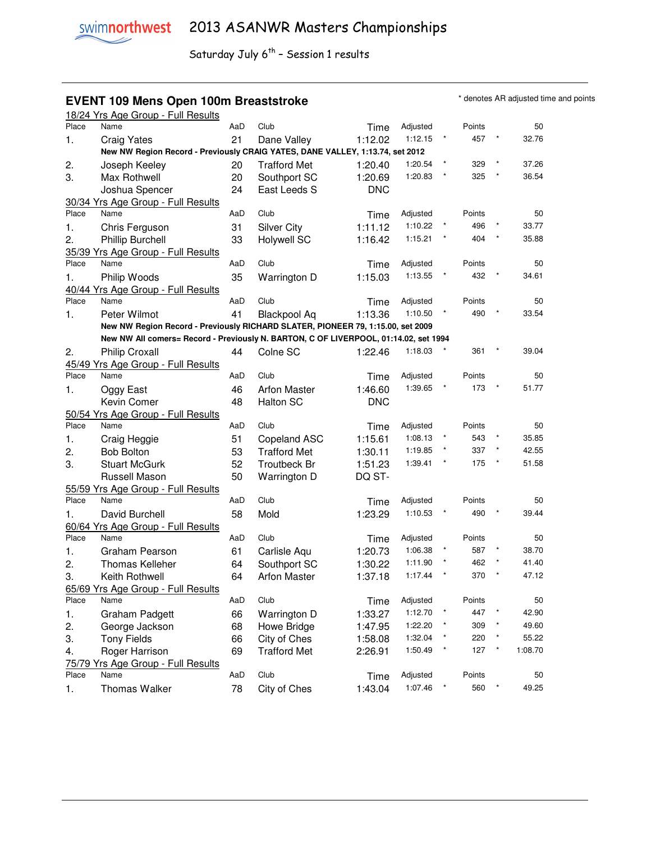#### **EVENT 109 Mens Open 100m Breaststroke EXELL ARE A SOME THE STANDER CONTRACT AREAD OF THE STANDARY OF STANDARY STANDARY STANDARY STANDARY STANDARY STANDARY STANDARY STANDARY STANDARY STANDARY STANDARY STANDARY STANDARY S**

|       | 18/24 Yrs Age Group - Full Results                                                   |     |                     |            |          |        |        |         |         |
|-------|--------------------------------------------------------------------------------------|-----|---------------------|------------|----------|--------|--------|---------|---------|
| Place | Name                                                                                 | AaD | Club                | Time       | Adjusted |        | Points |         | 50      |
| 1.    | <b>Craig Yates</b>                                                                   | 21  | Dane Valley         | 1:12.02    | 1:12.15  | $\ast$ | 457    |         | 32.76   |
|       | New NW Region Record - Previously CRAIG YATES, DANE VALLEY, 1:13.74, set 2012        |     |                     |            |          |        |        |         |         |
| 2.    | Joseph Keeley                                                                        | 20  | <b>Trafford Met</b> | 1:20.40    | 1:20.54  |        | 329    |         | 37.26   |
| 3.    | Max Rothwell                                                                         | 20  | Southport SC        | 1:20.69    | 1:20.83  |        | 325    |         | 36.54   |
|       | Joshua Spencer                                                                       | 24  | East Leeds S        | <b>DNC</b> |          |        |        |         |         |
|       | 30/34 Yrs Age Group - Full Results                                                   |     |                     |            |          |        |        |         |         |
| Place | Name                                                                                 | AaD | Club                | Time       | Adjusted |        | Points |         | 50      |
| 1.    | Chris Ferguson                                                                       | 31  | <b>Silver City</b>  | 1:11.12    | 1:10.22  |        | 496    |         | 33.77   |
| 2.    | <b>Phillip Burchell</b>                                                              | 33  | <b>Holywell SC</b>  | 1:16.42    | 1:15.21  |        | 404    |         | 35.88   |
|       | 35/39 Yrs Age Group - Full Results                                                   |     |                     |            |          |        |        |         |         |
| Place | Name                                                                                 | AaD | Club                | Time       | Adjusted |        | Points |         | 50      |
| 1.    | Philip Woods                                                                         | 35  | Warrington D        | 1:15.03    | 1:13.55  |        | 432    |         | 34.61   |
|       | 40/44 Yrs Age Group - Full Results                                                   |     |                     |            |          |        |        |         |         |
| Place | Name                                                                                 | AaD | Club                | Time       | Adjusted |        | Points |         | 50      |
| 1.    | Peter Wilmot                                                                         | 41  | <b>Blackpool Aq</b> | 1:13.36    | 1:10.50  |        | 490    |         | 33.54   |
|       | New NW Region Record - Previously RICHARD SLATER, PIONEER 79, 1:15.00, set 2009      |     |                     |            |          |        |        |         |         |
|       | New NW All comers= Record - Previously N. BARTON, C OF LIVERPOOL, 01:14.02, set 1994 |     |                     |            |          |        |        |         |         |
| 2.    | <b>Philip Croxall</b>                                                                | 44  | Colne SC            | 1:22.46    | 1:18.03  |        | 361    |         | 39.04   |
|       | 45/49 Yrs Age Group - Full Results                                                   |     |                     |            |          |        |        |         |         |
| Place | Name                                                                                 | AaD | Club                | Time       | Adjusted |        | Points |         | 50      |
| 1.    | Oggy East                                                                            | 46  | <b>Arfon Master</b> | 1:46.60    | 1:39.65  |        | 173    |         | 51.77   |
|       | Kevin Comer                                                                          | 48  | <b>Halton SC</b>    | <b>DNC</b> |          |        |        |         |         |
|       | 50/54 Yrs Age Group - Full Results                                                   |     |                     |            |          |        |        |         |         |
| Place | Name                                                                                 | AaD | Club                | Time       | Adjusted |        | Points |         | 50      |
| 1.    | Craig Heggie                                                                         | 51  | Copeland ASC        | 1:15.61    | 1:08.13  |        | 543    |         | 35.85   |
| 2.    | <b>Bob Bolton</b>                                                                    | 53  | <b>Trafford Met</b> | 1:30.11    | 1:19.85  |        | 337    |         | 42.55   |
| 3.    | <b>Stuart McGurk</b>                                                                 | 52  | <b>Troutbeck Br</b> | 1:51.23    | 1:39.41  |        | 175    |         | 51.58   |
|       | Russell Mason                                                                        | 50  | Warrington D        | DQ ST-     |          |        |        |         |         |
|       | 55/59 Yrs Age Group - Full Results                                                   |     |                     |            |          |        |        |         |         |
| Place | Name                                                                                 | AaD | Club                | Time       | Adjusted |        | Points |         | 50      |
| 1.    | David Burchell                                                                       | 58  | Mold                | 1:23.29    | 1:10.53  |        | 490    |         | 39.44   |
|       | 60/64 Yrs Age Group - Full Results                                                   |     |                     |            |          |        |        |         |         |
| Place | Name                                                                                 | AaD | Club                | Time       | Adjusted |        | Points |         | 50      |
| 1.    | Graham Pearson                                                                       | 61  | Carlisle Aqu        | 1:20.73    | 1:06.38  |        | 587    |         | 38.70   |
| 2.    | <b>Thomas Kelleher</b>                                                               | 64  | Southport SC        | 1:30.22    | 1:11.90  |        | 462    |         | 41.40   |
| 3.    | Keith Rothwell                                                                       | 64  | <b>Arfon Master</b> | 1:37.18    | 1:17.44  |        | 370    |         | 47.12   |
|       | 65/69 Yrs Age Group - Full Results                                                   |     |                     |            |          |        |        |         |         |
| Place | Name                                                                                 | AaD | Club                | Time       | Adjusted |        | Points |         | 50      |
| 1.    | Graham Padgett                                                                       | 66  | Warrington D        | 1:33.27    | 1:12.70  |        | 447    |         | 42.90   |
| 2.    | George Jackson                                                                       | 68  | Howe Bridge         | 1:47.95    | 1:22.20  |        | 309    |         | 49.60   |
| 3.    | <b>Tony Fields</b>                                                                   | 66  | City of Ches        | 1:58.08    | 1:32.04  |        | 220    |         | 55.22   |
| 4.    | Roger Harrison                                                                       | 69  | <b>Trafford Met</b> | 2:26.91    | 1:50.49  |        | 127    | $\star$ | 1:08.70 |
|       | 75/79 Yrs Age Group - Full Results                                                   |     |                     |            |          |        |        |         |         |
| Place | Name                                                                                 | AaD | Club                | Time       | Adjusted |        | Points |         | 50      |
| 1.    | <b>Thomas Walker</b>                                                                 | 78  | City of Ches        | 1:43.04    | 1:07.46  |        | 560    |         | 49.25   |
|       |                                                                                      |     |                     |            |          |        |        |         |         |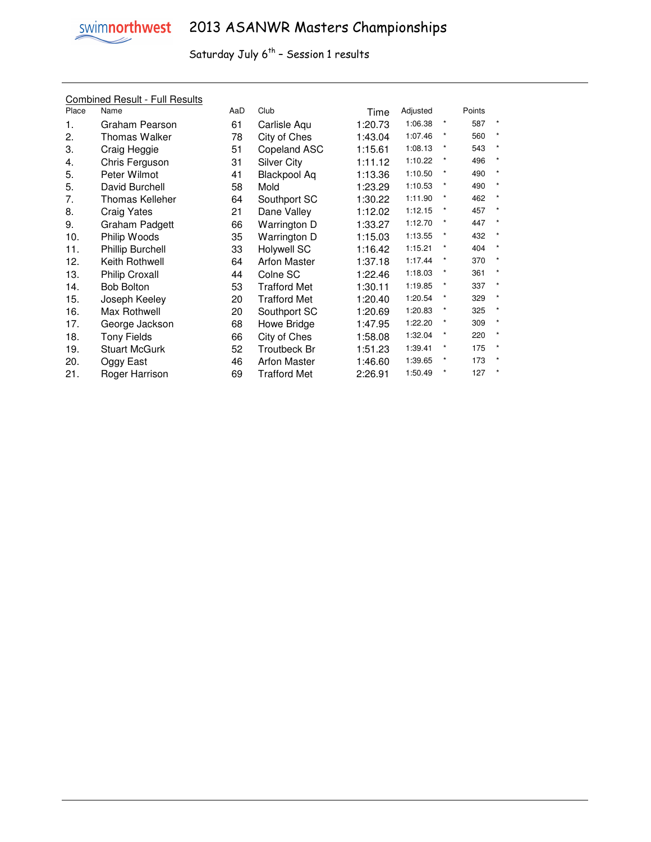

|       | <b>Combined Result - Full Results</b> |     |                     |         |          |            |        |              |
|-------|---------------------------------------|-----|---------------------|---------|----------|------------|--------|--------------|
| Place | Name                                  | AaD | Club                | Time    | Adjusted |            | Points |              |
| 1.    | Graham Pearson                        | 61  | Carlisle Aqu        | 1:20.73 | 1:06.38  | $^\star$   | 587    | $\star$      |
| 2.    | <b>Thomas Walker</b>                  | 78  | City of Ches        | 1:43.04 | 1:07.46  | $\star$    | 560    | $\pmb{\ast}$ |
| 3.    | Craig Heggie                          | 51  | Copeland ASC        | 1:15.61 | 1:08.13  | $\star$    | 543    | $\star$      |
| 4.    | Chris Ferguson                        | 31  | Silver City         | 1:11.12 | 1:10.22  | $\star$    | 496    | $\star$      |
| 5.    | Peter Wilmot                          | 41  | Blackpool Aq        | 1:13.36 | 1:10.50  | $\star$    | 490    | $\star$      |
| 5.    | David Burchell                        | 58  | Mold                | 1:23.29 | 1:10.53  | $\star$    | 490    | $\star$      |
| 7.    | Thomas Kelleher                       | 64  | Southport SC        | 1:30.22 | 1:11.90  | $^{\star}$ | 462    | $\star$      |
| 8.    | Craig Yates                           | 21  | Dane Valley         | 1:12.02 | 1:12.15  | $\star$    | 457    | $\star$      |
| 9.    | Graham Padgett                        | 66  | Warrington D        | 1:33.27 | 1:12.70  | $\star$    | 447    | $\star$      |
| 10.   | Philip Woods                          | 35  | Warrington D        | 1:15.03 | 1:13.55  | $\star$    | 432    | $\star$      |
| 11.   | <b>Phillip Burchell</b>               | 33  | <b>Holywell SC</b>  | 1:16.42 | 1:15.21  | $\star$    | 404    | $\star$      |
| 12.   | Keith Rothwell                        | 64  | <b>Arfon Master</b> | 1:37.18 | 1:17.44  | $^{\star}$ | 370    | $\star$      |
| 13.   | <b>Philip Croxall</b>                 | 44  | Colne SC            | 1:22.46 | 1:18.03  | $\ast$     | 361    | $\star$      |
| 14.   | <b>Bob Bolton</b>                     | 53  | <b>Trafford Met</b> | 1:30.11 | 1:19.85  | $\star$    | 337    | $\star$      |
| 15.   | Joseph Keeley                         | 20  | <b>Trafford Met</b> | 1:20.40 | 1:20.54  | $\star$    | 329    | $\star$      |
| 16.   | Max Rothwell                          | 20  | Southport SC        | 1:20.69 | 1:20.83  | $\star$    | 325    | $\star$      |
| 17.   | George Jackson                        | 68  | Howe Bridge         | 1:47.95 | 1:22.20  | $\star$    | 309    | $\star$      |
| 18.   | Tony Fields                           | 66  | City of Ches        | 1:58.08 | 1:32.04  | $\star$    | 220    | $\star$      |
| 19.   | <b>Stuart McGurk</b>                  | 52  | <b>Troutbeck Br</b> | 1:51.23 | 1:39.41  | $\star$    | 175    | $\star$      |
| 20.   | Oggy East                             | 46  | <b>Arfon Master</b> | 1:46.60 | 1:39.65  | *          | 173    | $\star$      |
| 21.   | Roger Harrison                        | 69  | <b>Trafford Met</b> | 2:26.91 | 1:50.49  | $\star$    | 127    | $\star$      |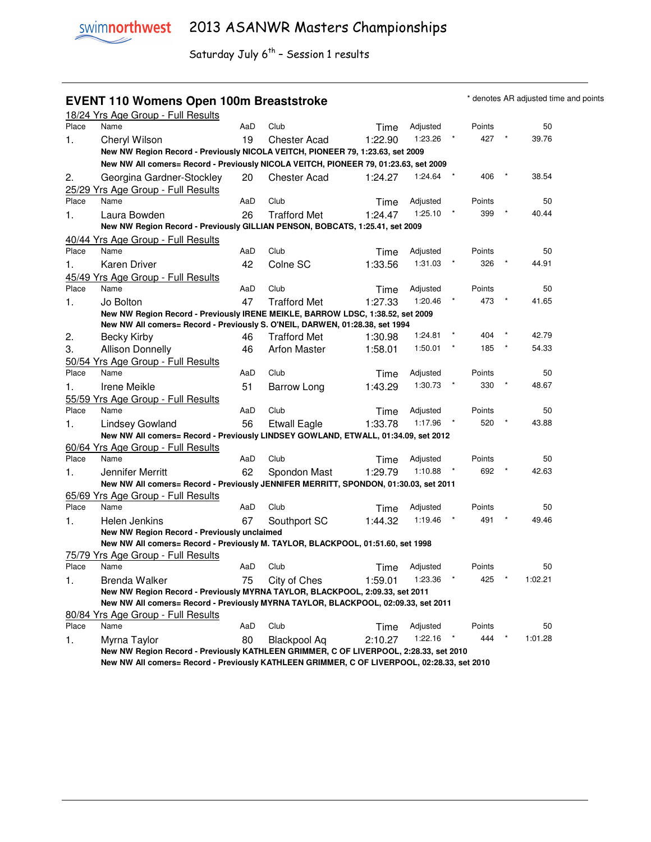### **EVENT 110 Womens Open 100m Breaststroke ALGO CONVERTED A A Additional AR adjusted time and points**

|       | 18/24 Yrs Age Group - Full Results                                                                    |     |                     |         |          |        |         |
|-------|-------------------------------------------------------------------------------------------------------|-----|---------------------|---------|----------|--------|---------|
| Place | Name                                                                                                  | AaD | Club                | Time    | Adjusted | Points | 50      |
| 1.    | Cheryl Wilson                                                                                         | 19  | <b>Chester Acad</b> | 1:22.90 | 1:23.26  | 427    | 39.76   |
|       | New NW Region Record - Previously NICOLA VEITCH, PIONEER 79, 1:23.63, set 2009                        |     |                     |         |          |        |         |
|       | New NW All comers= Record - Previously NICOLA VEITCH, PIONEER 79, 01:23.63, set 2009                  |     |                     |         |          |        |         |
| 2.    | Georgina Gardner-Stockley                                                                             | 20  | <b>Chester Acad</b> | 1:24.27 | 1:24.64  | 406    | 38.54   |
|       | 25/29 Yrs Age Group - Full Results                                                                    |     |                     |         |          |        |         |
| Place | Name                                                                                                  | AaD | Club                | Time    | Adjusted | Points | 50      |
| 1.    | Laura Bowden                                                                                          | 26  | <b>Trafford Met</b> | 1:24.47 | 1:25.10  | 399    | 40.44   |
|       | New NW Region Record - Previously GILLIAN PENSON, BOBCATS, 1:25.41, set 2009                          |     |                     |         |          |        |         |
|       | 40/44 Yrs Age Group - Full Results                                                                    |     |                     |         |          |        |         |
| Place | Name                                                                                                  | AaD | Club                | Time    | Adjusted | Points | 50      |
| 1.    | Karen Driver                                                                                          | 42  | Colne SC            | 1:33.56 | 1:31.03  | 326    | 44.91   |
|       | 45/49 Yrs Age Group - Full Results                                                                    |     |                     |         |          |        |         |
| Place | Name                                                                                                  | AaD | Club                | Time    | Adjusted | Points | 50      |
| 1.    | Jo Bolton                                                                                             | 47  | <b>Trafford Met</b> | 1:27.33 | 1:20.46  | 473    | 41.65   |
|       | New NW Region Record - Previously IRENE MEIKLE, BARROW LDSC, 1:38.52, set 2009                        |     |                     |         |          |        |         |
|       | New NW All comers= Record - Previously S. O'NEIL, DARWEN, 01:28.38, set 1994                          |     |                     |         |          |        |         |
| 2.    | <b>Becky Kirby</b>                                                                                    | 46  | <b>Trafford Met</b> | 1:30.98 | 1:24.81  | 404    | 42.79   |
| 3.    | <b>Allison Donnelly</b>                                                                               | 46  | <b>Arfon Master</b> | 1:58.01 | 1:50.01  | 185    | 54.33   |
|       | 50/54 Yrs Age Group - Full Results                                                                    |     |                     |         |          |        |         |
| Place | Name                                                                                                  | AaD | Club                | Time    | Adjusted | Points | 50      |
| 1.    | Irene Meikle                                                                                          | 51  | Barrow Long         | 1:43.29 | 1:30.73  | 330    | 48.67   |
|       | 55/59 Yrs Age Group - Full Results                                                                    |     |                     |         |          |        |         |
| Place | Name                                                                                                  | AaD | Club                | Time    | Adjusted | Points | 50      |
| 1.    | Lindsey Gowland                                                                                       | 56  | <b>Etwall Eagle</b> | 1:33.78 | 1:17.96  | 520    | 43.88   |
|       | New NW All comers= Record - Previously LINDSEY GOWLAND, ETWALL, 01:34.09, set 2012                    |     |                     |         |          |        |         |
|       | 60/64 Yrs Age Group - Full Results                                                                    |     |                     |         |          |        |         |
| Place | Name                                                                                                  | AaD | Club                | Time    | Adjusted | Points | 50      |
| 1.    | Jennifer Merritt                                                                                      | 62  | Spondon Mast        | 1:29.79 | 1:10.88  | 692    | 42.63   |
|       | New NW All comers= Record - Previously JENNIFER MERRITT, SPONDON, 01:30.03, set 2011                  |     |                     |         |          |        |         |
|       | 65/69 Yrs Age Group - Full Results                                                                    |     |                     |         |          |        |         |
| Place | Name                                                                                                  | AaD | Club                | Time    | Adjusted | Points | 50      |
| 1.    | Helen Jenkins                                                                                         | 67  | Southport SC        | 1:44.32 | 1:19.46  | 491    | 49.46   |
|       | New NW Region Record - Previously unclaimed                                                           |     |                     |         |          |        |         |
|       | New NW All comers= Record - Previously M. TAYLOR, BLACKPOOL, 01:51.60, set 1998                       |     |                     |         |          |        |         |
|       | 75/79 Yrs Age Group - Full Results                                                                    |     |                     |         |          |        |         |
| Place | Name                                                                                                  | AaD | Club                | Time    | Adjusted | Points | 50      |
| 1.    | Brenda Walker                                                                                         | 75  | City of Ches        | 1:59.01 | 1:23.36  | 425    | 1:02.21 |
|       | New NW Region Record - Previously MYRNA TAYLOR, BLACKPOOL, 2:09.33, set 2011                          |     |                     |         |          |        |         |
|       | New NW All comers= Record - Previously MYRNA TAYLOR, BLACKPOOL, 02:09.33, set 2011                    |     |                     |         |          |        |         |
| Place | 80/84 Yrs Age Group - Full Results<br>Name                                                            | AaD | Club                |         | Adjusted | Points | 50      |
|       |                                                                                                       | 80  |                     | Time    | 1:22.16  | 444    | 1:01.28 |
| 1.    | Myrna Taylor<br>New NW Region Record - Previously KATHLEEN GRIMMER, C OF LIVERPOOL, 2:28.33, set 2010 |     | Blackpool Aq        | 2:10.27 |          |        |         |
|       | New NW All comers= Record - Previously KATHLEEN GRIMMER, C OF LIVERPOOL, 02:28.33, set 2010           |     |                     |         |          |        |         |
|       |                                                                                                       |     |                     |         |          |        |         |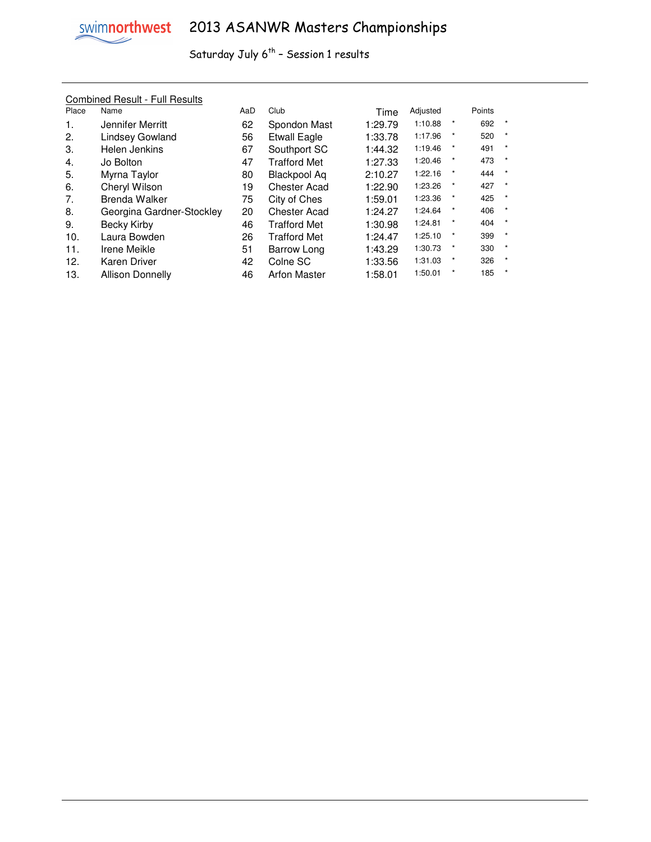

#### Combined Result - Full Results

| Place | Name                      | AaD | Club                | Time    | Adjusted |            | Points |              |
|-------|---------------------------|-----|---------------------|---------|----------|------------|--------|--------------|
| 1.    | Jennifer Merritt          | 62  | Spondon Mast        | 1:29.79 | 1:10.88  | *          | 692    | $\ast$       |
| 2.    | <b>Lindsey Gowland</b>    | 56  | <b>Etwall Eagle</b> | 1:33.78 | 1:17.96  | $^{\star}$ | 520    | $\ast$       |
| 3.    | Helen Jenkins             | 67  | Southport SC        | 1:44.32 | 1:19.46  | *          | 491    | $\star$      |
| 4.    | Jo Bolton                 | 47  | Trafford Met        | 1:27.33 | 1:20.46  |            | 473    | $\star$      |
| 5.    | Myrna Taylor              | 80  | Blackpool Aq        | 2:10.27 | 1:22.16  | $^{\star}$ | 444    | $\star$      |
| 6.    | Cheryl Wilson             | 19  | <b>Chester Acad</b> | 1:22.90 | 1:23.26  | $\star$    | 427    | $\star$      |
| 7.    | <b>Brenda Walker</b>      | 75  | City of Ches        | 1:59.01 | 1:23.36  | *          | 425    | $\star$      |
| 8.    | Georgina Gardner-Stockley | 20  | Chester Acad        | 1:24.27 | 1:24.64  | $^{\star}$ | 406    | $\pmb{\ast}$ |
| 9.    | Becky Kirby               | 46  | Trafford Met        | 1:30.98 | 1:24.81  | *          | 404    | $\star$      |
| 10.   | Laura Bowden              | 26  | <b>Trafford Met</b> | 1:24.47 | 1:25.10  | $^{\star}$ | 399    | $\star$      |
| 11.   | Irene Meikle              | 51  | Barrow Long         | 1:43.29 | 1:30.73  | $\star$    | 330    | $\star$      |
| 12.   | Karen Driver              | 42  | Colne SC            | 1:33.56 | 1:31.03  | $\star$    | 326    | $\star$      |
| 13.   | Allison Donnelly          | 46  | <b>Arfon Master</b> | 1:58.01 | 1:50.01  |            | 185    | $\star$      |
|       |                           |     |                     |         |          |            |        |              |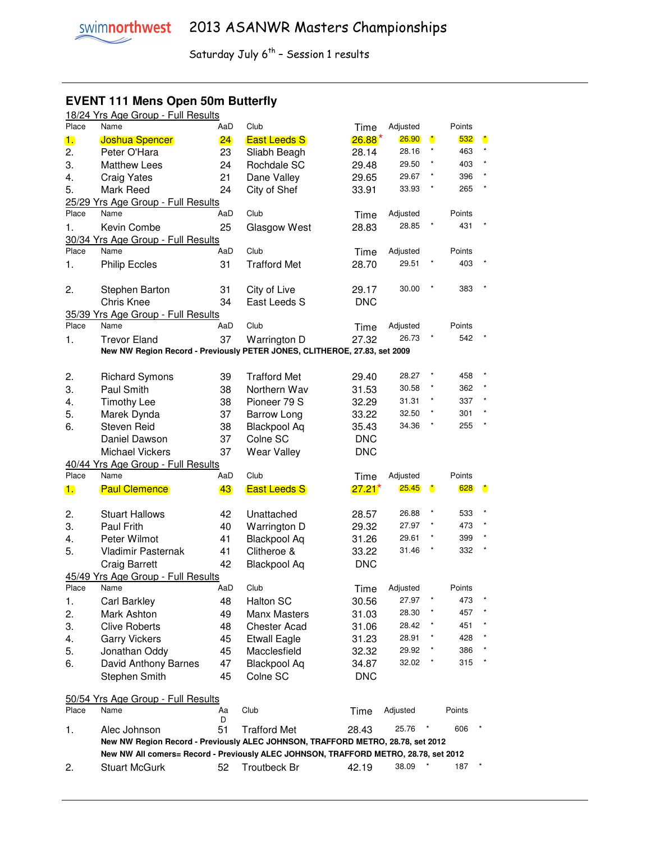## **EVENT 111 Mens Open 50m Butterfly**

|       | 18/24 Yrs Age Group - Full Results                                                                           |     |                     |            |                   |                      |        |                      |
|-------|--------------------------------------------------------------------------------------------------------------|-----|---------------------|------------|-------------------|----------------------|--------|----------------------|
| Place | Name                                                                                                         | AaD | Club                | Time       | Adjusted          |                      | Points |                      |
| 1.    | <b>Joshua Spencer</b>                                                                                        | 24  | <b>East Leeds S</b> | 26.88      | 26.90             | $\ddot{\phantom{a}}$ | 532    | $\ddot{\phantom{a}}$ |
| 2.    | Peter O'Hara                                                                                                 | 23  | Sliabh Beagh        | 28.14      | 28.16             | $\star$              | 463    | $\star$              |
| 3.    | <b>Matthew Lees</b>                                                                                          | 24  | Rochdale SC         | 29.48      | 29.50             | $^{\star}$           | 403    |                      |
| 4.    | <b>Craig Yates</b>                                                                                           | 21  | Dane Valley         | 29.65      | 29.67             | *                    | 396    |                      |
| 5.    | Mark Reed                                                                                                    | 24  | City of Shef        | 33.91      | 33.93             |                      | 265    |                      |
|       | 25/29 Yrs Age Group - Full Results                                                                           |     |                     |            |                   |                      |        |                      |
| Place | Name                                                                                                         | AaD | Club                | Time       | Adjusted          |                      | Points |                      |
| 1.    | Kevin Combe                                                                                                  | 25  | Glasgow West        | 28.83      | 28.85             |                      | 431    |                      |
|       | 30/34 Yrs Age Group - Full Results                                                                           |     |                     |            |                   |                      |        |                      |
| Place | Name                                                                                                         | AaD | Club                | Time       | Adjusted          |                      | Points |                      |
| 1.    | <b>Philip Eccles</b>                                                                                         | 31  | <b>Trafford Met</b> | 28.70      | 29.51             |                      | 403    |                      |
|       |                                                                                                              |     |                     |            |                   |                      |        |                      |
| 2.    | Stephen Barton                                                                                               | 31  | City of Live        | 29.17      | 30.00             |                      | 383    |                      |
|       | Chris Knee                                                                                                   | 34  | East Leeds S        | <b>DNC</b> |                   |                      |        |                      |
|       | 35/39 Yrs Age Group - Full Results                                                                           |     |                     |            |                   |                      |        |                      |
| Place | Name                                                                                                         | AaD | Club                | Time       | Adjusted          |                      | Points |                      |
| 1.    | <b>Trevor Eland</b>                                                                                          | 37  | Warrington D        | 27.32      | 26.73             |                      | 542    |                      |
|       | New NW Region Record - Previously PETER JONES, CLITHEROE, 27.83, set 2009                                    |     |                     |            |                   |                      |        |                      |
|       |                                                                                                              |     |                     |            |                   |                      |        |                      |
| 2.    | <b>Richard Symons</b>                                                                                        | 39  | <b>Trafford Met</b> | 29.40      | 28.27             |                      | 458    |                      |
| 3.    | Paul Smith                                                                                                   | 38  | Northern Wav        | 31.53      | 30.58             |                      | 362    |                      |
| 4.    | <b>Timothy Lee</b>                                                                                           | 38  | Pioneer 79 S        | 32.29      | 31.31             |                      | 337    |                      |
| 5.    | Marek Dynda                                                                                                  | 37  | <b>Barrow Long</b>  | 33.22      | 32.50             |                      | 301    |                      |
| 6.    | <b>Steven Reid</b>                                                                                           | 38  | <b>Blackpool Aq</b> | 35.43      | 34.36             |                      | 255    |                      |
|       | Daniel Dawson                                                                                                | 37  | Colne SC            | <b>DNC</b> |                   |                      |        |                      |
|       |                                                                                                              |     |                     |            |                   |                      |        |                      |
|       |                                                                                                              |     |                     |            |                   |                      |        |                      |
|       | <b>Michael Vickers</b>                                                                                       | 37  | Wear Valley         | <b>DNC</b> |                   |                      |        |                      |
|       | 40/44 Yrs Age Group - Full Results<br>Name                                                                   |     |                     |            |                   |                      |        |                      |
| Place |                                                                                                              | AaD | Club                | Time       | Adjusted          |                      | Points |                      |
| 1.    | <b>Paul Clemence</b>                                                                                         | 43  | <b>East Leeds S</b> | $27.21^*$  | <b>25.45</b>      | ٥                    | 628    | $\bullet$            |
|       |                                                                                                              |     |                     |            | 26.88             | $^\star$             | 533    |                      |
| 2.    | <b>Stuart Hallows</b>                                                                                        | 42  | Unattached          | 28.57      | 27.97             | $\star$              | 473    |                      |
| 3.    | Paul Frith                                                                                                   | 40  | Warrington D        | 29.32      | 29.61             | $^{\star}$           | 399    | $\star$              |
| 4.    | Peter Wilmot                                                                                                 | 41  | <b>Blackpool Aq</b> | 31.26      | 31.46             | $^{\star}$           | 332    | $\star$              |
| 5.    | Vladimir Pasternak                                                                                           | 41  | Clitheroe &         | 33.22      |                   |                      |        |                      |
|       | <b>Craig Barrett</b>                                                                                         | 42  | <b>Blackpool Aq</b> | <b>DNC</b> |                   |                      |        |                      |
|       | 45/49 Yrs Age Group - Full Results<br>Name                                                                   |     |                     |            |                   |                      | Points |                      |
| Place |                                                                                                              | AaD | Club                | Time       | Adjusted<br>27.97 |                      | 473    |                      |
| 1.    | Carl Barkley                                                                                                 | 48  | <b>Halton SC</b>    | 30.56      | 28.30             |                      | 457    |                      |
| 2.    | Mark Ashton                                                                                                  | 49  | Manx Masters        | 31.03      | 28.42             |                      | 451    |                      |
| 3.    | <b>Clive Roberts</b>                                                                                         | 48  | <b>Chester Acad</b> | 31.06      |                   |                      | 428    |                      |
| 4.    | <b>Garry Vickers</b>                                                                                         | 45  | <b>Etwall Eagle</b> | 31.23      | 28.91             |                      |        |                      |
| 5.    | Jonathan Oddy                                                                                                | 45  | Macclesfield        | 32.32      | 29.92             |                      | 386    |                      |
| 6.    | David Anthony Barnes                                                                                         | 47  | <b>Blackpool Aq</b> | 34.87      | 32.02             |                      | 315    |                      |
|       | Stephen Smith                                                                                                | 45  | Colne SC            | <b>DNC</b> |                   |                      |        |                      |
|       |                                                                                                              |     |                     |            |                   |                      |        |                      |
| Place | 50/54 Yrs Age Group - Full Results<br>Name                                                                   | Aa  | Club                | Time       | Adjusted          |                      | Points |                      |
|       |                                                                                                              | D   |                     |            |                   |                      |        |                      |
| 1.    | Alec Johnson                                                                                                 | 51  | <b>Trafford Met</b> | 28.43      | 25.76             |                      | 606    |                      |
|       | New NW Region Record - Previously ALEC JOHNSON, TRAFFORD METRO, 28.78, set 2012                              |     |                     |            |                   |                      |        |                      |
| 2.    | New NW All comers= Record - Previously ALEC JOHNSON, TRAFFORD METRO, 28.78, set 2012<br><b>Stuart McGurk</b> | 52  | Troutbeck Br        | 42.19      | 38.09             |                      | 187    |                      |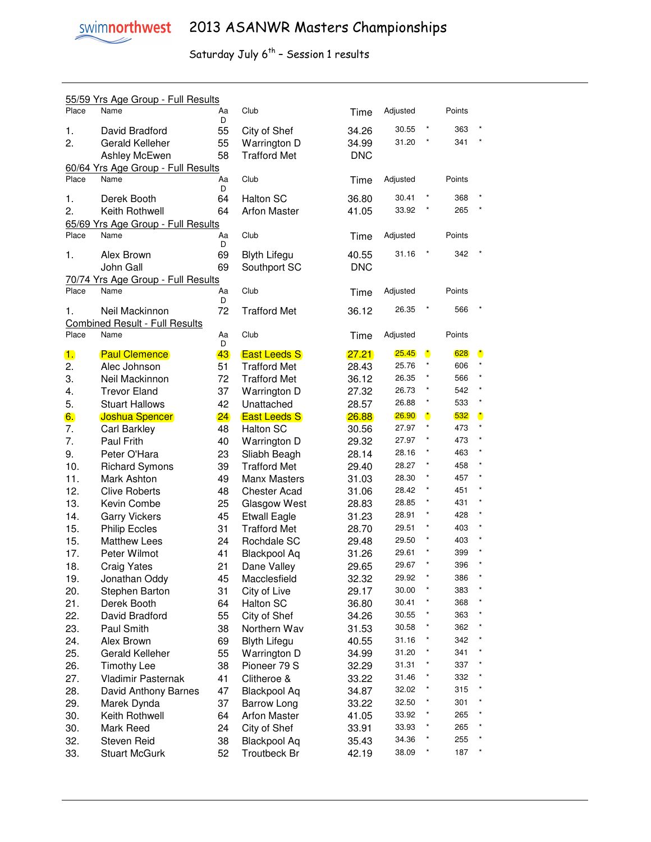|       | 55/59 Yrs Age Group - Full Results         |         |                     |            |          |              |        |                      |
|-------|--------------------------------------------|---------|---------------------|------------|----------|--------------|--------|----------------------|
| Place | Name                                       | Aa<br>D | Club                | Time       | Adjusted |              | Points |                      |
| 1.    | David Bradford                             | 55      | City of Shef        | 34.26      | 30.55    | $\pmb{\ast}$ | 363    |                      |
| 2.    | Gerald Kelleher                            | 55      | Warrington D        | 34.99      | 31.20    | $\pmb{\ast}$ | 341    | $^{\star}$           |
|       | Ashley McEwen                              | 58      | <b>Trafford Met</b> | <b>DNC</b> |          |              |        |                      |
|       | 60/64 Yrs Age Group - Full Results         |         |                     |            |          |              |        |                      |
| Place | Name                                       | Aa      | Club                | Time       | Adjusted |              | Points |                      |
| 1.    | Derek Booth                                | D<br>64 | Halton SC           | 36.80      | 30.41    | $\star$      | 368    |                      |
| 2.    | Keith Rothwell                             | 64      | <b>Arfon Master</b> | 41.05      | 33.92    |              | 265    |                      |
|       | 65/69 Yrs Age Group - Full Results         |         |                     |            |          |              |        |                      |
| Place | Name                                       | Aa      | Club                | Time       | Adjusted |              | Points |                      |
| 1.    | Alex Brown                                 | D<br>69 | <b>Blyth Lifegu</b> | 40.55      | 31.16    |              | 342    |                      |
|       | John Gall                                  | 69      | Southport SC        | <b>DNC</b> |          |              |        |                      |
|       |                                            |         |                     |            |          |              |        |                      |
| Place | 70/74 Yrs Age Group - Full Results<br>Name | Aa      | Club                | Time       | Adjusted |              | Points |                      |
|       |                                            | D       |                     |            |          |              |        |                      |
| 1.    | Neil Mackinnon                             | 72      | <b>Trafford Met</b> | 36.12      | 26.35    | $^{\star}$   | 566    |                      |
|       | <b>Combined Result - Full Results</b>      |         |                     |            |          |              |        |                      |
| Place | Name                                       | Aa<br>D | Club                | Time       | Adjusted |              | Points |                      |
| 1.    | <b>Paul Clemence</b>                       | 43      | <b>East Leeds S</b> | 27.21      | 25.45    | $\bullet$    | 628    | $\ddot{\phantom{a}}$ |
| 2.    | Alec Johnson                               | 51      | <b>Trafford Met</b> | 28.43      | 25.76    | $\star$      | 606    | *                    |
| 3.    | Neil Mackinnon                             | 72      | <b>Trafford Met</b> | 36.12      | 26.35    | $\star$      | 566    | *                    |
| 4.    | <b>Trevor Eland</b>                        | 37      | Warrington D        | 27.32      | 26.73    | $\star$      | 542    | $\star$              |
| 5.    | <b>Stuart Hallows</b>                      | 42      | Unattached          | 28.57      | 26.88    | $\star$      | 533    |                      |
| 6.    | <b>Joshua Spencer</b>                      | 24      | <b>East Leeds S</b> | 26.88      | 26.90    | $\bullet$    | 532    | $\bullet$            |
| 7.    | Carl Barkley                               | 48      | <b>Halton SC</b>    | 30.56      | 27.97    | $\star$      | 473    | $\star$              |
| 7.    | Paul Frith                                 | 40      | Warrington D        | 29.32      | 27.97    | $\star$      | 473    |                      |
| 9.    | Peter O'Hara                               | 23      | Sliabh Beagh        | 28.14      | 28.16    |              | 463    |                      |
| 10.   | <b>Richard Symons</b>                      | 39      | <b>Trafford Met</b> | 29.40      | 28.27    |              | 458    |                      |
| 11.   | Mark Ashton                                | 49      | Manx Masters        | 31.03      | 28.30    |              | 457    |                      |
| 12.   | <b>Clive Roberts</b>                       | 48      | <b>Chester Acad</b> | 31.06      | 28.42    | *            | 451    |                      |
| 13.   | Kevin Combe                                | 25      | Glasgow West        | 28.83      | 28.85    | *            | 431    |                      |
| 14.   | <b>Garry Vickers</b>                       | 45      | <b>Etwall Eagle</b> | 31.23      | 28.91    | *            | 428    |                      |
| 15.   | <b>Philip Eccles</b>                       | 31      | <b>Trafford Met</b> | 28.70      | 29.51    | $\star$      | 403    |                      |
| 15.   | <b>Matthew Lees</b>                        | 24      | Rochdale SC         | 29.48      | 29.50    | $\star$      | 403    |                      |
| 17.   | Peter Wilmot                               | 41      | <b>Blackpool Aq</b> | 31.26      | 29.61    | $\star$      | 399    |                      |
| 18.   | <b>Craig Yates</b>                         | 21      | Dane Valley         | 29.65      | 29.67    | $\star$      | 396    |                      |
| 19.   | Jonathan Oddy                              | 45      | Macclesfield        | 32.32      | 29.92    | $\star$      | 386    |                      |
| 20.   | Stephen Barton                             | 31      | City of Live        | 29.17      | 30.00    |              | 383    |                      |
| 21.   | Derek Booth                                | 64      | Halton SC           | 36.80      | 30.41    | $^\star$     | 368    |                      |
| 22.   | David Bradford                             | 55      | City of Shef        | 34.26      | 30.55    | $^\star$     | 363    |                      |
| 23.   | Paul Smith                                 | 38      | Northern Wav        | 31.53      | 30.58    | $^\star$     | 362    |                      |
| 24.   | Alex Brown                                 | 69      | <b>Blyth Lifegu</b> | 40.55      | 31.16    | $^\star$     | 342    |                      |
| 25.   | Gerald Kelleher                            | 55      | Warrington D        | 34.99      | 31.20    | $^\star$     | 341    |                      |
| 26.   | <b>Timothy Lee</b>                         | 38      | Pioneer 79 S        | 32.29      | 31.31    | $^\star$     | 337    |                      |
| 27.   | Vladimir Pasternak                         | 41      | Clitheroe &         | 33.22      | 31.46    | $^\star$     | 332    |                      |
| 28.   | David Anthony Barnes                       | 47      | <b>Blackpool Aq</b> | 34.87      | 32.02    | $^\star$     | 315    |                      |
| 29.   | Marek Dynda                                | 37      | <b>Barrow Long</b>  | 33.22      | 32.50    | $\pmb{\ast}$ | 301    |                      |
| 30.   | Keith Rothwell                             | 64      | <b>Arfon Master</b> | 41.05      | 33.92    | *            | 265    |                      |
| 30.   | Mark Reed                                  | 24      | City of Shef        | 33.91      | 33.93    |              | 265    |                      |
| 32.   | Steven Reid                                | 38      | <b>Blackpool Aq</b> | 35.43      | 34.36    |              | 255    |                      |
| 33.   | <b>Stuart McGurk</b>                       | 52      | Troutbeck Br        | 42.19      | 38.09    |              | 187    |                      |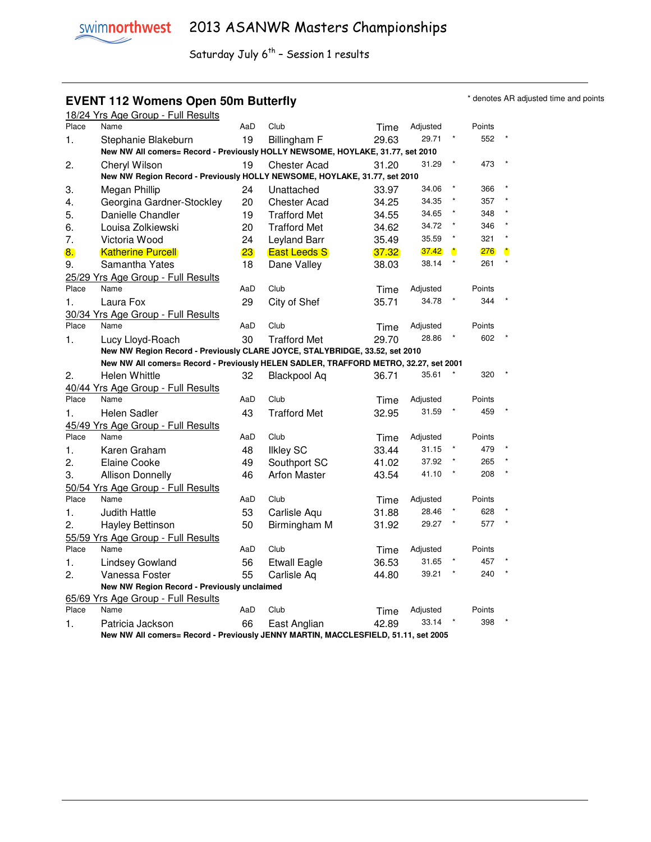### **EVENT 112 Womens Open 50m Butterfly EVENT 112 Womens Open 50m Butterfly**

| Name                      | AaD                                                                                                                                                                                                                                                                                                                                                                                                                                                                                                                                                                                                          | Club                                                                                                                       | Time                                                                                                                                                                                                                                                                                                                                      | Adjusted                                                                                                                                 |                                                                                                                                                                                                                                                                                                                                                                                                                                         | Points                                                                                                                                                                                |                                                                                                                                                     |
|---------------------------|--------------------------------------------------------------------------------------------------------------------------------------------------------------------------------------------------------------------------------------------------------------------------------------------------------------------------------------------------------------------------------------------------------------------------------------------------------------------------------------------------------------------------------------------------------------------------------------------------------------|----------------------------------------------------------------------------------------------------------------------------|-------------------------------------------------------------------------------------------------------------------------------------------------------------------------------------------------------------------------------------------------------------------------------------------------------------------------------------------|------------------------------------------------------------------------------------------------------------------------------------------|-----------------------------------------------------------------------------------------------------------------------------------------------------------------------------------------------------------------------------------------------------------------------------------------------------------------------------------------------------------------------------------------------------------------------------------------|---------------------------------------------------------------------------------------------------------------------------------------------------------------------------------------|-----------------------------------------------------------------------------------------------------------------------------------------------------|
| Stephanie Blakeburn       | 19                                                                                                                                                                                                                                                                                                                                                                                                                                                                                                                                                                                                           | Billingham F                                                                                                               | 29.63                                                                                                                                                                                                                                                                                                                                     | 29.71                                                                                                                                    |                                                                                                                                                                                                                                                                                                                                                                                                                                         | 552                                                                                                                                                                                   |                                                                                                                                                     |
|                           |                                                                                                                                                                                                                                                                                                                                                                                                                                                                                                                                                                                                              |                                                                                                                            |                                                                                                                                                                                                                                                                                                                                           |                                                                                                                                          |                                                                                                                                                                                                                                                                                                                                                                                                                                         |                                                                                                                                                                                       |                                                                                                                                                     |
| Cheryl Wilson             | 19                                                                                                                                                                                                                                                                                                                                                                                                                                                                                                                                                                                                           | <b>Chester Acad</b>                                                                                                        | 31.20                                                                                                                                                                                                                                                                                                                                     | 31.29                                                                                                                                    |                                                                                                                                                                                                                                                                                                                                                                                                                                         | 473                                                                                                                                                                                   |                                                                                                                                                     |
|                           |                                                                                                                                                                                                                                                                                                                                                                                                                                                                                                                                                                                                              |                                                                                                                            |                                                                                                                                                                                                                                                                                                                                           |                                                                                                                                          |                                                                                                                                                                                                                                                                                                                                                                                                                                         |                                                                                                                                                                                       |                                                                                                                                                     |
| Megan Phillip             | 24                                                                                                                                                                                                                                                                                                                                                                                                                                                                                                                                                                                                           | Unattached                                                                                                                 | 33.97                                                                                                                                                                                                                                                                                                                                     | 34.06                                                                                                                                    |                                                                                                                                                                                                                                                                                                                                                                                                                                         | 366                                                                                                                                                                                   |                                                                                                                                                     |
| Georgina Gardner-Stockley | 20                                                                                                                                                                                                                                                                                                                                                                                                                                                                                                                                                                                                           | <b>Chester Acad</b>                                                                                                        | 34.25                                                                                                                                                                                                                                                                                                                                     | 34.35                                                                                                                                    |                                                                                                                                                                                                                                                                                                                                                                                                                                         | 357                                                                                                                                                                                   |                                                                                                                                                     |
|                           |                                                                                                                                                                                                                                                                                                                                                                                                                                                                                                                                                                                                              | <b>Trafford Met</b>                                                                                                        | 34.55                                                                                                                                                                                                                                                                                                                                     | 34.65                                                                                                                                    |                                                                                                                                                                                                                                                                                                                                                                                                                                         | 348                                                                                                                                                                                   |                                                                                                                                                     |
| Louisa Zolkiewski         | 20                                                                                                                                                                                                                                                                                                                                                                                                                                                                                                                                                                                                           | <b>Trafford Met</b>                                                                                                        | 34.62                                                                                                                                                                                                                                                                                                                                     |                                                                                                                                          |                                                                                                                                                                                                                                                                                                                                                                                                                                         |                                                                                                                                                                                       |                                                                                                                                                     |
| Victoria Wood             | 24                                                                                                                                                                                                                                                                                                                                                                                                                                                                                                                                                                                                           | Leyland Barr                                                                                                               |                                                                                                                                                                                                                                                                                                                                           | 35.59                                                                                                                                    |                                                                                                                                                                                                                                                                                                                                                                                                                                         | 321                                                                                                                                                                                   |                                                                                                                                                     |
| <b>Katherine Purcell</b>  |                                                                                                                                                                                                                                                                                                                                                                                                                                                                                                                                                                                                              | <b>East Leeds S</b>                                                                                                        | 37.32                                                                                                                                                                                                                                                                                                                                     | 37.42                                                                                                                                    | $\mathbf{r}$                                                                                                                                                                                                                                                                                                                                                                                                                            | 276                                                                                                                                                                                   | ×                                                                                                                                                   |
| Samantha Yates            |                                                                                                                                                                                                                                                                                                                                                                                                                                                                                                                                                                                                              |                                                                                                                            |                                                                                                                                                                                                                                                                                                                                           |                                                                                                                                          |                                                                                                                                                                                                                                                                                                                                                                                                                                         |                                                                                                                                                                                       |                                                                                                                                                     |
|                           |                                                                                                                                                                                                                                                                                                                                                                                                                                                                                                                                                                                                              |                                                                                                                            |                                                                                                                                                                                                                                                                                                                                           |                                                                                                                                          |                                                                                                                                                                                                                                                                                                                                                                                                                                         |                                                                                                                                                                                       |                                                                                                                                                     |
|                           |                                                                                                                                                                                                                                                                                                                                                                                                                                                                                                                                                                                                              |                                                                                                                            | Time                                                                                                                                                                                                                                                                                                                                      |                                                                                                                                          |                                                                                                                                                                                                                                                                                                                                                                                                                                         |                                                                                                                                                                                       |                                                                                                                                                     |
| Laura Fox                 |                                                                                                                                                                                                                                                                                                                                                                                                                                                                                                                                                                                                              |                                                                                                                            | 35.71                                                                                                                                                                                                                                                                                                                                     |                                                                                                                                          |                                                                                                                                                                                                                                                                                                                                                                                                                                         |                                                                                                                                                                                       |                                                                                                                                                     |
|                           |                                                                                                                                                                                                                                                                                                                                                                                                                                                                                                                                                                                                              |                                                                                                                            |                                                                                                                                                                                                                                                                                                                                           |                                                                                                                                          |                                                                                                                                                                                                                                                                                                                                                                                                                                         |                                                                                                                                                                                       |                                                                                                                                                     |
|                           |                                                                                                                                                                                                                                                                                                                                                                                                                                                                                                                                                                                                              |                                                                                                                            | Time                                                                                                                                                                                                                                                                                                                                      |                                                                                                                                          |                                                                                                                                                                                                                                                                                                                                                                                                                                         |                                                                                                                                                                                       |                                                                                                                                                     |
|                           |                                                                                                                                                                                                                                                                                                                                                                                                                                                                                                                                                                                                              |                                                                                                                            |                                                                                                                                                                                                                                                                                                                                           |                                                                                                                                          |                                                                                                                                                                                                                                                                                                                                                                                                                                         |                                                                                                                                                                                       |                                                                                                                                                     |
|                           |                                                                                                                                                                                                                                                                                                                                                                                                                                                                                                                                                                                                              |                                                                                                                            |                                                                                                                                                                                                                                                                                                                                           |                                                                                                                                          |                                                                                                                                                                                                                                                                                                                                                                                                                                         |                                                                                                                                                                                       |                                                                                                                                                     |
|                           |                                                                                                                                                                                                                                                                                                                                                                                                                                                                                                                                                                                                              |                                                                                                                            |                                                                                                                                                                                                                                                                                                                                           |                                                                                                                                          |                                                                                                                                                                                                                                                                                                                                                                                                                                         |                                                                                                                                                                                       |                                                                                                                                                     |
|                           |                                                                                                                                                                                                                                                                                                                                                                                                                                                                                                                                                                                                              |                                                                                                                            |                                                                                                                                                                                                                                                                                                                                           |                                                                                                                                          |                                                                                                                                                                                                                                                                                                                                                                                                                                         |                                                                                                                                                                                       |                                                                                                                                                     |
|                           |                                                                                                                                                                                                                                                                                                                                                                                                                                                                                                                                                                                                              |                                                                                                                            |                                                                                                                                                                                                                                                                                                                                           |                                                                                                                                          |                                                                                                                                                                                                                                                                                                                                                                                                                                         |                                                                                                                                                                                       |                                                                                                                                                     |
|                           |                                                                                                                                                                                                                                                                                                                                                                                                                                                                                                                                                                                                              |                                                                                                                            |                                                                                                                                                                                                                                                                                                                                           |                                                                                                                                          |                                                                                                                                                                                                                                                                                                                                                                                                                                         |                                                                                                                                                                                       |                                                                                                                                                     |
|                           |                                                                                                                                                                                                                                                                                                                                                                                                                                                                                                                                                                                                              |                                                                                                                            |                                                                                                                                                                                                                                                                                                                                           |                                                                                                                                          |                                                                                                                                                                                                                                                                                                                                                                                                                                         |                                                                                                                                                                                       |                                                                                                                                                     |
|                           |                                                                                                                                                                                                                                                                                                                                                                                                                                                                                                                                                                                                              |                                                                                                                            |                                                                                                                                                                                                                                                                                                                                           |                                                                                                                                          |                                                                                                                                                                                                                                                                                                                                                                                                                                         |                                                                                                                                                                                       |                                                                                                                                                     |
|                           |                                                                                                                                                                                                                                                                                                                                                                                                                                                                                                                                                                                                              |                                                                                                                            |                                                                                                                                                                                                                                                                                                                                           |                                                                                                                                          |                                                                                                                                                                                                                                                                                                                                                                                                                                         |                                                                                                                                                                                       |                                                                                                                                                     |
|                           |                                                                                                                                                                                                                                                                                                                                                                                                                                                                                                                                                                                                              |                                                                                                                            |                                                                                                                                                                                                                                                                                                                                           |                                                                                                                                          |                                                                                                                                                                                                                                                                                                                                                                                                                                         |                                                                                                                                                                                       |                                                                                                                                                     |
|                           |                                                                                                                                                                                                                                                                                                                                                                                                                                                                                                                                                                                                              |                                                                                                                            |                                                                                                                                                                                                                                                                                                                                           |                                                                                                                                          |                                                                                                                                                                                                                                                                                                                                                                                                                                         |                                                                                                                                                                                       |                                                                                                                                                     |
|                           |                                                                                                                                                                                                                                                                                                                                                                                                                                                                                                                                                                                                              |                                                                                                                            |                                                                                                                                                                                                                                                                                                                                           |                                                                                                                                          |                                                                                                                                                                                                                                                                                                                                                                                                                                         |                                                                                                                                                                                       |                                                                                                                                                     |
|                           |                                                                                                                                                                                                                                                                                                                                                                                                                                                                                                                                                                                                              |                                                                                                                            |                                                                                                                                                                                                                                                                                                                                           |                                                                                                                                          |                                                                                                                                                                                                                                                                                                                                                                                                                                         |                                                                                                                                                                                       |                                                                                                                                                     |
|                           |                                                                                                                                                                                                                                                                                                                                                                                                                                                                                                                                                                                                              |                                                                                                                            |                                                                                                                                                                                                                                                                                                                                           |                                                                                                                                          |                                                                                                                                                                                                                                                                                                                                                                                                                                         |                                                                                                                                                                                       |                                                                                                                                                     |
|                           |                                                                                                                                                                                                                                                                                                                                                                                                                                                                                                                                                                                                              |                                                                                                                            |                                                                                                                                                                                                                                                                                                                                           |                                                                                                                                          |                                                                                                                                                                                                                                                                                                                                                                                                                                         |                                                                                                                                                                                       |                                                                                                                                                     |
|                           |                                                                                                                                                                                                                                                                                                                                                                                                                                                                                                                                                                                                              |                                                                                                                            |                                                                                                                                                                                                                                                                                                                                           |                                                                                                                                          |                                                                                                                                                                                                                                                                                                                                                                                                                                         |                                                                                                                                                                                       |                                                                                                                                                     |
| Name                      |                                                                                                                                                                                                                                                                                                                                                                                                                                                                                                                                                                                                              |                                                                                                                            |                                                                                                                                                                                                                                                                                                                                           |                                                                                                                                          |                                                                                                                                                                                                                                                                                                                                                                                                                                         |                                                                                                                                                                                       |                                                                                                                                                     |
|                           |                                                                                                                                                                                                                                                                                                                                                                                                                                                                                                                                                                                                              |                                                                                                                            |                                                                                                                                                                                                                                                                                                                                           |                                                                                                                                          |                                                                                                                                                                                                                                                                                                                                                                                                                                         |                                                                                                                                                                                       |                                                                                                                                                     |
|                           |                                                                                                                                                                                                                                                                                                                                                                                                                                                                                                                                                                                                              |                                                                                                                            |                                                                                                                                                                                                                                                                                                                                           |                                                                                                                                          |                                                                                                                                                                                                                                                                                                                                                                                                                                         |                                                                                                                                                                                       |                                                                                                                                                     |
|                           |                                                                                                                                                                                                                                                                                                                                                                                                                                                                                                                                                                                                              |                                                                                                                            |                                                                                                                                                                                                                                                                                                                                           |                                                                                                                                          |                                                                                                                                                                                                                                                                                                                                                                                                                                         |                                                                                                                                                                                       |                                                                                                                                                     |
|                           |                                                                                                                                                                                                                                                                                                                                                                                                                                                                                                                                                                                                              |                                                                                                                            |                                                                                                                                                                                                                                                                                                                                           |                                                                                                                                          |                                                                                                                                                                                                                                                                                                                                                                                                                                         |                                                                                                                                                                                       |                                                                                                                                                     |
| Name                      | AaD                                                                                                                                                                                                                                                                                                                                                                                                                                                                                                                                                                                                          | Club                                                                                                                       | Time                                                                                                                                                                                                                                                                                                                                      | Adjusted                                                                                                                                 |                                                                                                                                                                                                                                                                                                                                                                                                                                         | Points                                                                                                                                                                                |                                                                                                                                                     |
|                           | 66                                                                                                                                                                                                                                                                                                                                                                                                                                                                                                                                                                                                           |                                                                                                                            | 42.89                                                                                                                                                                                                                                                                                                                                     | 33.14                                                                                                                                    |                                                                                                                                                                                                                                                                                                                                                                                                                                         | 398                                                                                                                                                                                   |                                                                                                                                                     |
|                           |                                                                                                                                                                                                                                                                                                                                                                                                                                                                                                                                                                                                              |                                                                                                                            |                                                                                                                                                                                                                                                                                                                                           |                                                                                                                                          |                                                                                                                                                                                                                                                                                                                                                                                                                                         |                                                                                                                                                                                       |                                                                                                                                                     |
|                           | 18/24 Yrs Age Group - Full Results<br>Danielle Chandler<br>25/29 Yrs Age Group - Full Results<br>Name<br>30/34 Yrs Age Group - Full Results<br>Name<br>Lucy Lloyd-Roach<br>Helen Whittle<br>40/44 Yrs Age Group - Full Results<br>Name<br><b>Helen Sadler</b><br>45/49 Yrs Age Group - Full Results<br>Name<br>Karen Graham<br>Elaine Cooke<br><b>Allison Donnelly</b><br>50/54 Yrs Age Group - Full Results<br>Name<br><b>Judith Hattle</b><br>Hayley Bettinson<br>55/59 Yrs Age Group - Full Results<br><b>Lindsey Gowland</b><br>Vanessa Foster<br>65/69 Yrs Age Group - Full Results<br>Patricia Jackson | 19<br>23<br>18<br>AaD<br>29<br>AaD<br>30<br>32<br>AaD<br>43<br>AaD<br>48<br>49<br>46<br>AaD<br>53<br>50<br>AaD<br>56<br>55 | Dane Valley<br>Club<br>City of Shef<br>Club<br><b>Trafford Met</b><br>Blackpool Aq<br>Club<br><b>Trafford Met</b><br>Club<br><b>Ilkley SC</b><br>Southport SC<br><b>Arfon Master</b><br>Club<br>Carlisle Aqu<br>Birmingham M<br>Club<br><b>Etwall Eagle</b><br>Carlisle Aq<br>New NW Region Record - Previously unclaimed<br>East Anglian | 35.49<br>38.03<br>29.70<br>36.71<br>Time<br>32.95<br>Time<br>33.44<br>41.02<br>43.54<br>Time<br>31.88<br>31.92<br>Time<br>36.53<br>44.80 | New NW All comers= Record - Previously HOLLY NEWSOME, HOYLAKE, 31.77, set 2010<br>New NW Region Record - Previously HOLLY NEWSOME, HOYLAKE, 31.77, set 2010<br>34.72<br>38.14<br>Adjusted<br>34.78<br>Adjusted<br>28.86<br>New NW Region Record - Previously CLARE JOYCE, STALYBRIDGE, 33.52, set 2010<br>35.61<br>Adjusted<br>31.59<br>Adjusted<br>31.15<br>37.92<br>41.10<br>Adjusted<br>28.46<br>29.27<br>Adjusted<br>31.65<br>39.21 | $\star$<br>New NW All comers= Record - Previously HELEN SADLER, TRAFFORD METRO, 32.27, set 2001<br>New NW All comers= Record - Previously JENNY MARTIN, MACCLESFIELD, 51.11, set 2005 | 346<br>261<br>Points<br>344<br>Points<br>602<br>320<br>Points<br>459<br>Points<br>479<br>265<br>208<br>Points<br>628<br>577<br>Points<br>457<br>240 |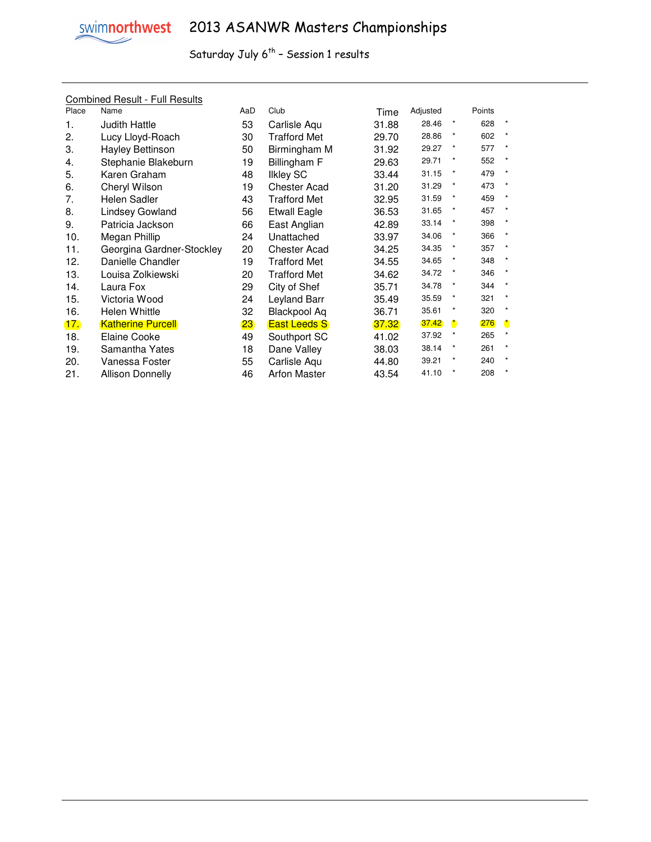

#### Combined Result - Full Results

| Place | Name                      | AaD | Club                | Time  | Adjusted |            | Points |         |
|-------|---------------------------|-----|---------------------|-------|----------|------------|--------|---------|
| 1.    | <b>Judith Hattle</b>      | 53  | Carlisle Aqu        | 31.88 | 28.46    | $^{\star}$ | 628    | $\star$ |
| 2.    | Lucy Lloyd-Roach          | 30  | Trafford Met        | 29.70 | 28.86    | $\ast$     | 602    |         |
| 3.    | Hayley Bettinson          | 50  | Birmingham M        | 31.92 | 29.27    | *          | 577    |         |
| 4.    | Stephanie Blakeburn       | 19  | Billingham F        | 29.63 | 29.71    | *          | 552    | $\star$ |
| 5.    | Karen Graham              | 48  | <b>Ilkley SC</b>    | 33.44 | 31.15    | $\star$    | 479    |         |
| 6.    | Cheryl Wilson             | 19  | <b>Chester Acad</b> | 31.20 | 31.29    | $\star$    | 473    | $\star$ |
| 7.    | Helen Sadler              | 43  | Trafford Met        | 32.95 | 31.59    | $\star$    | 459    |         |
| 8.    | Lindsey Gowland           | 56  | <b>Etwall Eagle</b> | 36.53 | 31.65    | *          | 457    | $\star$ |
| 9.    | Patricia Jackson          | 66  | East Anglian        | 42.89 | 33.14    | *          | 398    | $\star$ |
| 10.   | Megan Phillip             | 24  | Unattached          | 33.97 | 34.06    | $\star$    | 366    |         |
| 11.   | Georgina Gardner-Stockley | 20  | <b>Chester Acad</b> | 34.25 | 34.35    | $\star$    | 357    | $\star$ |
| 12.   | Danielle Chandler         | 19  | Trafford Met        | 34.55 | 34.65    | $\ast$     | 348    | $\star$ |
| 13.   | Louisa Zolkiewski         | 20  | Trafford Met        | 34.62 | 34.72    | $\ast$     | 346    |         |
| 14.   | Laura Fox                 | 29  | City of Shef        | 35.71 | 34.78    | $\star$    | 344    | $\star$ |
| 15.   | Victoria Wood             | 24  | Leyland Barr        | 35.49 | 35.59    | $\star$    | 321    | $\star$ |
| 16.   | Helen Whittle             | 32  | Blackpool Aq        | 36.71 | 35.61    | $\ast$     | 320    | $\star$ |
| 17.   | <b>Katherine Purcell</b>  | 23  | <b>East Leeds S</b> | 37.32 | 37.42    |            | 276    |         |
| 18.   | Elaine Cooke              | 49  | Southport SC        | 41.02 | 37.92    | $\ast$     | 265    |         |
| 19.   | Samantha Yates            | 18  | Dane Valley         | 38.03 | 38.14    | *          | 261    | $\star$ |
| 20.   | Vanessa Foster            | 55  | Carlisle Aqu        | 44.80 | 39.21    |            | 240    |         |
| 21.   | Allison Donnelly          | 46  | <b>Arfon Master</b> | 43.54 | 41.10    | $\star$    | 208    |         |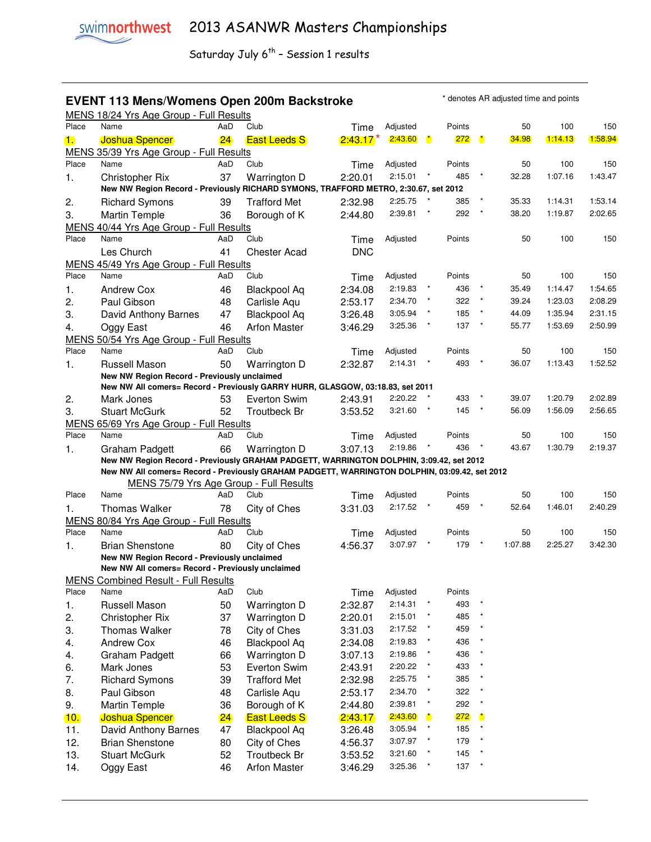### **EVENT 113 Mens/Womens Open 200m Backstroke** \* denotes AR adjusted time and points

MENS 18/24 Yrs Age Group - Full Results Place Name AaD Club Time Adjusted Points 50 100 150 1. Joshua Spencer 24 East Leeds S 2:43.17 2:43.60 \* 272 \* 34.98 1:14.13 1:58.94 MENS 35/39 Yrs Age Group - Full Results Place Name AaD Club Time Adjusted Points 50 100 150 1. Christopher Rix 37 Warrington D 2:20.01 2:15.01 \* 485 \* 32.28 1:07.16 1:43.47  **New NW Region Record - Previously RICHARD SYMONS, TRAFFORD METRO, 2:30.67, set 2012**  2. Richard Symons 39 Trafford Met 2:32.98 2:25.75 \* 385 \* 35.33 1:14.31 1:53.14 3. Martin Temple 36 Borough of K 2:44.80 2:39.81 \* 292 \* 38.20 1:19.87 2:02.65 MENS 40/44 Yrs Age Group - Full Results Place Name AaD Club Time Adjusted Points 50 100 150 Les Church 41 Chester Acad DNC MENS 45/49 Yrs Age Group - Full Results<br>Place Name AaD C Place Name AaD Club Time Adjusted Points 50 100 150 1. Andrew Cox 46 Blackpool Aq 2:34.08 2:19.83 \* 436 \* 35.49 1:14.47 1:54.65 2. Paul Gibson 48 Carlisle Aqu 2:53.17 2:34.70 \* 322 \* 39.24 1:23.03 2:08.29 3. David Anthony Barnes 47 Blackpool Aq 3:26.48 3:05.94 \* 185 \* 44.09 1:35.94 2:31.15 4. Oggy East 46 Arfon Master 3:46.29 3:25.36 \* 137 \* 55.77 1:53.69 2:50.99 MENS 50/54 Yrs Age Group - Full Results Place Name AaD Club Time Adjusted Points 50 100 150 1. Russell Mason 50 Warrington D 2:32.87 2:14.31 \* 493 \* 36.07 1:13.43 1:52.52  **New NW Region Record - Previously unclaimed New NW All comers= Record - Previously GARRY HURR, GLASGOW, 03:18.83, set 2011**  2. Mark Jones 53 Everton Swim 2:43.91 2:20.22 \* 433 \* 39.07 1:20.79 2:02.89 3. Stuart McGurk 52 Troutbeck Br 3:53.52 3:21.60 \* 145 \* 56.09 1:56.09 2:56.65 MENS 65/69 Yrs Age Group - Full Results Place Name AaD Club Time Adjusted Points 50 100 150 1. Graham Padgett 66 Warrington D 3:07.13 2:19.86 \* 436 \* 43.67 1:30.79 2:19.37  **New NW Region Record - Previously GRAHAM PADGETT, WARRINGTON DOLPHIN, 3:09.42, set 2012 New NW All comers= Record - Previously GRAHAM PADGETT, WARRINGTON DOLPHIN, 03:09.42, set 2012**  MENS 75/79 Yrs Age Group - Full Results Place Name AaD Club Time Adjusted Points 50 100 150 1. Thomas Walker 78 City of Ches 3:31.03 2:17.52 \* 459 \* 52.64 1:46.01 2:40.29 MENS 80/84 Yrs Age Group - Full Results Place Name AaD Club Time Adjusted Points 50 100 150 1. Brian Shenstone 80 City of Ches 4:56.37 3:07.97 \* 179 \* 1:07.88 2:25.27 3:42.30  **New NW Region Record - Previously unclaimed New NW All comers= Record - Previously unclaimed**  MENS Combined Result - Full Results Place Name AaD Club Time Adjusted Points 1. Russell Mason 50 Warrington D 2:32.87 2:14.31 \* 493 \* 2. Christopher Rix 37 Warrington D 2:20.01 2:15.01 \* 485 \* 3. Thomas Walker 78 City of Ches 3:31.03 2:17.52 \* 459 \* 4. Andrew Cox 46 Blackpool Aq  $2:34.08$   $2:19.83$   $*$  436 4. Graham Padgett 66 Warrington D 3:07.13 2:19.86 \* 436 \* 6. Mark Jones 53 Everton Swim 2:43.91 2:20.22 \* 433 \* 7. Richard Symons 39 Trafford Met 2:32.98 2:25.75 \* 385 \* 8. Paul Gibson 48 Carlisle Aqu 2:53.17 2:34.70  $*$  322 9. Martin Temple 36 Borough of K 2:44.80 2:39.81 \* 292 \* 10. Joshua Spencer 24 East Leeds S 2:43.17 2:43.60 \* 272 \* 11. David Anthony Barnes 47 Blackpool Aq 3:26.48 3:05.94 \* 185 \* 12. Brian Shenstone 80 City of Ches 4:56.37 3:07.97 \* 179 \* 13. Stuart McGurk 52 Troutbeck Br 3:53.52 3:21.60 \* 145 \* \*

14. Oggy East 46 Arfon Master 3:46.29 3:25.36 \* 137 \*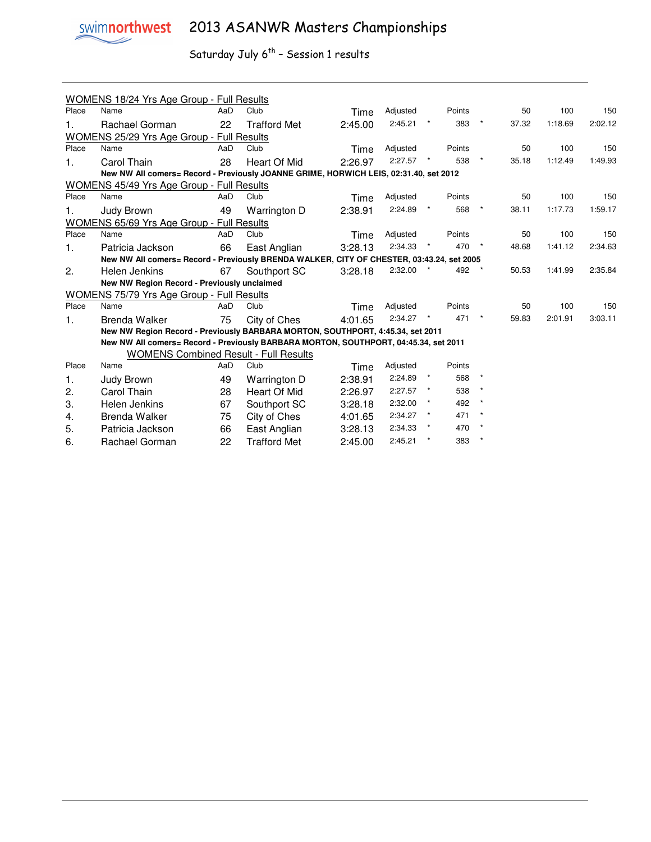

| Place | <b>WOMENS 18/24 Yrs Age Group - Full Results</b><br>Name                                  | AaD | Club                | Time    | Adjusted | Points |         | 50    | 100     | 150     |
|-------|-------------------------------------------------------------------------------------------|-----|---------------------|---------|----------|--------|---------|-------|---------|---------|
|       |                                                                                           |     |                     |         |          |        |         |       |         |         |
| 1.    | Rachael Gorman                                                                            | 22  | <b>Trafford Met</b> | 2:45.00 | 2:45.21  | 383    |         | 37.32 | 1:18.69 | 2:02.12 |
|       | <b>WOMENS 25/29 Yrs Age Group - Full Results</b>                                          |     |                     |         |          |        |         |       |         |         |
| Place | Name                                                                                      | AaD | Club                | Time    | Adjusted | Points |         | 50    | 100     | 150     |
| 1.    | Carol Thain                                                                               | 28  | Heart Of Mid        | 2:26.97 | 2:27.57  | 538    |         | 35.18 | 1:12.49 | 1:49.93 |
|       | New NW All comers= Record - Previously JOANNE GRIME, HORWICH LEIS, 02:31.40, set 2012     |     |                     |         |          |        |         |       |         |         |
|       | <b>WOMENS 45/49 Yrs Age Group - Full Results</b>                                          |     |                     |         |          |        |         |       |         |         |
| Place | Name                                                                                      | AaD | Club                | Time    | Adjusted | Points |         | 50    | 100     | 150     |
| 1.    | Judy Brown                                                                                | 49  | Warrington D        | 2:38.91 | 2:24.89  | 568    |         | 38.11 | 1:17.73 | 1:59.17 |
|       | <b>WOMENS 65/69 Yrs Age Group - Full Results</b>                                          |     |                     |         |          |        |         |       |         |         |
| Place | Name                                                                                      | AaD | Club                | Time    | Adjusted | Points |         | 50    | 100     | 150     |
| 1.    | Patricia Jackson                                                                          | 66  | East Anglian        | 3:28.13 | 2:34.33  | 470    |         | 48.68 | 1:41.12 | 2:34.63 |
|       | New NW All comers= Record - Previously BRENDA WALKER, CITY OF CHESTER, 03:43.24, set 2005 |     |                     |         |          |        |         |       |         |         |
| 2.    | Helen Jenkins                                                                             | 67  | Southport SC        | 3:28.18 | 2:32.00  | 492    |         | 50.53 | 1:41.99 | 2:35.84 |
|       | New NW Region Record - Previously unclaimed                                               |     |                     |         |          |        |         |       |         |         |
|       | WOMENS 75/79 Yrs Age Group - Full Results                                                 |     |                     |         |          |        |         |       |         |         |
| Place | Name                                                                                      | AaD | Club                | Time    | Adjusted | Points |         | 50    | 100     | 150     |
| 1.    | <b>Brenda Walker</b>                                                                      | 75  | City of Ches        | 4:01.65 | 2:34.27  | 471    |         | 59.83 | 2:01.91 | 3:03.11 |
|       | New NW Region Record - Previously BARBARA MORTON, SOUTHPORT, 4:45.34, set 2011            |     |                     |         |          |        |         |       |         |         |
|       | New NW All comers= Record - Previously BARBARA MORTON, SOUTHPORT, 04:45.34, set 2011      |     |                     |         |          |        |         |       |         |         |
|       | <b>WOMENS Combined Result - Full Results</b>                                              |     |                     |         |          |        |         |       |         |         |
| Place | Name                                                                                      | AaD | Club                | Time    | Adjusted | Points |         |       |         |         |
| 1.    | Judy Brown                                                                                | 49  | Warrington D        | 2:38.91 | 2:24.89  | 568    |         |       |         |         |
| 2.    | Carol Thain                                                                               | 28  | Heart Of Mid        | 2:26.97 | 2:27.57  | 538    |         |       |         |         |
| 3.    | Helen Jenkins                                                                             | 67  | Southport SC        | 3:28.18 | 2:32.00  | 492    |         |       |         |         |
| 4.    | <b>Brenda Walker</b>                                                                      | 75  | City of Ches        | 4:01.65 | 2:34.27  | 471    | $\star$ |       |         |         |
| 5.    | Patricia Jackson                                                                          | 66  | East Anglian        | 3:28.13 | 2:34.33  | 470    |         |       |         |         |
| 6.    | Rachael Gorman                                                                            | 22  | <b>Trafford Met</b> | 2:45.00 | 2:45.21  | 383    |         |       |         |         |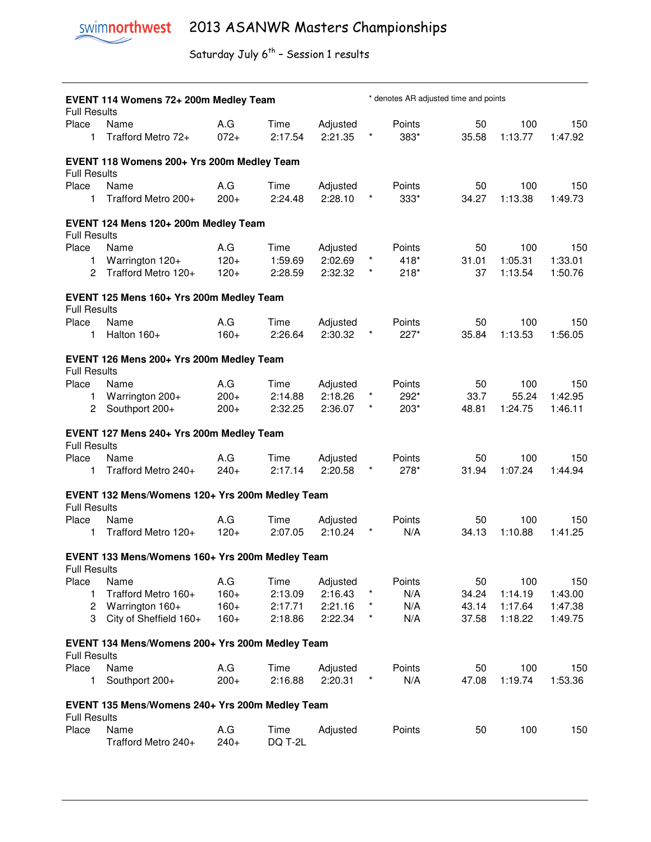| <b>Full Results</b> | EVENT 114 Womens 72+ 200m Medley Team           |                  |                    |                     |                       |                | * denotes AR adjusted time and points |                    |                    |
|---------------------|-------------------------------------------------|------------------|--------------------|---------------------|-----------------------|----------------|---------------------------------------|--------------------|--------------------|
| Place<br>1          | Name<br>Trafford Metro 72+                      | A.G<br>$072+$    | Time<br>2:17.54    | Adjusted<br>2:21.35 | *                     | Points<br>383* | 50<br>35.58                           | 100<br>1:13.77     | 150<br>1:47.92     |
| <b>Full Results</b> | EVENT 118 Womens 200+ Yrs 200m Medley Team      |                  |                    |                     |                       |                |                                       |                    |                    |
| Place<br>1.         | Name<br>Trafford Metro 200+                     | A.G<br>$200+$    | Time<br>2:24.48    | Adjusted<br>2:28.10 |                       | Points<br>333* | 50<br>34.27                           | 100<br>1:13.38     | 150<br>1:49.73     |
| <b>Full Results</b> | EVENT 124 Mens 120+ 200m Medley Team            |                  |                    |                     |                       |                |                                       |                    |                    |
| Place               | Name                                            | A.G              | Time               | Adjusted            |                       | Points         | 50                                    | 100                | 150                |
| 1<br>2              | Warrington 120+<br>Trafford Metro 120+          | $120+$<br>$120+$ | 1:59.69<br>2:28.59 | 2:02.69<br>2:32.32  | $\star$<br>$\star$    | 418*<br>$218*$ | 31.01<br>37                           | 1:05.31<br>1:13.54 | 1:33.01<br>1:50.76 |
| <b>Full Results</b> | EVENT 125 Mens 160+ Yrs 200m Medley Team        |                  |                    |                     |                       |                |                                       |                    |                    |
| Place               | Name                                            | A.G              | Time               | Adjusted            |                       | Points         | 50                                    | 100                | 150                |
| 1                   | Halton 160+                                     | $160+$           | 2:26.64            | 2:30.32             |                       | 227*           | 35.84                                 | 1:13.53            | 1:56.05            |
| <b>Full Results</b> | EVENT 126 Mens 200+ Yrs 200m Medley Team        |                  |                    |                     |                       |                |                                       |                    |                    |
| Place               | Name                                            | A.G              | Time               | Adjusted            |                       | Points         | 50                                    | 100                | 150                |
| 1<br>2              | Warrington 200+<br>Southport 200+               | $200+$<br>$200+$ | 2:14.88<br>2:32.25 | 2:18.26<br>2:36.07  | $^{\star}$<br>$\star$ | 292*<br>203*   | 33.7<br>48.81                         | 55.24<br>1:24.75   | 1:42.95<br>1:46.11 |
| <b>Full Results</b> | EVENT 127 Mens 240+ Yrs 200m Medley Team        |                  |                    |                     |                       |                |                                       |                    |                    |
| Place<br>1          | Name<br>Trafford Metro 240+                     | A.G<br>$240+$    | Time<br>2:17.14    | Adjusted<br>2:20.58 |                       | Points<br>278* | 50<br>31.94                           | 100<br>1:07.24     | 150<br>1:44.94     |
| <b>Full Results</b> | EVENT 132 Mens/Womens 120+ Yrs 200m Medley Team |                  |                    |                     |                       |                |                                       |                    |                    |
| Place               | Name                                            | A.G              | Time               | Adjusted            |                       | Points         | 50                                    | 100                | 150                |
| 1                   | Trafford Metro 120+                             | $120+$           | 2:07.05            | 2:10.24             | $\star$               | N/A            | 34.13                                 | 1:10.88            | 1:41.25            |
| <b>Full Results</b> | EVENT 133 Mens/Womens 160+ Yrs 200m Medley Team |                  |                    |                     |                       |                |                                       |                    |                    |
| Place               | Name                                            | A.G              | Time               | Adjusted            |                       | Points         | 50                                    | 100                | 150                |
| 1                   | Trafford Metro 160+                             | $160+$           | 2:13.09            | 2:16.43             | $\ast$                | N/A            | 34.24                                 | 1:14.19            | 1:43.00            |
| 2                   | Warrington 160+                                 | $160+$           | 2:17.71            | 2:21.16             | $\star$               | N/A            | 43.14                                 | 1:17.64            | 1:47.38            |
| 3                   | City of Sheffield 160+                          | $160+$           | 2:18.86            | 2:22.34             | $^\star$              | N/A            | 37.58                                 | 1:18.22            | 1:49.75            |
| <b>Full Results</b> | EVENT 134 Mens/Womens 200+ Yrs 200m Medley Team |                  |                    |                     |                       |                |                                       |                    |                    |
| Place               | Name                                            | A.G              | Time               | Adjusted            |                       | Points         | 50                                    | 100                | 150                |
| 1                   | Southport 200+                                  | $200+$           | 2:16.88            | 2:20.31             | $\star$               | N/A            | 47.08                                 | 1:19.74            | 1:53.36            |
| <b>Full Results</b> | EVENT 135 Mens/Womens 240+ Yrs 200m Medley Team |                  |                    |                     |                       |                |                                       |                    |                    |
| Place               | Name<br>Trafford Metro 240+                     | A.G<br>$240+$    | Time<br>DQ T-2L    | Adjusted            |                       | Points         | 50                                    | 100                | 150                |
|                     |                                                 |                  |                    |                     |                       |                |                                       |                    |                    |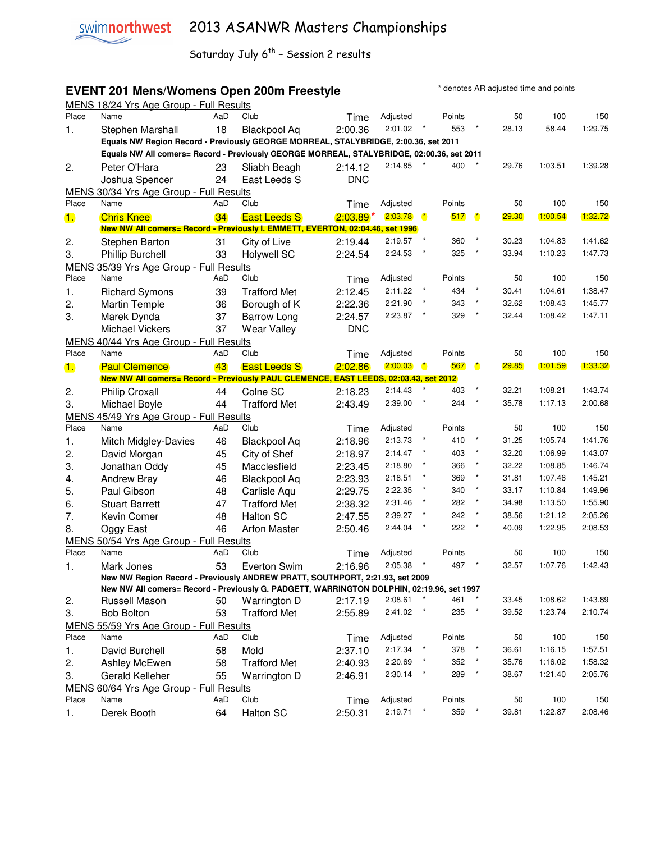

| * denotes AR adjusted time and points<br><b>EVENT 201 Mens/Womens Open 200m Freestyle</b> |                                                                                           |     |                     |            |          |                      |        |                      |       |         |         |
|-------------------------------------------------------------------------------------------|-------------------------------------------------------------------------------------------|-----|---------------------|------------|----------|----------------------|--------|----------------------|-------|---------|---------|
|                                                                                           | MENS 18/24 Yrs Age Group - Full Results                                                   |     |                     |            |          |                      |        |                      |       |         |         |
| Place                                                                                     | Name                                                                                      | AaD | Club                | Time       | Adjusted |                      | Points |                      | 50    | 100     | 150     |
| 1.                                                                                        | Stephen Marshall                                                                          | 18  | Blackpool Aq        | 2:00.36    | 2:01.02  |                      | 553    |                      | 28.13 | 58.44   | 1:29.75 |
|                                                                                           | Equals NW Region Record - Previously GEORGE MORREAL, STALYBRIDGE, 2:00.36, set 2011       |     |                     |            |          |                      |        |                      |       |         |         |
|                                                                                           | Equals NW All comers= Record - Previously GEORGE MORREAL, STALYBRIDGE, 02:00.36, set 2011 |     |                     |            |          |                      |        |                      |       |         |         |
| 2.                                                                                        | Peter O'Hara                                                                              | 23  | Sliabh Beagh        | 2:14.12    | 2:14.85  |                      | 400    |                      | 29.76 | 1:03.51 | 1:39.28 |
|                                                                                           | Joshua Spencer                                                                            | 24  | East Leeds S        | <b>DNC</b> |          |                      |        |                      |       |         |         |
|                                                                                           | MENS 30/34 Yrs Age Group - Full Results                                                   |     |                     |            |          |                      |        |                      |       |         |         |
| Place                                                                                     | Name                                                                                      | AaD | Club                | Time       | Adjusted |                      | Points |                      | 50    | 100     | 150     |
| $\blacksquare$                                                                            | <b>Chris Knee</b>                                                                         | 34  | <b>East Leeds S</b> | $2:03.89*$ | 2:03.78  | $\ddot{\phantom{a}}$ | 517    | $\ddot{\phantom{a}}$ | 29.30 | 1:00.54 | 1:32.72 |
|                                                                                           | New NW All comers= Record - Previously I. EMMETT, EVERTON, 02:04.46, set 1996             |     |                     |            |          |                      |        |                      |       |         |         |
| 2.                                                                                        | Stephen Barton                                                                            | 31  | City of Live        | 2:19.44    | 2:19.57  | $\star$              | 360    |                      | 30.23 | 1:04.83 | 1:41.62 |
| 3.                                                                                        | <b>Phillip Burchell</b>                                                                   | 33  | <b>Holywell SC</b>  | 2:24.54    | 2:24.53  |                      | 325    |                      | 33.94 | 1:10.23 | 1:47.73 |
|                                                                                           | MENS 35/39 Yrs Age Group - Full Results                                                   |     |                     |            |          |                      |        |                      |       |         |         |
| Place                                                                                     | Name                                                                                      | AaD | Club                | Time       | Adjusted |                      | Points |                      | 50    | 100     | 150     |
| 1.                                                                                        | <b>Richard Symons</b>                                                                     | 39  | <b>Trafford Met</b> | 2:12.45    | 2:11.22  |                      | 434    | $^\star$             | 30.41 | 1:04.61 | 1:38.47 |
| 2.                                                                                        | <b>Martin Temple</b>                                                                      | 36  | Borough of K        | 2:22.36    | 2:21.90  |                      | 343    | $\star$              | 32.62 | 1:08.43 | 1:45.77 |
| 3.                                                                                        | Marek Dynda                                                                               | 37  | <b>Barrow Long</b>  | 2:24.57    | 2:23.87  |                      | 329    | $\star$              | 32.44 | 1:08.42 | 1:47.11 |
|                                                                                           | <b>Michael Vickers</b>                                                                    | 37  | <b>Wear Valley</b>  | <b>DNC</b> |          |                      |        |                      |       |         |         |
|                                                                                           | MENS 40/44 Yrs Age Group - Full Results                                                   |     |                     |            |          |                      |        |                      |       |         |         |
| Place                                                                                     | Name                                                                                      | AaD | Club                | Time       | Adjusted |                      | Points |                      | 50    | 100     | 150     |
| 1.                                                                                        | <b>Paul Clemence</b>                                                                      | 43  | <b>East Leeds S</b> | 2:02.86    | 2:00.03  | $\mathbf{r}$         | 567    | $\ddot{\phantom{a}}$ | 29.85 | 1:01.59 | 1:33.32 |
|                                                                                           | New NW All comers= Record - Previously PAUL CLEMENCE, EAST LEEDS, 02:03.43, set 2012      |     |                     |            |          |                      |        |                      |       |         |         |
| 2.                                                                                        | <b>Philip Croxall</b>                                                                     | 44  | Colne SC            | 2:18.23    | 2:14.43  |                      | 403    | $\star$              | 32.21 | 1:08.21 | 1:43.74 |
| 3.                                                                                        | Michael Boyle                                                                             | 44  | <b>Trafford Met</b> | 2:43.49    | 2:39.00  | $\pmb{\ast}$         | 244    | $\star$              | 35.78 | 1:17.13 | 2:00.68 |
| <b>MENS</b>                                                                               | 45/49 Yrs Age Group - Full Results                                                        |     |                     |            |          |                      |        |                      |       |         |         |
| Place                                                                                     | Name                                                                                      | AaD | Club                | Time       | Adjusted |                      | Points |                      | 50    | 100     | 150     |
| 1.                                                                                        | <b>Mitch Midgley-Davies</b>                                                               | 46  | <b>Blackpool Aq</b> | 2:18.96    | 2:13.73  | $\star$              | 410    |                      | 31.25 | 1:05.74 | 1:41.76 |
| 2.                                                                                        | David Morgan                                                                              | 45  | City of Shef        | 2:18.97    | 2:14.47  |                      | 403    | $\star$              | 32.20 | 1:06.99 | 1:43.07 |
| 3.                                                                                        | Jonathan Oddy                                                                             | 45  | Macclesfield        | 2:23.45    | 2:18.80  |                      | 366    | $\star$              | 32.22 | 1:08.85 | 1:46.74 |
| 4.                                                                                        | <b>Andrew Bray</b>                                                                        | 46  | <b>Blackpool Aq</b> | 2:23.93    | 2:18.51  |                      | 369    | $\star$              | 31.81 | 1:07.46 | 1:45.21 |
| 5.                                                                                        | Paul Gibson                                                                               | 48  | Carlisle Aqu        | 2:29.75    | 2:22.35  | ×                    | 340    | $\star$              | 33.17 | 1:10.84 | 1:49.96 |
| 6.                                                                                        | <b>Stuart Barrett</b>                                                                     | 47  | <b>Trafford Met</b> | 2:38.32    | 2:31.46  |                      | 282    | $^\star$             | 34.98 | 1:13.50 | 1:55.90 |
| 7.                                                                                        | Kevin Comer                                                                               | 48  | <b>Halton SC</b>    | 2:47.55    | 2:39.27  |                      | 242    | $\star$              | 38.56 | 1:21.12 | 2:05.26 |
| 8.                                                                                        | Oggy East                                                                                 | 46  | <b>Arfon Master</b> | 2:50.46    | 2:44.04  |                      | 222    |                      | 40.09 | 1:22.95 | 2:08.53 |
|                                                                                           | MENS 50/54 Yrs Age Group - Full Results                                                   |     |                     |            |          |                      |        |                      |       |         |         |
| Place                                                                                     | Name                                                                                      | AaD | Club                | Time       | Adjusted |                      | Points |                      | 50    | 100     | 150     |
| $\mathbf{1}$ .                                                                            | Mark Jones                                                                                | 53  | Everton Swim        | 2:16.96    | 2:05.38  |                      | 497    |                      | 32.57 | 1:07.76 | 1:42.43 |
|                                                                                           | New NW Region Record - Previously ANDREW PRATT, SOUTHPORT, 2:21.93, set 2009              |     |                     |            |          |                      |        |                      |       |         |         |
|                                                                                           | New NW All comers= Record - Previously G. PADGETT, WARRINGTON DOLPHIN, 02:19.96, set 1997 |     |                     |            |          |                      |        |                      |       |         |         |
| 2.                                                                                        | Russell Mason                                                                             | 50  | Warrington D        | 2:17.19    | 2:08.61  |                      | 461    |                      | 33.45 | 1:08.62 | 1:43.89 |
| 3.                                                                                        | <b>Bob Bolton</b>                                                                         | 53  | <b>Trafford Met</b> | 2:55.89    | 2:41.02  |                      | 235    | $\star$              | 39.52 | 1:23.74 | 2:10.74 |
|                                                                                           | MENS 55/59 Yrs Age Group - Full Results                                                   |     |                     |            |          |                      |        |                      |       |         |         |
| Place                                                                                     | Name                                                                                      | AaD | Club                | Time       | Adjusted |                      | Points |                      | 50    | 100     | 150     |
| 1.                                                                                        | David Burchell                                                                            | 58  | Mold                | 2:37.10    | 2:17.34  |                      | 378    |                      | 36.61 | 1:16.15 | 1:57.51 |
| 2.                                                                                        | Ashley McEwen                                                                             | 58  | <b>Trafford Met</b> | 2:40.93    | 2:20.69  |                      | 352    |                      | 35.76 | 1:16.02 | 1:58.32 |
| 3.                                                                                        | Gerald Kelleher                                                                           | 55  | Warrington D        | 2:46.91    | 2:30.14  |                      | 289    |                      | 38.67 | 1:21.40 | 2:05.76 |
|                                                                                           | MENS 60/64 Yrs Age Group - Full Results                                                   |     |                     |            |          |                      |        |                      |       |         |         |
| Place                                                                                     | Name                                                                                      | AaD | Club                | Time       | Adjusted |                      | Points |                      | 50    | 100     | 150     |
| 1.                                                                                        | Derek Booth                                                                               | 64  | Halton SC           | 2:50.31    | 2:19.71  |                      | 359    | $\star$              | 39.81 | 1:22.87 | 2:08.46 |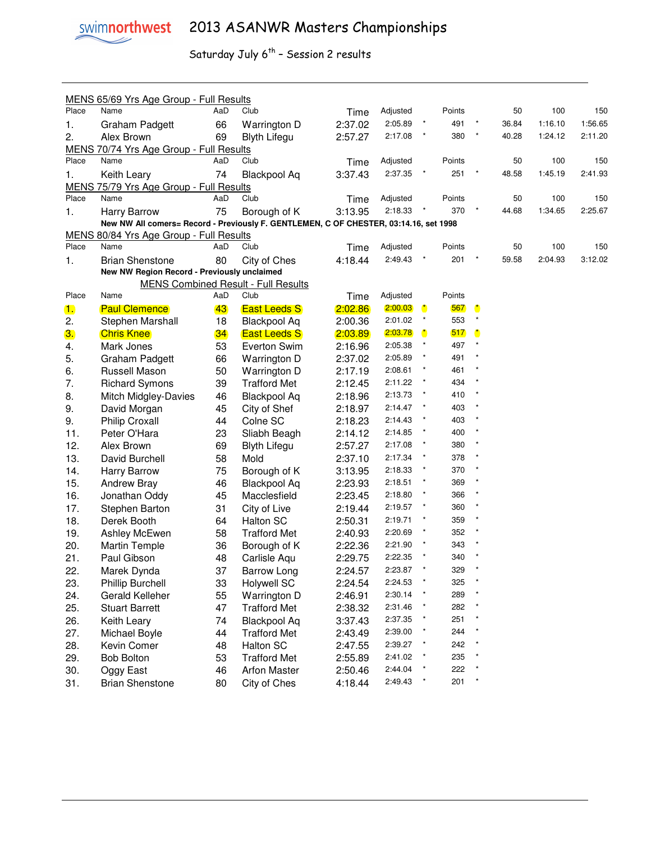

|                | MENS 65/69 Yrs Age Group - Full Results                                               |     |                                            |         |          |              |        |                      |       |         |         |
|----------------|---------------------------------------------------------------------------------------|-----|--------------------------------------------|---------|----------|--------------|--------|----------------------|-------|---------|---------|
| Place          | Name                                                                                  | AaD | Club                                       | Time    | Adjusted |              | Points |                      | 50    | 100     | 150     |
| 1.             | Graham Padgett                                                                        | 66  | Warrington D                               | 2:37.02 | 2:05.89  |              | 491    |                      | 36.84 | 1:16.10 | 1:56.65 |
| 2.             | Alex Brown                                                                            | 69  | <b>Blyth Lifegu</b>                        | 2:57.27 | 2:17.08  | $\star$      | 380    | $\star$              | 40.28 | 1:24.12 | 2:11.20 |
|                | MENS 70/74 Yrs Age Group - Full Results                                               |     |                                            |         |          |              |        |                      |       |         |         |
| Place          | Name                                                                                  | AaD | Club                                       | Time    | Adjusted |              | Points |                      | 50    | 100     | 150     |
| 1.             | Keith Leary                                                                           | 74  | <b>Blackpool Aq</b>                        | 3:37.43 | 2:37.35  |              | 251    |                      | 48.58 | 1:45.19 | 2:41.93 |
|                | MENS 75/79 Yrs Age Group - Full Results                                               |     |                                            |         |          |              |        |                      |       |         |         |
| Place          | Name                                                                                  | AaD | Club                                       | Time    | Adjusted |              | Points |                      | 50    | 100     | 150     |
| 1.             | <b>Harry Barrow</b>                                                                   | 75  | Borough of K                               | 3:13.95 | 2:18.33  |              | 370    |                      | 44.68 | 1:34.65 | 2:25.67 |
|                | New NW All comers= Record - Previously F. GENTLEMEN, C OF CHESTER, 03:14.16, set 1998 |     |                                            |         |          |              |        |                      |       |         |         |
|                | MENS 80/84 Yrs Age Group - Full Results                                               |     |                                            |         |          |              |        |                      |       |         |         |
| Place          | Name                                                                                  | AaD | Club                                       | Time    | Adjusted |              | Points |                      | 50    | 100     | 150     |
| 1.             | <b>Brian Shenstone</b>                                                                | 80  | City of Ches                               | 4:18.44 | 2:49.43  | $\star$      | 201    |                      | 59.58 | 2:04.93 | 3:12.02 |
|                | New NW Region Record - Previously unclaimed                                           |     |                                            |         |          |              |        |                      |       |         |         |
|                |                                                                                       |     | <b>MENS Combined Result - Full Results</b> |         |          |              |        |                      |       |         |         |
| Place          | Name                                                                                  | AaD | Club                                       | Time    | Adjusted |              | Points |                      |       |         |         |
| $\blacksquare$ | <b>Paul Clemence</b>                                                                  | 43  | <b>East Leeds S</b>                        | 2:02.86 | 2:00.03  | $\mathbf{r}$ | 567    | $\ddot{\phantom{a}}$ |       |         |         |
| 2.             | Stephen Marshall                                                                      | 18  | <b>Blackpool Aq</b>                        | 2:00.36 | 2:01.02  | $\star$      | 553    |                      |       |         |         |
| 3.             | <b>Chris Knee</b>                                                                     | 34  | <b>East Leeds S</b>                        | 2:03.89 | 2:03.78  | $\mathbf{r}$ | 517    | $\ddot{\phantom{a}}$ |       |         |         |
| 4.             | Mark Jones                                                                            | 53  | Everton Swim                               | 2:16.96 | 2:05.38  | $\star$      | 497    |                      |       |         |         |
| 5.             | Graham Padgett                                                                        | 66  | Warrington D                               | 2:37.02 | 2:05.89  | $\star$      | 491    |                      |       |         |         |
| 6.             | Russell Mason                                                                         | 50  | Warrington D                               | 2:17.19 | 2:08.61  | $\pmb{\ast}$ | 461    |                      |       |         |         |
| 7.             | <b>Richard Symons</b>                                                                 | 39  | <b>Trafford Met</b>                        | 2:12.45 | 2:11.22  | $\star$      | 434    |                      |       |         |         |
| 8.             | Mitch Midgley-Davies                                                                  | 46  | <b>Blackpool Aq</b>                        | 2:18.96 | 2:13.73  | $\pmb{\ast}$ | 410    |                      |       |         |         |
| 9.             | David Morgan                                                                          | 45  | City of Shef                               | 2:18.97 | 2:14.47  | $^\star$     | 403    |                      |       |         |         |
| 9.             | Philip Croxall                                                                        | 44  | Colne SC                                   | 2:18.23 | 2:14.43  | $\pmb{\ast}$ | 403    |                      |       |         |         |
| 11.            | Peter O'Hara                                                                          | 23  | Sliabh Beagh                               | 2:14.12 | 2:14.85  | $^\star$     | 400    |                      |       |         |         |
| 12.            | Alex Brown                                                                            | 69  | <b>Blyth Lifegu</b>                        | 2:57.27 | 2:17.08  | $^\star$     | 380    |                      |       |         |         |
| 13.            | David Burchell                                                                        | 58  | Mold                                       | 2:37.10 | 2:17.34  | $^\star$     | 378    |                      |       |         |         |
| 14.            | Harry Barrow                                                                          | 75  | Borough of K                               | 3:13.95 | 2:18.33  | $\star$      | 370    |                      |       |         |         |
| 15.            | <b>Andrew Bray</b>                                                                    | 46  | <b>Blackpool Aq</b>                        | 2:23.93 | 2:18.51  | $\star$      | 369    |                      |       |         |         |
| 16.            | Jonathan Oddy                                                                         | 45  | Macclesfield                               | 2:23.45 | 2:18.80  | $\star$      | 366    |                      |       |         |         |
| 17.            | Stephen Barton                                                                        | 31  | City of Live                               | 2:19.44 | 2:19.57  | $^\star$     | 360    |                      |       |         |         |
| 18.            | Derek Booth                                                                           | 64  | <b>Halton SC</b>                           | 2:50.31 | 2:19.71  | $\star$      | 359    |                      |       |         |         |
| 19.            | Ashley McEwen                                                                         | 58  | <b>Trafford Met</b>                        | 2:40.93 | 2:20.69  | $\star$      | 352    |                      |       |         |         |
| 20.            | <b>Martin Temple</b>                                                                  | 36  | Borough of K                               | 2:22.36 | 2:21.90  |              | 343    |                      |       |         |         |
| 21.            | Paul Gibson                                                                           | 48  | Carlisle Aqu                               | 2:29.75 | 2:22.35  |              | 340    |                      |       |         |         |
| 22.            | Marek Dynda                                                                           | 37  | <b>Barrow Long</b>                         | 2:24.57 | 2:23.87  | $\star$      | 329    |                      |       |         |         |
| 23.            | <b>Phillip Burchell</b>                                                               | 33  | <b>Holywell SC</b>                         | 2:24.54 | 2:24.53  |              | 325    |                      |       |         |         |
| 24.            | Gerald Kelleher                                                                       | 55  | Warrington D                               | 2:46.91 | 2:30.14  | $\ast$       | 289    |                      |       |         |         |
| 25.            | <b>Stuart Barrett</b>                                                                 | 47  | <b>Trafford Met</b>                        | 2:38.32 | 2:31.46  | $\ast$       | 282    |                      |       |         |         |
| 26.            | Keith Leary                                                                           | 74  | <b>Blackpool Aq</b>                        | 3:37.43 | 2:37.35  | $\star$      | 251    |                      |       |         |         |
| 27.            | Michael Boyle                                                                         | 44  | <b>Trafford Met</b>                        | 2:43.49 | 2:39.00  | $\star$      | 244    |                      |       |         |         |
| 28.            | Kevin Comer                                                                           | 48  | Halton SC                                  | 2:47.55 | 2:39.27  | $\star$      | 242    |                      |       |         |         |
| 29.            | <b>Bob Bolton</b>                                                                     | 53  | <b>Trafford Met</b>                        | 2:55.89 | 2:41.02  |              | 235    |                      |       |         |         |
| 30.            | Oggy East                                                                             | 46  | <b>Arfon Master</b>                        | 2:50.46 | 2:44.04  | $\star$      | 222    |                      |       |         |         |
| 31.            | <b>Brian Shenstone</b>                                                                | 80  | City of Ches                               | 4:18.44 | 2:49.43  | $\star$      | 201    |                      |       |         |         |
|                |                                                                                       |     |                                            |         |          |              |        |                      |       |         |         |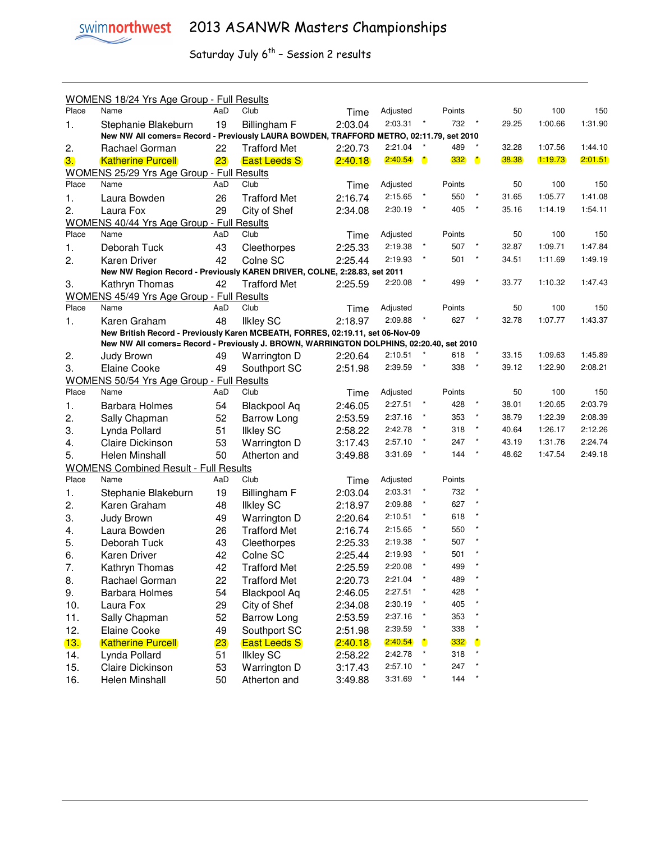|       | WOMENS 18/24 Yrs Age Group - Full Results                                                |     |                     |         |          |              |        |         |       |         |         |
|-------|------------------------------------------------------------------------------------------|-----|---------------------|---------|----------|--------------|--------|---------|-------|---------|---------|
| Place | Name                                                                                     | AaD | Club                | Time    | Adjusted |              | Points |         | 50    | 100     | 150     |
| 1.    | Stephanie Blakeburn                                                                      | 19  | Billingham F        | 2:03.04 | 2:03.31  |              | 732    |         | 29.25 | 1:00.66 | 1:31.90 |
|       | New NW All comers= Record - Previously LAURA BOWDEN, TRAFFORD METRO, 02:11.79, set 2010  |     |                     |         |          |              |        |         |       |         |         |
| 2.    | Rachael Gorman                                                                           | 22  | <b>Trafford Met</b> | 2:20.73 | 2:21.04  |              | 489    |         | 32.28 | 1:07.56 | 1:44.10 |
| 3.    | <b>Katherine Purcell</b>                                                                 | 23  | <b>East Leeds S</b> | 2:40.18 | 2:40.54  | $\mathbf{r}$ | 332    | O       | 38.38 | 1:19.73 | 2:01.51 |
|       | WOMENS 25/29 Yrs Age Group - Full Results                                                |     |                     |         |          |              |        |         |       |         |         |
| Place | Name                                                                                     | AaD | Club                | Time    | Adjusted |              | Points |         | 50    | 100     | 150     |
| 1.    | Laura Bowden                                                                             | 26  | <b>Trafford Met</b> | 2:16.74 | 2:15.65  | $\star$      | 550    |         | 31.65 | 1:05.77 | 1:41.08 |
| 2.    | Laura Fox                                                                                | 29  | City of Shef        | 2:34.08 | 2:30.19  | $\star$      | 405    |         | 35.16 | 1:14.19 | 1:54.11 |
|       | WOMENS 40/44 Yrs Age Group - Full Results                                                |     |                     |         |          |              |        |         |       |         |         |
| Place | Name                                                                                     | AaD | Club                | Time    | Adjusted |              | Points |         | 50    | 100     | 150     |
| 1.    | Deborah Tuck                                                                             | 43  | Cleethorpes         | 2:25.33 | 2:19.38  | $\star$      | 507    | $\star$ | 32.87 | 1:09.71 | 1:47.84 |
| 2.    | Karen Driver                                                                             | 42  | Colne SC            | 2:25.44 | 2:19.93  | $^\star$     | 501    |         | 34.51 | 1:11.69 | 1:49.19 |
|       | New NW Region Record - Previously KAREN DRIVER, COLNE, 2:28.83, set 2011                 |     |                     |         |          |              |        |         |       |         |         |
| 3.    | Kathryn Thomas                                                                           | 42  | <b>Trafford Met</b> | 2:25.59 | 2:20.08  |              | 499    |         | 33.77 | 1:10.32 | 1:47.43 |
|       | WOMENS 45/49 Yrs Age Group - Full Results                                                |     |                     |         |          |              |        |         |       |         |         |
| Place | Name                                                                                     | AaD | Club                | Time    | Adjusted |              | Points |         | 50    | 100     | 150     |
| 1.    | Karen Graham                                                                             | 48  | <b>Ilkley SC</b>    | 2:18.97 | 2:09.88  |              | 627    |         | 32.78 | 1:07.77 | 1:43.37 |
|       | New British Record - Previously Karen MCBEATH, FORRES, 02:19.11, set 06-Nov-09           |     |                     |         |          |              |        |         |       |         |         |
|       | New NW All comers= Record - Previously J. BROWN, WARRINGTON DOLPHINS, 02:20.40, set 2010 |     |                     |         |          |              |        |         |       |         |         |
| 2.    | Judy Brown                                                                               | 49  | Warrington D        | 2:20.64 | 2:10.51  |              | 618    |         | 33.15 | 1:09.63 | 1:45.89 |
| 3.    | Elaine Cooke                                                                             | 49  | Southport SC        | 2:51.98 | 2:39.59  | $\star$      | 338    |         | 39.12 | 1:22.90 | 2:08.21 |
|       | WOMENS 50/54 Yrs Age Group - Full Results                                                |     |                     |         |          |              |        |         |       |         |         |
| Place | Name                                                                                     | AaD | Club                | Time    | Adjusted |              | Points |         | 50    | 100     | 150     |
| 1.    | <b>Barbara Holmes</b>                                                                    | 54  | <b>Blackpool Aq</b> | 2:46.05 | 2:27.51  | $\star$      | 428    |         | 38.01 | 1:20.65 | 2:03.79 |
| 2.    | Sally Chapman                                                                            | 52  | <b>Barrow Long</b>  | 2:53.59 | 2:37.16  |              | 353    | $\ast$  | 38.79 | 1:22.39 | 2:08.39 |
| 3.    | Lynda Pollard                                                                            | 51  | <b>Ilkley SC</b>    | 2:58.22 | 2:42.78  |              | 318    |         | 40.64 | 1:26.17 | 2:12.26 |
| 4.    | <b>Claire Dickinson</b>                                                                  | 53  | Warrington D        | 3:17.43 | 2:57.10  |              | 247    |         | 43.19 | 1:31.76 | 2:24.74 |
| 5.    | Helen Minshall                                                                           | 50  | Atherton and        | 3:49.88 | 3:31.69  | $\star$      | 144    | $\star$ | 48.62 | 1:47.54 | 2:49.18 |
|       | <b>WOMENS Combined Result - Full Results</b>                                             |     |                     |         |          |              |        |         |       |         |         |
| Place | Name                                                                                     | AaD | Club                | Time    | Adjusted |              | Points |         |       |         |         |
| 1.    | Stephanie Blakeburn                                                                      | 19  | Billingham F        | 2:03.04 | 2:03.31  | $\star$      | 732    |         |       |         |         |
| 2.    | Karen Graham                                                                             | 48  | <b>Ilkley SC</b>    | 2:18.97 | 2:09.88  | $\star$      | 627    |         |       |         |         |
| 3.    | Judy Brown                                                                               | 49  | Warrington D        | 2:20.64 | 2:10.51  | $\star$      | 618    |         |       |         |         |
| 4.    | Laura Bowden                                                                             | 26  | <b>Trafford Met</b> | 2:16.74 | 2:15.65  | $\star$      | 550    |         |       |         |         |
| 5.    | Deborah Tuck                                                                             | 43  | Cleethorpes         | 2:25.33 | 2:19.38  |              | 507    |         |       |         |         |
| 6.    | <b>Karen Driver</b>                                                                      | 42  | Colne SC            | 2:25.44 | 2:19.93  |              | 501    |         |       |         |         |
| 7.    | Kathryn Thomas                                                                           | 42  | <b>Trafford Met</b> | 2:25.59 | 2:20.08  |              | 499    |         |       |         |         |
| 8.    | Rachael Gorman                                                                           | 22  | <b>Trafford Met</b> | 2:20.73 | 2:21.04  | $^\star$     | 489    |         |       |         |         |
| 9.    | Barbara Holmes                                                                           | 54  | <b>Blackpool Aq</b> | 2:46.05 | 2:27.51  |              | 428    |         |       |         |         |
| 10.   | Laura Fox                                                                                | 29  | City of Shef        | 2:34.08 | 2:30.19  | $\star$      | 405    |         |       |         |         |
| 11.   | Sally Chapman                                                                            | 52  | <b>Barrow Long</b>  | 2:53.59 | 2:37.16  | $\star$      | 353    |         |       |         |         |
| 12.   | Elaine Cooke                                                                             | 49  | Southport SC        | 2:51.98 | 2:39.59  | $\star$      | 338    |         |       |         |         |
| 13.   | <b>Katherine Purcell</b>                                                                 | 23  | <b>East Leeds S</b> | 2:40.18 | 2:40.54  | O            | 332    |         |       |         |         |
| 14.   | Lynda Pollard                                                                            | 51  | <b>Ilkley SC</b>    | 2:58.22 | 2:42.78  | $\star$      | 318    |         |       |         |         |
| 15.   | Claire Dickinson                                                                         | 53  | Warrington D        | 3:17.43 | 2:57.10  | $\star$      | 247    |         |       |         |         |
| 16.   | Helen Minshall                                                                           | 50  | Atherton and        | 3:49.88 | 3:31.69  | *            | 144    |         |       |         |         |
|       |                                                                                          |     |                     |         |          |              |        |         |       |         |         |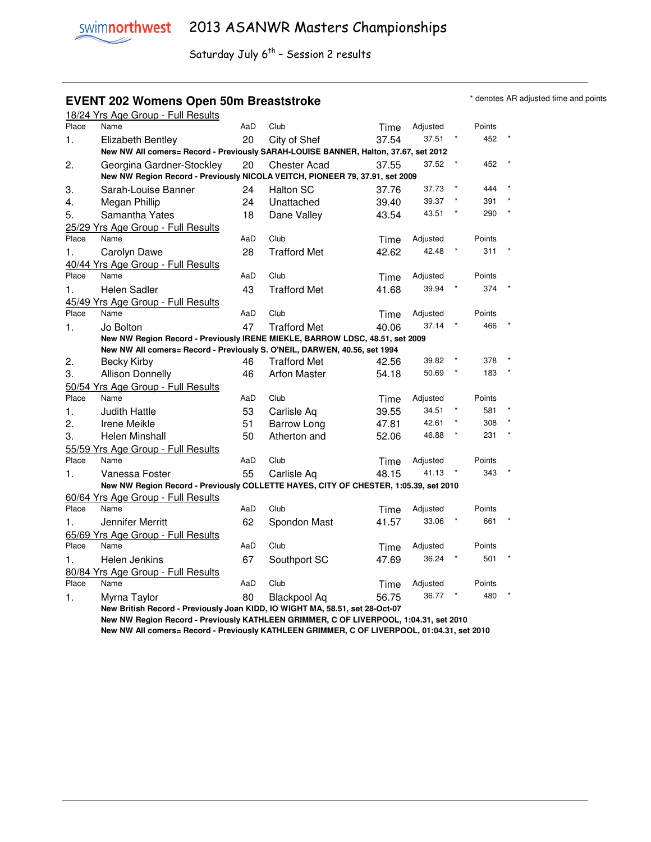### **EVENT 202 Womens Open 50m Breaststroke ADDED ACCORD 10 and points** \* denotes AR adjusted time and points

|       | 18/24 Yrs Age Group - Full Results                                                   |     |                     |       |          |        |  |
|-------|--------------------------------------------------------------------------------------|-----|---------------------|-------|----------|--------|--|
| Place | Name                                                                                 | AaD | Club                | Time  | Adjusted | Points |  |
| 1.    | Elizabeth Bentley                                                                    | 20  | City of Shef        | 37.54 | 37.51    | 452    |  |
|       | New NW All comers= Record - Previously SARAH-LOUISE BANNER, Halton, 37.67, set 2012  |     |                     |       |          |        |  |
| 2.    | Georgina Gardner-Stockley                                                            | 20  | <b>Chester Acad</b> | 37.55 | 37.52    | 452    |  |
|       | New NW Region Record - Previously NICOLA VEITCH, PIONEER 79, 37.91, set 2009         |     |                     |       |          |        |  |
| 3.    | Sarah-Louise Banner                                                                  | 24  | <b>Halton SC</b>    | 37.76 | 37.73    | 444    |  |
| 4.    | Megan Phillip                                                                        | 24  | Unattached          | 39.40 | 39.37    | 391    |  |
| 5.    | Samantha Yates                                                                       | 18  | Dane Valley         | 43.54 | 43.51    | 290    |  |
|       | 25/29 Yrs Age Group - Full Results                                                   |     |                     |       |          |        |  |
| Place | Name                                                                                 | AaD | Club                | Time  | Adjusted | Points |  |
| 1.    | Carolyn Dawe                                                                         | 28  | <b>Trafford Met</b> | 42.62 | 42.48    | 311    |  |
|       | 40/44 Yrs Age Group - Full Results                                                   |     |                     |       |          |        |  |
| Place | Name                                                                                 | AaD | Club                | Time  | Adjusted | Points |  |
| 1.    | <b>Helen Sadler</b>                                                                  | 43  | <b>Trafford Met</b> | 41.68 | 39.94    | 374    |  |
|       | 45/49 Yrs Age Group - Full Results                                                   |     |                     |       |          |        |  |
| Place | Name                                                                                 | AaD | Club                | Time  | Adjusted | Points |  |
| 1.    | Jo Bolton                                                                            | 47  | <b>Trafford Met</b> | 40.06 | 37.14    | 466    |  |
|       | New NW Region Record - Previously IRENE MIEKLE, BARROW LDSC, 48.51, set 2009         |     |                     |       |          |        |  |
|       | New NW All comers= Record - Previously S. O'NEIL, DARWEN, 40.56, set 1994            |     |                     |       |          |        |  |
| 2.    | Becky Kirby                                                                          | 46  | <b>Trafford Met</b> | 42.56 | 39.82    | 378    |  |
| 3.    | <b>Allison Donnelly</b>                                                              | 46  | <b>Arfon Master</b> | 54.18 | 50.69    | 183    |  |
|       | 50/54 Yrs Age Group - Full Results                                                   |     |                     |       |          |        |  |
| Place | Name                                                                                 | AaD | Club                | Time  | Adjusted | Points |  |
| 1.    | <b>Judith Hattle</b>                                                                 | 53  | Carlisle Aq         | 39.55 | 34.51    | 581    |  |
| 2.    | Irene Meikle                                                                         | 51  | <b>Barrow Long</b>  | 47.81 | 42.61    | 308    |  |
| 3.    | Helen Minshall                                                                       | 50  | Atherton and        | 52.06 | 46.88    | 231    |  |
|       | 55/59 Yrs Age Group - Full Results                                                   |     |                     |       |          |        |  |
| Place | Name                                                                                 | AaD | Club                | Time  | Adjusted | Points |  |
| 1.    | Vanessa Foster                                                                       | 55  | Carlisle Aq         | 48.15 | 41.13    | 343    |  |
|       | New NW Region Record - Previously COLLETTE HAYES, CITY OF CHESTER, 1:05.39, set 2010 |     |                     |       |          |        |  |
|       | 60/64 Yrs Age Group - Full Results                                                   |     |                     |       |          |        |  |
| Place | Name                                                                                 | AaD | Club                | Time  | Adjusted | Points |  |
| 1.    | Jennifer Merritt                                                                     | 62  | Spondon Mast        | 41.57 | 33.06    | 661    |  |
|       | 65/69 Yrs Age Group - Full Results                                                   |     |                     |       |          |        |  |
| Place | Name                                                                                 | AaD | Club                | Time  | Adjusted | Points |  |
| 1.    | Helen Jenkins                                                                        | 67  | Southport SC        | 47.69 | 36.24    | 501    |  |
|       | 80/84 Yrs Age Group - Full Results                                                   |     |                     |       |          |        |  |
| Place | Name                                                                                 | AaD | Club                | Time  | Adjusted | Points |  |
| 1.    | Myrna Taylor                                                                         | 80  | <b>Blackpool Aq</b> | 56.75 | 36.77    | 480    |  |
|       | New British Record - Previously Joan KIDD, IO WIGHT MA, 58.51, set 28-Oct-07         |     |                     |       |          |        |  |

 **New NW Region Record - Previously KATHLEEN GRIMMER, C OF LIVERPOOL, 1:04.31, set 2010 New NW All comers= Record - Previously KATHLEEN GRIMMER, C OF LIVERPOOL, 01:04.31, set 2010**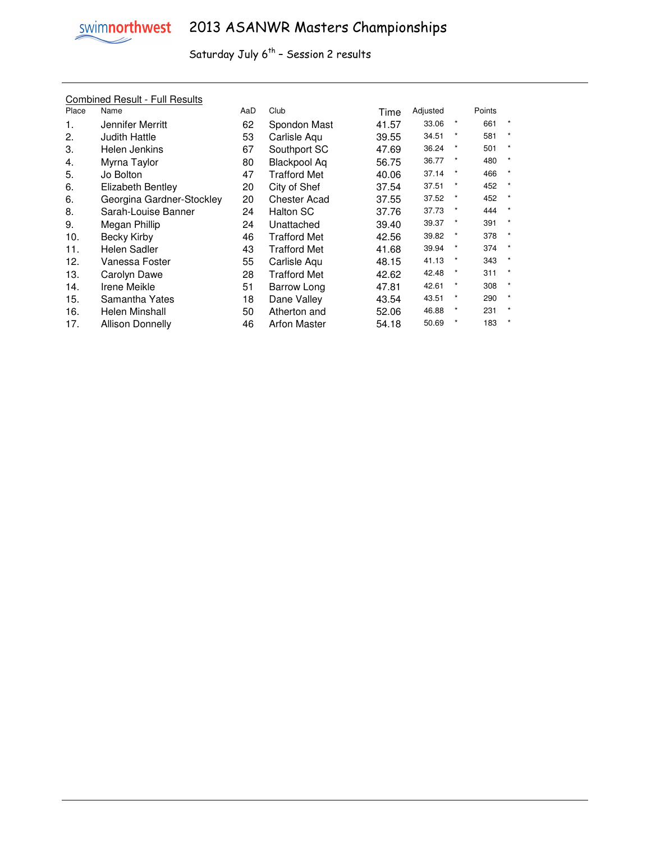

| <b>Combined Result - Full Results</b> |
|---------------------------------------|
|---------------------------------------|

| Place | Name                      | AaD | Club                | Time  | Adjusted |         | Points |         |
|-------|---------------------------|-----|---------------------|-------|----------|---------|--------|---------|
| 1.    | Jennifer Merritt          | 62  | Spondon Mast        | 41.57 | 33.06    | $\star$ | 661    |         |
| 2.    | Judith Hattle             | 53  | Carlisle Aqu        | 39.55 | 34.51    | *       | 581    | $\star$ |
| 3.    | Helen Jenkins             | 67  | Southport SC        | 47.69 | 36.24    | $\star$ | 501    | $\star$ |
| 4.    | Myrna Taylor              | 80  | Blackpool Aq        | 56.75 | 36.77    | *       | 480    | $\star$ |
| 5.    | Jo Bolton                 | 47  | Trafford Met        | 40.06 | 37.14    | *       | 466    | $\star$ |
| 6.    | Elizabeth Bentley         | 20  | City of Shef        | 37.54 | 37.51    | $\star$ | 452    | $\star$ |
| 6.    | Georgina Gardner-Stockley | 20  | Chester Acad        | 37.55 | 37.52    | *       | 452    | $\star$ |
| 8.    | Sarah-Louise Banner       | 24  | <b>Halton SC</b>    | 37.76 | 37.73    | *       | 444    | $\star$ |
| 9.    | Megan Phillip             | 24  | Unattached          | 39.40 | 39.37    | *       | 391    | $\star$ |
| 10.   | Becky Kirby               | 46  | <b>Trafford Met</b> | 42.56 | 39.82    | *       | 378    | $\star$ |
| 11.   | Helen Sadler              | 43  | <b>Trafford Met</b> | 41.68 | 39.94    | $\star$ | 374    | $\star$ |
| 12.   | Vanessa Foster            | 55  | Carlisle Aqu        | 48.15 | 41.13    | $\star$ | 343    | $\star$ |
| 13.   | Carolyn Dawe              | 28  | <b>Trafford Met</b> | 42.62 | 42.48    | *       | 311    | $\star$ |
| 14.   | Irene Meikle              | 51  | Barrow Long         | 47.81 | 42.61    | *       | 308    | $\star$ |
| 15.   | Samantha Yates            | 18  | Dane Valley         | 43.54 | 43.51    | *       | 290    | $\star$ |
| 16.   | Helen Minshall            | 50  | Atherton and        | 52.06 | 46.88    | *       | 231    | $\star$ |
| 17.   | <b>Allison Donnelly</b>   | 46  | <b>Arfon Master</b> | 54.18 | 50.69    | $\star$ | 183    | $\star$ |
|       |                           |     |                     |       |          |         |        |         |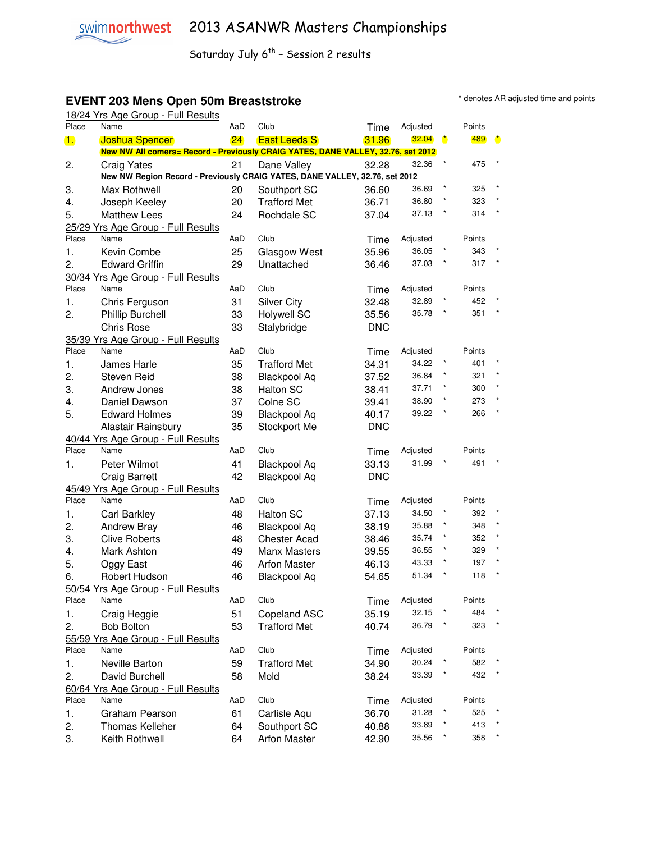#### **EVENT 203 Mens Open 50m Breaststroke EXELL ARE A SOME THE STARE ARE ADDENT 203 Mens Open 50m Breaststroke**

| Place          | 18/24 Yrs Age Group - Full Results<br>Name                                                                |          | Club                |               |                   |              |               |           |
|----------------|-----------------------------------------------------------------------------------------------------------|----------|---------------------|---------------|-------------------|--------------|---------------|-----------|
|                |                                                                                                           | AaD      |                     | Time          | Adjusted          |              | Points<br>489 |           |
| $\mathbf{1}$ . | <b>Joshua Spencer</b><br>New NW All comers= Record - Previously CRAIG YATES, DANE VALLEY, 32.76, set 2012 | 24       | <b>East Leeds S</b> | 31.96         | 32.04             | $\mathbf{r}$ |               | $\bullet$ |
|                |                                                                                                           |          |                     |               | 32.36             |              | 475           |           |
| 2.             | Craig Yates<br>New NW Region Record - Previously CRAIG YATES, DANE VALLEY, 32.76, set 2012                | 21       | Dane Valley         | 32.28         |                   |              |               |           |
|                |                                                                                                           |          |                     |               | 36.69             |              | 325           |           |
| 3.             | Max Rothwell                                                                                              | 20       | Southport SC        | 36.60         | 36.80             |              | 323           |           |
| 4.             | Joseph Keeley                                                                                             | 20       | <b>Trafford Met</b> | 36.71         | 37.13             |              | 314           |           |
| 5.             | <b>Matthew Lees</b>                                                                                       | 24       | Rochdale SC         | 37.04         |                   |              |               |           |
| Place          | 25/29 Yrs Age Group - Full Results<br>Name                                                                | AaD      | Club                |               | Adjusted          |              | Points        |           |
|                |                                                                                                           |          |                     | Time          | 36.05             |              | 343           |           |
| 1.             | Kevin Combe                                                                                               | 25       | Glasgow West        | 35.96         | 37.03             |              | 317           |           |
| 2.             | <b>Edward Griffin</b>                                                                                     | 29       | Unattached          | 36.46         |                   |              |               |           |
| Place          | 30/34 Yrs Age Group - Full Results<br>Name                                                                | AaD      | Club                |               |                   |              | Points        |           |
|                |                                                                                                           |          |                     | Time          | Adjusted<br>32.89 |              | 452           |           |
| 1.             | Chris Ferguson                                                                                            | 31       | <b>Silver City</b>  | 32.48         | 35.78             |              | 351           |           |
| 2.             | Phillip Burchell<br>Chris Rose                                                                            | 33       | <b>Holywell SC</b>  | 35.56         |                   |              |               |           |
|                |                                                                                                           | 33       | Stalybridge         | <b>DNC</b>    |                   |              |               |           |
| Place          | 35/39 Yrs Age Group - Full Results<br>Name                                                                | AaD      | Club                |               | Adjusted          |              | Points        |           |
|                |                                                                                                           | 35       |                     | Time          | 34.22             |              | 401           |           |
| 1.             | James Harle                                                                                               |          | <b>Trafford Met</b> | 34.31         | 36.84             |              | 321           |           |
| 2.             | <b>Steven Reid</b>                                                                                        | 38       | <b>Blackpool Aq</b> | 37.52         | 37.71             |              | 300           |           |
| 3.             | Andrew Jones                                                                                              | 38       | <b>Halton SC</b>    | 38.41         | 38.90             |              | 273           |           |
| 4.             | Daniel Dawson                                                                                             | 37       | Colne SC            | 39.41         | 39.22             |              | 266           |           |
| 5.             | <b>Edward Holmes</b>                                                                                      | 39       | <b>Blackpool Aq</b> | 40.17         |                   |              |               |           |
|                | Alastair Rainsbury                                                                                        | 35       | Stockport Me        | <b>DNC</b>    |                   |              |               |           |
| Place          | 40/44 Yrs Age Group - Full Results<br>Name                                                                | AaD      | Club                |               | Adjusted          |              | Points        |           |
|                | Peter Wilmot                                                                                              | 41       |                     | Time<br>33.13 | 31.99             |              | 491           |           |
| 1.             |                                                                                                           |          | <b>Blackpool Aq</b> |               |                   |              |               |           |
|                | <b>Craig Barrett</b>                                                                                      | 42       | <b>Blackpool Aq</b> | <b>DNC</b>    |                   |              |               |           |
| Place          | 45/49 Yrs Age Group - Full Results<br>Name                                                                | AaD      | Club                |               | Adjusted          |              | Points        |           |
|                |                                                                                                           |          |                     | Time          | 34.50             |              | 392           |           |
| 1.             | Carl Barkley                                                                                              | 48       | <b>Halton SC</b>    | 37.13         | 35.88             |              | 348           |           |
| 2.             | <b>Andrew Bray</b>                                                                                        | 46       | <b>Blackpool Aq</b> | 38.19         | 35.74             |              | 352           |           |
| 3.             | <b>Clive Roberts</b>                                                                                      | 48<br>49 | <b>Chester Acad</b> | 38.46         | 36.55             |              | 329           |           |
| 4.             | Mark Ashton                                                                                               |          | Manx Masters        | 39.55         | 43.33             |              | 197           |           |
| 5.             | Oggy East                                                                                                 | 46       | <b>Arfon Master</b> | 46.13         | 51.34             |              | 118           |           |
| 6.             | Robert Hudson                                                                                             | 46       | <b>Blackpool Aq</b> | 54.65         |                   |              |               |           |
| Place          | 50/54 Yrs Age Group - Full Results<br>Name                                                                | AaD      | Club                | Time          | Adjusted          |              | Points        |           |
|                |                                                                                                           | 51       | <b>Copeland ASC</b> | 35.19         | 32.15             |              | 484           |           |
| 1.<br>2.       | Craig Heggie                                                                                              | 53       | <b>Trafford Met</b> |               | 36.79             |              | 323           |           |
|                | <b>Bob Bolton</b>                                                                                         |          |                     | 40.74         |                   |              |               |           |
| Place          | 55/59 Yrs Age Group - Full Results<br>Name                                                                | AaD      | Club                |               | Adjusted          |              | Points        |           |
|                |                                                                                                           |          |                     | Time          | 30.24             |              | 582           |           |
| 1.<br>2.       | Neville Barton<br>David Burchell                                                                          | 59       | <b>Trafford Met</b> | 34.90         | 33.39             |              | 432           |           |
|                |                                                                                                           | 58       | Mold                | 38.24         |                   |              |               |           |
| Place          | 60/64 Yrs Age Group - Full Results<br>Name                                                                | AaD      | Club                |               | Adjusted          |              | Points        |           |
|                |                                                                                                           | 61       |                     | Time          | 31.28             |              | 525           |           |
| 1.<br>2.       | Graham Pearson<br><b>Thomas Kelleher</b>                                                                  |          | Carlisle Aqu        | 36.70         | 33.89             |              | 413           |           |
|                |                                                                                                           | 64       | Southport SC        | 40.88         | 35.56             |              | 358           |           |
| 3.             | Keith Rothwell                                                                                            | 64       | <b>Arfon Master</b> | 42.90         |                   |              |               |           |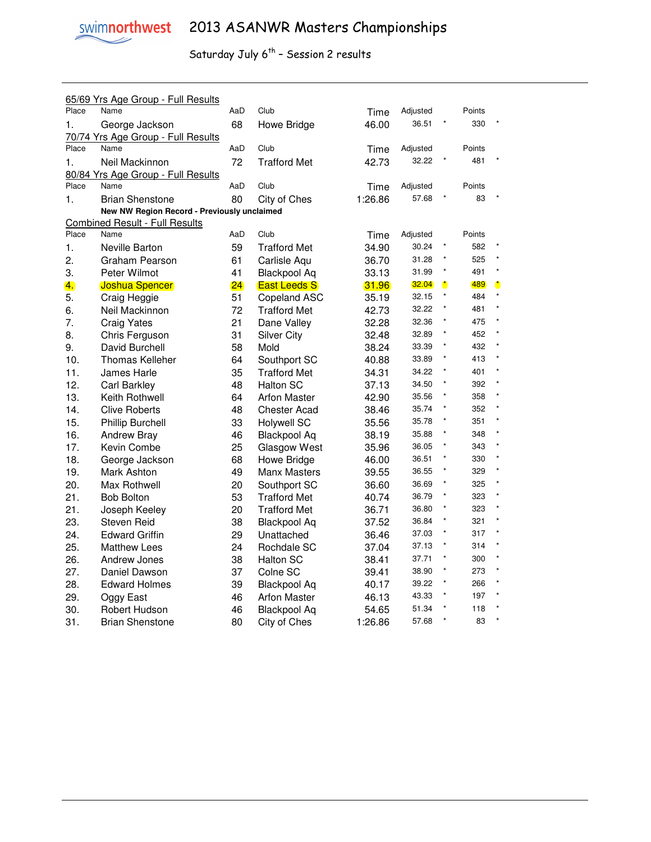

|       | 65/69 Yrs Age Group - Full Results          |     |                     |         |          |                      |        |           |
|-------|---------------------------------------------|-----|---------------------|---------|----------|----------------------|--------|-----------|
| Place | Name                                        | AaD | Club                | Time    | Adjusted |                      | Points |           |
| 1.    | George Jackson                              | 68  | Howe Bridge         | 46.00   | 36.51    |                      | 330    |           |
|       | 70/74 Yrs Age Group - Full Results          |     |                     |         |          |                      |        |           |
| Place | Name                                        | AaD | Club                | Time    | Adjusted |                      | Points |           |
| 1.    | Neil Mackinnon                              | 72  | <b>Trafford Met</b> | 42.73   | 32.22    |                      | 481    |           |
|       | 80/84 Yrs Age Group - Full Results          |     |                     |         |          |                      |        |           |
| Place | Name                                        | AaD | Club                | Time    | Adjusted |                      | Points |           |
| 1.    | <b>Brian Shenstone</b>                      | 80  | City of Ches        | 1:26.86 | 57.68    |                      | 83     |           |
|       | New NW Region Record - Previously unclaimed |     |                     |         |          |                      |        |           |
|       | <b>Combined Result - Full Results</b>       |     |                     |         |          |                      |        |           |
| Place | Name                                        | AaD | Club                | Time    | Adjusted |                      | Points |           |
| 1.    | Neville Barton                              | 59  | <b>Trafford Met</b> | 34.90   | 30.24    | $\star$              | 582    |           |
| 2.    | Graham Pearson                              | 61  | Carlisle Aqu        | 36.70   | 31.28    | $\star$              | 525    |           |
| 3.    | Peter Wilmot                                | 41  | <b>Blackpool Aq</b> | 33.13   | 31.99    | $\star$              | 491    | $\star$   |
| 4.    | <b>Joshua Spencer</b>                       | 24  | <b>East Leeds S</b> | 31.96   | 32.04    | $\ddot{\phantom{a}}$ | 489    | $\bullet$ |
| 5.    | Craig Heggie                                | 51  | Copeland ASC        | 35.19   | 32.15    | $\pmb{\ast}$         | 484    | $\star$   |
| 6.    | Neil Mackinnon                              | 72  | <b>Trafford Met</b> | 42.73   | 32.22    | $\star$              | 481    | $\star$   |
| 7.    | <b>Craig Yates</b>                          | 21  | Dane Valley         | 32.28   | 32.36    | $\star$              | 475    | $\star$   |
| 8.    | Chris Ferguson                              | 31  | <b>Silver City</b>  | 32.48   | 32.89    | $\star$              | 452    | $\star$   |
| 9.    | David Burchell                              | 58  | Mold                | 38.24   | 33.39    | $\star$              | 432    | $\star$   |
| 10.   | <b>Thomas Kelleher</b>                      | 64  | Southport SC        | 40.88   | 33.89    | $\star$              | 413    | $\star$   |
| 11.   | James Harle                                 | 35  | <b>Trafford Met</b> | 34.31   | 34.22    | $\pmb{\ast}$         | 401    | $\star$   |
| 12.   | Carl Barkley                                | 48  | <b>Halton SC</b>    | 37.13   | 34.50    | $\star$              | 392    | $\star$   |
| 13.   | Keith Rothwell                              | 64  | <b>Arfon Master</b> | 42.90   | 35.56    |                      | 358    | $\star$   |
| 14.   | <b>Clive Roberts</b>                        | 48  | <b>Chester Acad</b> | 38.46   | 35.74    | ×                    | 352    | $\star$   |
| 15.   | <b>Phillip Burchell</b>                     | 33  | <b>Holywell SC</b>  | 35.56   | 35.78    | $\ast$               | 351    | $\star$   |
| 16.   | <b>Andrew Bray</b>                          | 46  | <b>Blackpool Aq</b> | 38.19   | 35.88    | $\star$              | 348    | $\star$   |
| 17.   | Kevin Combe                                 | 25  | Glasgow West        | 35.96   | 36.05    | $\star$              | 343    | $\star$   |
| 18.   | George Jackson                              | 68  | Howe Bridge         | 46.00   | 36.51    | $\ast$               | 330    | $\star$   |
| 19.   | Mark Ashton                                 | 49  | <b>Manx Masters</b> | 39.55   | 36.55    | $\star$              | 329    | $\star$   |
| 20.   | Max Rothwell                                | 20  | Southport SC        | 36.60   | 36.69    | $\star$              | 325    | $\star$   |
| 21.   | <b>Bob Bolton</b>                           | 53  | <b>Trafford Met</b> | 40.74   | 36.79    | $\star$              | 323    | $\star$   |
| 21.   | Joseph Keeley                               | 20  | <b>Trafford Met</b> | 36.71   | 36.80    | $\star$              | 323    | $\star$   |
| 23.   | Steven Reid                                 | 38  | Blackpool Aq        | 37.52   | 36.84    | $\star$              | 321    | $\star$   |
| 24.   | <b>Edward Griffin</b>                       | 29  | Unattached          | 36.46   | 37.03    | $\star$              | 317    | $\star$   |
| 25.   | <b>Matthew Lees</b>                         | 24  | Rochdale SC         | 37.04   | 37.13    | $\star$              | 314    | $\star$   |
| 26.   | Andrew Jones                                | 38  | <b>Halton SC</b>    | 38.41   | 37.71    | $\star$              | 300    | $\star$   |
| 27.   | Daniel Dawson                               | 37  | Colne SC            | 39.41   | 38.90    | $\star$              | 273    | $\star$   |
| 28.   | <b>Edward Holmes</b>                        | 39  | <b>Blackpool Aq</b> | 40.17   | 39.22    | $\star$              | 266    | $\star$   |
| 29.   | Oggy East                                   | 46  | <b>Arfon Master</b> | 46.13   | 43.33    | ×                    | 197    | $\star$   |
| 30.   | Robert Hudson                               | 46  | <b>Blackpool Aq</b> | 54.65   | 51.34    |                      | 118    | $\star$   |
| 31.   | Brian Shenstone                             | 80  | City of Ches        | 1:26.86 | 57.68    | $\star$              | 83     | $\star$   |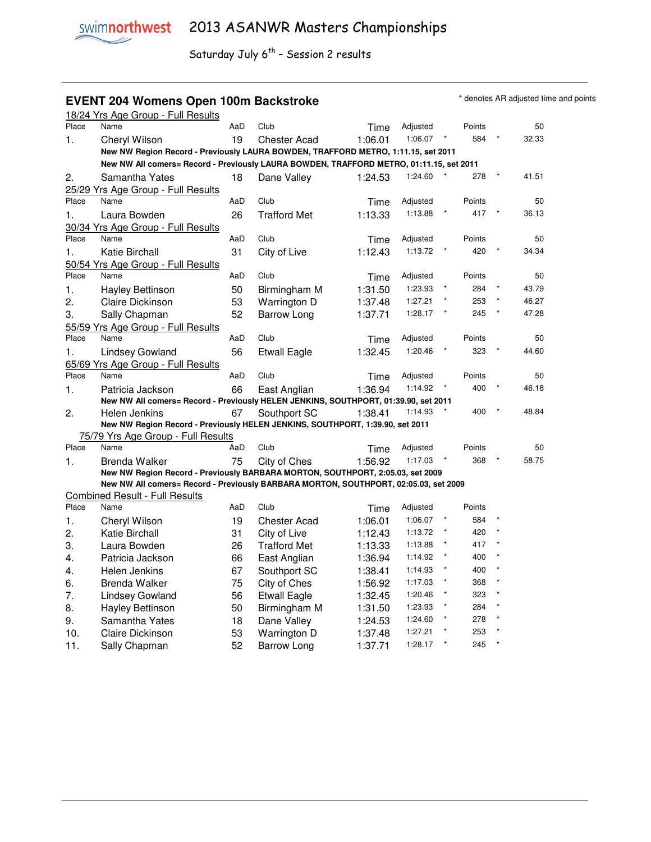#### **EVENT 204 Womens Open 100m Backstroke Accretive Accretive AR** adjusted time and points

|          | 18/24 Yrs Age Group - Full Results                                                      |     |                     |         |                    |         |            |       |
|----------|-----------------------------------------------------------------------------------------|-----|---------------------|---------|--------------------|---------|------------|-------|
| Place    | Name                                                                                    | AaD | Club                | Time    | Adjusted           |         | Points     | 50    |
| 1.       | Cheryl Wilson                                                                           | 19  | <b>Chester Acad</b> | 1:06.01 | 1:06.07            |         | 584        | 32.33 |
|          | New NW Region Record - Previously LAURA BOWDEN, TRAFFORD METRO, 1:11.15, set 2011       |     |                     |         |                    |         |            |       |
|          | New NW All comers= Record - Previously LAURA BOWDEN, TRAFFORD METRO, 01:11.15, set 2011 |     |                     |         |                    |         |            |       |
| 2.       | Samantha Yates                                                                          | 18  | Dane Valley         | 1:24.53 | 1:24.60            |         | 278        | 41.51 |
|          | 25/29 Yrs Age Group - Full Results                                                      |     |                     |         |                    |         |            |       |
| Place    | Name                                                                                    | AaD | Club                | Time    | Adjusted           |         | Points     | 50    |
| 1.       | Laura Bowden                                                                            | 26  | <b>Trafford Met</b> | 1:13.33 | 1:13.88            |         | 417        | 36.13 |
|          | 30/34 Yrs Age Group - Full Results                                                      |     |                     |         |                    |         |            |       |
| Place    | Name                                                                                    | AaD | Club                | Time    | Adjusted           |         | Points     | 50    |
| 1.       | Katie Birchall                                                                          | 31  | City of Live        | 1:12.43 | 1:13.72            |         | 420        | 34.34 |
|          | 50/54 Yrs Age Group - Full Results                                                      |     |                     |         |                    |         |            |       |
| Place    | Name                                                                                    | AaD | Club                | Time    | Adjusted           |         | Points     | 50    |
| 1.       | Hayley Bettinson                                                                        | 50  | Birmingham M        | 1:31.50 | 1:23.93            |         | 284        | 43.79 |
| 2.       | Claire Dickinson                                                                        | 53  | Warrington D        | 1:37.48 | 1:27.21            |         | 253        | 46.27 |
| 3.       | Sally Chapman                                                                           | 52  | Barrow Long         | 1:37.71 | 1:28.17            |         | 245        | 47.28 |
|          | 55/59 Yrs Age Group - Full Results                                                      |     |                     |         |                    |         |            |       |
| Place    | Name                                                                                    | AaD | Club                | Time    | Adjusted           |         | Points     | 50    |
| 1.       | <b>Lindsey Gowland</b>                                                                  | 56  | <b>Etwall Eagle</b> | 1:32.45 | 1:20.46            |         | 323        | 44.60 |
|          | 65/69 Yrs Age Group - Full Results                                                      |     |                     |         |                    |         |            |       |
| Place    | Name                                                                                    | AaD | Club                | Time    | Adjusted           |         | Points     | 50    |
| 1.       | Patricia Jackson                                                                        | 66  | East Anglian        | 1:36.94 | 1:14.92            |         | 400        | 46.18 |
|          | New NW All comers= Record - Previously HELEN JENKINS, SOUTHPORT, 01:39.90, set 2011     |     |                     |         |                    |         |            |       |
| 2.       | Helen Jenkins                                                                           | 67  | Southport SC        | 1:38.41 | 1:14.93            |         | 400        | 48.84 |
|          | New NW Region Record - Previously HELEN JENKINS, SOUTHPORT, 1:39.90, set 2011           |     |                     |         |                    |         |            |       |
|          | 75/79 Yrs Age Group - Full Results                                                      |     |                     |         |                    |         |            |       |
| Place    | Name                                                                                    | AaD | Club                | Time    | Adjusted           |         | Points     | 50    |
| 1.       | Brenda Walker                                                                           | 75  | City of Ches        | 1:56.92 | 1:17.03            |         | 368        | 58.75 |
|          | New NW Region Record - Previously BARBARA MORTON, SOUTHPORT, 2:05.03, set 2009          |     |                     |         |                    |         |            |       |
|          | New NW All comers= Record - Previously BARBARA MORTON, SOUTHPORT, 02:05.03, set 2009    |     |                     |         |                    |         |            |       |
| Place    | <b>Combined Result - Full Results</b><br>Name                                           | AaD | Club                | Time    | Adjusted           |         | Points     |       |
|          |                                                                                         |     |                     |         | 1:06.07            |         | 584        |       |
| 1.<br>2. | Cheryl Wilson                                                                           | 19  | <b>Chester Acad</b> | 1:06.01 | 1:13.72            |         | 420        |       |
|          | Katie Birchall                                                                          | 31  | City of Live        | 1:12.43 | 1:13.88            |         | 417        |       |
| 3.       | Laura Bowden                                                                            | 26  | <b>Trafford Met</b> | 1:13.33 | 1:14.92            |         | 400        |       |
| 4.       | Patricia Jackson                                                                        | 66  | East Anglian        | 1:36.94 | 1:14.93            |         | 400        |       |
| 4.       | Helen Jenkins                                                                           | 67  | Southport SC        | 1:38.41 | 1:17.03            |         | 368        |       |
| 6.       | Brenda Walker                                                                           | 75  | City of Ches        | 1:56.92 | 1:20.46            |         | 323        |       |
| 7.       | <b>Lindsey Gowland</b>                                                                  | 56  | <b>Etwall Eagle</b> | 1:32.45 |                    |         |            |       |
| 8.       | Hayley Bettinson                                                                        | 50  | Birmingham M        | 1:31.50 | 1:23.93<br>1:24.60 |         | 284<br>278 |       |
| 9.       | Samantha Yates                                                                          | 18  | Dane Valley         | 1:24.53 | 1:27.21            |         | 253        |       |
| 10.      | Claire Dickinson                                                                        | 53  | Warrington D        | 1:37.48 |                    | $\star$ |            |       |
| 11.      | Sally Chapman                                                                           | 52  | Barrow Long         | 1:37.71 | 1:28.17            |         | 245        |       |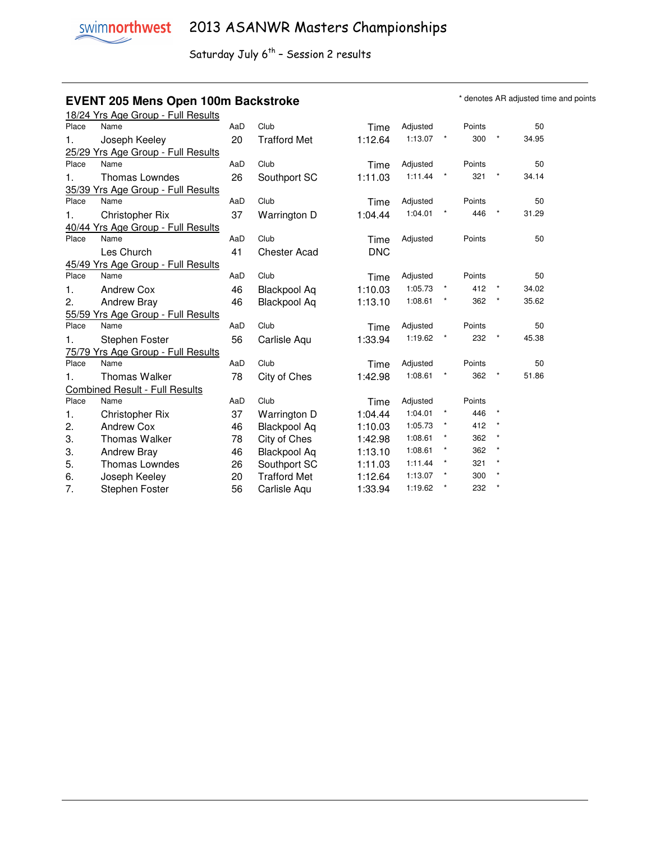#### **EVENT 205 Mens Open 100m Backstroke EXELL ARE A SOME THE STAND OF A SUBSET AREAD OF A SUBSET AT A SUBSET AND THE STANDARD TO A SUBSET A SUBSET AND RESPOND TO A SUBSET A SUBSET AND RESPOND TO A SUBSET A SUBSET AND RESPON**

|       | 18/24 Yrs Age Group - Full Results    |     |                     |            |          |          |        |              |       |
|-------|---------------------------------------|-----|---------------------|------------|----------|----------|--------|--------------|-------|
| Place | Name                                  | AaD | Club                | Time       | Adjusted |          | Points |              | 50    |
| 1.    | Joseph Keeley                         | 20  | <b>Trafford Met</b> | 1:12.64    | 1:13.07  | $\ast$   | 300    | ×            | 34.95 |
|       | 25/29 Yrs Age Group - Full Results    |     |                     |            |          |          |        |              |       |
| Place | Name                                  | AaD | Club                | Time       | Adjusted |          | Points |              | 50    |
| 1.    | <b>Thomas Lowndes</b>                 | 26  | Southport SC        | 1:11.03    | 1:11.44  | $\star$  | 321    |              | 34.14 |
|       | 35/39 Yrs Age Group - Full Results    |     |                     |            |          |          |        |              |       |
| Place | Name                                  | AaD | Club                | Time       | Adjusted |          | Points |              | 50    |
| 1.    | <b>Christopher Rix</b>                | 37  | Warrington D        | 1:04.44    | 1:04.01  |          | 446    | $\star$      | 31.29 |
|       | 40/44 Yrs Age Group - Full Results    |     |                     |            |          |          |        |              |       |
| Place | Name                                  | AaD | Club                | Time       | Adjusted |          | Points |              | 50    |
|       | Les Church                            | 41  | <b>Chester Acad</b> | <b>DNC</b> |          |          |        |              |       |
|       | 45/49 Yrs Age Group - Full Results    |     |                     |            |          |          |        |              |       |
| Place | Name                                  | AaD | Club                | Time       | Adjusted |          | Points |              | 50    |
| 1.    | <b>Andrew Cox</b>                     | 46  | <b>Blackpool Aq</b> | 1:10.03    | 1:05.73  | $^\star$ | 412    | $^\star$     | 34.02 |
| 2.    | <b>Andrew Bray</b>                    | 46  | <b>Blackpool Aq</b> | 1:13.10    | 1:08.61  |          | 362    | $\star$      | 35.62 |
|       | 55/59 Yrs Age Group - Full Results    |     |                     |            |          |          |        |              |       |
| Place | Name                                  | AaD | Club                | Time       | Adjusted |          | Points |              | 50    |
| 1.    | Stephen Foster                        | 56  | Carlisle Aqu        | 1:33.94    | 1:19.62  | $^\star$ | 232    | $\pmb{\ast}$ | 45.38 |
|       | 75/79 Yrs Age Group - Full Results    |     |                     |            |          |          |        |              |       |
| Place | Name                                  | AaD | Club                | Time       | Adjusted |          | Points |              | 50    |
| 1.    | <b>Thomas Walker</b>                  | 78  | City of Ches        | 1:42.98    | 1:08.61  | $\ast$   | 362    | $\star$      | 51.86 |
|       | <b>Combined Result - Full Results</b> |     |                     |            |          |          |        |              |       |
| Place | Name                                  | AaD | Club                | Time       | Adjusted |          | Points |              |       |
| 1.    | <b>Christopher Rix</b>                | 37  | Warrington D        | 1:04.44    | 1:04.01  | $^\star$ | 446    | $\star$      |       |
| 2.    | Andrew Cox                            | 46  | <b>Blackpool Aq</b> | 1:10.03    | 1:05.73  | $^\star$ | 412    |              |       |
| 3.    | <b>Thomas Walker</b>                  | 78  | City of Ches        | 1:42.98    | 1:08.61  | $\star$  | 362    |              |       |
| 3.    | <b>Andrew Bray</b>                    | 46  | <b>Blackpool Aq</b> | 1:13.10    | 1:08.61  | $\star$  | 362    | $\pmb{\ast}$ |       |
| 5.    | <b>Thomas Lowndes</b>                 | 26  | Southport SC        | 1:11.03    | 1:11.44  | $\star$  | 321    | $\star$      |       |
| 6.    | Joseph Keeley                         | 20  | <b>Trafford Met</b> | 1:12.64    | 1:13.07  |          | 300    |              |       |
| 7.    | Stephen Foster                        | 56  | Carlisle Aqu        | 1:33.94    | 1:19.62  | $^\star$ | 232    | $\star$      |       |
|       |                                       |     |                     |            |          |          |        |              |       |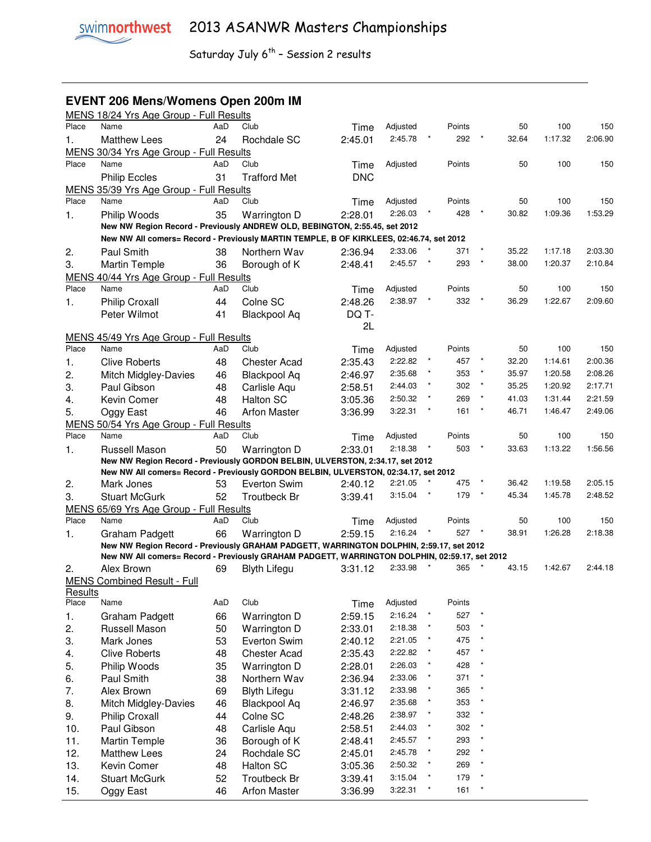## **EVENT 206 Mens/Womens Open 200m IM**

|                  | MENS 18/24 Yrs Age Group - Full Results                                                       |     |                              |            |          |          |        |         |       |         |         |
|------------------|-----------------------------------------------------------------------------------------------|-----|------------------------------|------------|----------|----------|--------|---------|-------|---------|---------|
| Place            | Name                                                                                          | AaD | Club                         | Time       | Adjusted |          | Points |         | 50    | 100     | 150     |
| 1.               | <b>Matthew Lees</b>                                                                           | 24  | Rochdale SC                  | 2:45.01    | 2:45.78  |          | 292    |         | 32.64 | 1:17.32 | 2:06.90 |
|                  | MENS 30/34 Yrs Age Group - Full Results                                                       |     |                              |            |          |          |        |         |       |         |         |
| Place            | Name                                                                                          | AaD | Club                         | Time       | Adjusted |          | Points |         | 50    | 100     | 150     |
|                  | <b>Philip Eccles</b>                                                                          | 31  | <b>Trafford Met</b>          | <b>DNC</b> |          |          |        |         |       |         |         |
|                  | MENS 35/39 Yrs Age Group - Full Results                                                       |     |                              |            |          |          |        |         |       |         |         |
| Place            | Name                                                                                          | AaD | Club                         | Time       | Adjusted |          | Points |         | 50    | 100     | 150     |
| 1.               | Philip Woods                                                                                  | 35  | Warrington D                 | 2:28.01    | 2:26.03  |          | 428    |         | 30.82 | 1:09.36 | 1:53.29 |
|                  | New NW Region Record - Previously ANDREW OLD, BEBINGTON, 2:55.45, set 2012                    |     |                              |            |          |          |        |         |       |         |         |
|                  | New NW All comers= Record - Previously MARTIN TEMPLE, B OF KIRKLEES, 02:46.74, set 2012       |     |                              |            |          |          |        |         |       |         |         |
| 2.               | Paul Smith                                                                                    | 38  | Northern Wav                 | 2:36.94    | 2:33.06  |          | 371    |         | 35.22 | 1:17.18 | 2:03.30 |
| 3.               | <b>Martin Temple</b>                                                                          | 36  | Borough of K                 | 2:48.41    | 2:45.57  | $^\star$ | 293    |         | 38.00 | 1:20.37 | 2:10.84 |
|                  | MENS 40/44 Yrs Age Group - Full Results                                                       |     |                              |            |          |          |        |         |       |         |         |
| Place            | Name                                                                                          | AaD | Club                         | Time       | Adjusted |          | Points |         | 50    | 100     | 150     |
| 1.               | <b>Philip Croxall</b>                                                                         | 44  | Colne SC                     | 2:48.26    | 2:38.97  |          | 332    |         | 36.29 | 1:22.67 | 2:09.60 |
|                  | Peter Wilmot                                                                                  | 41  | Blackpool Aq                 | DQ T-      |          |          |        |         |       |         |         |
|                  |                                                                                               |     |                              | 2L         |          |          |        |         |       |         |         |
|                  | MENS 45/49 Yrs Age Group - Full Results                                                       |     |                              |            |          |          |        |         |       |         |         |
| Place            | Name                                                                                          | AaD | Club                         | Time       | Adjusted |          | Points |         | 50    | 100     | 150     |
| 1.               | <b>Clive Roberts</b>                                                                          | 48  | <b>Chester Acad</b>          | 2:35.43    | 2:22.82  | $^\star$ | 457    | $\star$ | 32.20 | 1:14.61 | 2:00.36 |
| 2.               | <b>Mitch Midgley-Davies</b>                                                                   | 46  | <b>Blackpool Aq</b>          | 2:46.97    | 2:35.68  | $\star$  | 353    |         | 35.97 | 1:20.58 | 2:08.26 |
| 3.               | Paul Gibson                                                                                   | 48  | Carlisle Aqu                 | 2:58.51    | 2:44.03  |          | 302    | $\star$ | 35.25 | 1:20.92 | 2:17.71 |
| 4.               | Kevin Comer                                                                                   | 48  | <b>Halton SC</b>             | 3:05.36    | 2:50.32  |          | 269    |         | 41.03 | 1:31.44 | 2:21.59 |
| 5.               | Oggy East                                                                                     | 46  | <b>Arfon Master</b>          | 3:36.99    | 3:22.31  | $\star$  | 161    | $\star$ | 46.71 | 1:46.47 | 2:49.06 |
|                  | MENS 50/54 Yrs Age Group - Full Results                                                       |     |                              |            |          |          |        |         |       |         |         |
| Place            | Name                                                                                          | AaD | Club                         | Time       | Adjusted |          | Points |         | 50    | 100     | 150     |
| 1.               | Russell Mason                                                                                 | 50  | Warrington D                 | 2:33.01    | 2:18.38  |          | 503    | $\star$ | 33.63 | 1:13.22 | 1:56.56 |
|                  | New NW Region Record - Previously GORDON BELBIN, ULVERSTON, 2:34.17, set 2012                 |     |                              |            |          |          |        |         |       |         |         |
|                  | New NW All comers= Record - Previously GORDON BELBIN, ULVERSTON, 02:34.17, set 2012           |     |                              |            |          |          |        |         |       |         |         |
| 2.               | Mark Jones                                                                                    | 53  | Everton Swim                 | 2:40.12    | 2:21.05  |          | 475    |         | 36.42 | 1:19.58 | 2:05.15 |
| 3.               | <b>Stuart McGurk</b>                                                                          | 52  | <b>Troutbeck Br</b>          | 3:39.41    | 3:15.04  |          | 179    |         | 45.34 | 1:45.78 | 2:48.52 |
| <b>MENS</b>      | 65/69 Yrs Age Group - Full Results                                                            |     |                              |            |          |          |        |         |       |         |         |
| Place            | Name                                                                                          | AaD | Club                         | Time       | Adjusted |          | Points |         | 50    | 100     | 150     |
| 1.               | Graham Padgett                                                                                | 66  | Warrington D                 | 2:59.15    | 2:16.24  |          | 527    | $\star$ | 38.91 | 1:26.28 | 2:18.38 |
|                  | New NW Region Record - Previously GRAHAM PADGETT, WARRINGTON DOLPHIN, 2:59.17, set 2012       |     |                              |            |          |          |        |         |       |         |         |
|                  | New NW All comers= Record - Previously GRAHAM PADGETT, WARRINGTON DOLPHIN, 02:59.17, set 2012 |     |                              |            |          |          |        |         |       |         |         |
| 2.               | Alex Brown                                                                                    | 69  | <b>Blyth Lifegu</b>          | 3:31.12    | 2:33.98  |          | 365    |         | 43.15 | 1:42.67 | 2:44.18 |
|                  | <b>MENS Combined Result - Full</b>                                                            |     |                              |            |          |          |        |         |       |         |         |
| Results<br>Place | Name                                                                                          | AaD | Club                         | Time       | Adjusted |          | Points |         |       |         |         |
|                  |                                                                                               | 66  | Warrington D                 |            | 2:16.24  | $\star$  | 527    | $\star$ |       |         |         |
| 1.               | Graham Padgett<br>Russell Mason                                                               | 50  |                              | 2:59.15    | 2:18.38  | $^\star$ | 503    |         |       |         |         |
| 2.               |                                                                                               |     | Warrington D<br>Everton Swim | 2:33.01    | 2:21.05  | $^\star$ | 475    |         |       |         |         |
| 3.               | Mark Jones                                                                                    | 53  |                              | 2:40.12    | 2:22.82  | $^\star$ | 457    |         |       |         |         |
| 4.               | <b>Clive Roberts</b>                                                                          | 48  | <b>Chester Acad</b>          | 2:35.43    |          | $^\star$ |        |         |       |         |         |
| 5.               | Philip Woods                                                                                  | 35  | Warrington D                 | 2:28.01    | 2:26.03  | ×        | 428    |         |       |         |         |
| 6.               | Paul Smith                                                                                    | 38  | Northern Wav                 | 2:36.94    | 2:33.06  | $^\star$ | 371    |         |       |         |         |
| 7.               | Alex Brown                                                                                    | 69  | <b>Blyth Lifegu</b>          | 3:31.12    | 2:33.98  | $^\star$ | 365    |         |       |         |         |
| 8.               | Mitch Midgley-Davies                                                                          | 46  | <b>Blackpool Aq</b>          | 2:46.97    | 2:35.68  | $^\star$ | 353    |         |       |         |         |
| 9.               | <b>Philip Croxall</b>                                                                         | 44  | Colne SC                     | 2:48.26    | 2:38.97  |          | 332    |         |       |         |         |
| 10.              | Paul Gibson                                                                                   | 48  | Carlisle Aqu                 | 2:58.51    | 2:44.03  | $\ast$   | 302    |         |       |         |         |
| 11.              | <b>Martin Temple</b>                                                                          | 36  | Borough of K                 | 2:48.41    | 2:45.57  | $^\star$ | 293    |         |       |         |         |
| 12.              | <b>Matthew Lees</b>                                                                           | 24  | Rochdale SC                  | 2:45.01    | 2:45.78  | $^\star$ | 292    |         |       |         |         |
| 13.              | Kevin Comer                                                                                   | 48  | <b>Halton SC</b>             | 3:05.36    | 2:50.32  | $\star$  | 269    |         |       |         |         |
| 14.              | <b>Stuart McGurk</b>                                                                          | 52  | <b>Troutbeck Br</b>          | 3:39.41    | 3:15.04  | $\star$  | 179    |         |       |         |         |
| 15.              | Oggy East                                                                                     | 46  | <b>Arfon Master</b>          | 3:36.99    | 3:22.31  | $^\star$ | 161    |         |       |         |         |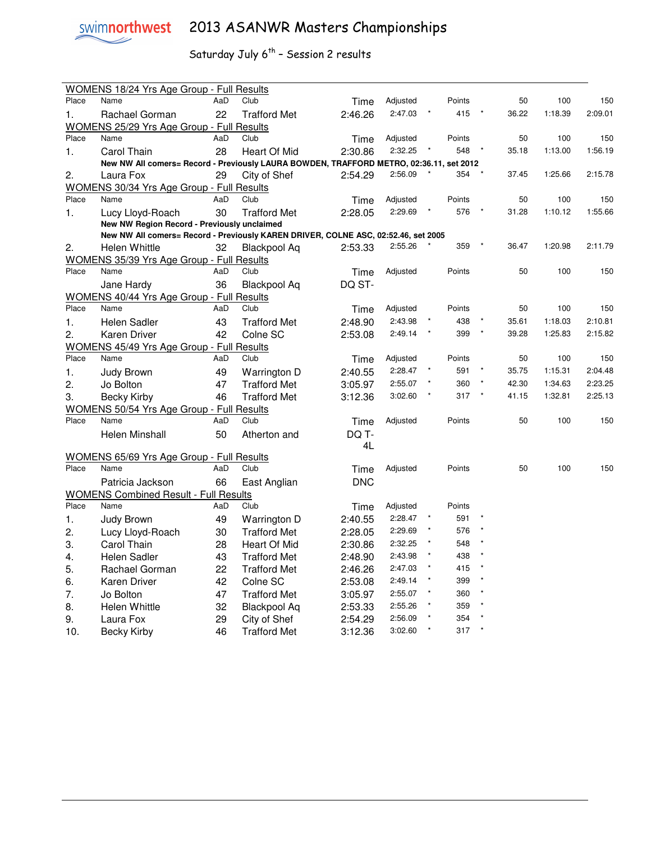

# swimnorthwest 2013 ASANWR Masters Championships

|       | <b>WOMENS 18/24 Yrs Age Group - Full Results</b>                                        |     |                     |            |          |         |        |         |       |         |         |
|-------|-----------------------------------------------------------------------------------------|-----|---------------------|------------|----------|---------|--------|---------|-------|---------|---------|
| Place | Name                                                                                    | AaD | Club                | Time       | Adjusted |         | Points |         | 50    | 100     | 150     |
| 1.    | Rachael Gorman                                                                          | 22  | <b>Trafford Met</b> | 2:46.26    | 2:47.03  |         | 415    |         | 36.22 | 1:18.39 | 2:09.01 |
|       | WOMENS 25/29 Yrs Age Group - Full Results                                               |     |                     |            |          |         |        |         |       |         |         |
| Place | Name                                                                                    | AaD | Club                | Time       | Adjusted |         | Points |         | 50    | 100     | 150     |
| 1.    | Carol Thain                                                                             | 28  | Heart Of Mid        | 2:30.86    | 2:32.25  |         | 548    |         | 35.18 | 1:13.00 | 1:56.19 |
|       | New NW All comers= Record - Previously LAURA BOWDEN, TRAFFORD METRO, 02:36.11, set 2012 |     |                     |            |          |         |        |         |       |         |         |
| 2.    | Laura Fox                                                                               | 29  | City of Shef        | 2:54.29    | 2:56.09  |         | 354    |         | 37.45 | 1:25.66 | 2:15.78 |
|       | <b>WOMENS 30/34 Yrs Age Group - Full Results</b>                                        |     |                     |            |          |         |        |         |       |         |         |
| Place | Name                                                                                    | AaD | Club                | Time       | Adjusted |         | Points |         | 50    | 100     | 150     |
| 1.    | Lucy Lloyd-Roach                                                                        | 30  | <b>Trafford Met</b> | 2:28.05    | 2:29.69  |         | 576    |         | 31.28 | 1:10.12 | 1:55.66 |
|       | New NW Region Record - Previously unclaimed                                             |     |                     |            |          |         |        |         |       |         |         |
|       | New NW All comers= Record - Previously KAREN DRIVER, COLNE ASC, 02:52.46, set 2005      |     |                     |            |          |         |        |         |       |         |         |
| 2.    | <b>Helen Whittle</b>                                                                    | 32  | <b>Blackpool Aq</b> | 2:53.33    | 2:55.26  |         | 359    |         | 36.47 | 1:20.98 | 2:11.79 |
|       | WOMENS 35/39 Yrs Age Group - Full Results                                               |     |                     |            |          |         |        |         |       |         |         |
| Place | Name                                                                                    | AaD | Club                | Time       | Adjusted |         | Points |         | 50    | 100     | 150     |
|       | Jane Hardy                                                                              | 36  | Blackpool Aq        | DQ ST-     |          |         |        |         |       |         |         |
|       | WOMENS 40/44 Yrs Age Group - Full Results                                               |     |                     |            |          |         |        |         |       |         |         |
| Place | Name                                                                                    | AaD | Club                | Time       | Adjusted |         | Points |         | 50    | 100     | 150     |
| 1.    | <b>Helen Sadler</b>                                                                     | 43  | <b>Trafford Met</b> | 2:48.90    | 2:43.98  |         | 438    |         | 35.61 | 1:18.03 | 2:10.81 |
| 2.    | Karen Driver                                                                            | 42  | Colne SC            | 2:53.08    | 2:49.14  |         | 399    |         | 39.28 | 1:25.83 | 2:15.82 |
|       | WOMENS 45/49 Yrs Age Group - Full                                                       |     | Results             |            |          |         |        |         |       |         |         |
| Place | Name                                                                                    | AaD | Club                | Time       | Adjusted |         | Points |         | 50    | 100     | 150     |
| 1.    | Judy Brown                                                                              | 49  | Warrington D        | 2:40.55    | 2:28.47  |         | 591    |         | 35.75 | 1:15.31 | 2:04.48 |
| 2.    | Jo Bolton                                                                               | 47  | <b>Trafford Met</b> | 3:05.97    | 2:55.07  |         | 360    | $\star$ | 42.30 | 1:34.63 | 2:23.25 |
| 3.    | <b>Becky Kirby</b>                                                                      | 46  | <b>Trafford Met</b> | 3:12.36    | 3:02.60  |         | 317    |         | 41.15 | 1:32.81 | 2:25.13 |
|       | WOMENS 50/54 Yrs Age Group - Full Results                                               |     |                     |            |          |         |        |         |       |         |         |
| Place | Name                                                                                    | AaD | Club                | Time       | Adjusted |         | Points |         | 50    | 100     | 150     |
|       | Helen Minshall                                                                          | 50  | Atherton and        | DQ T-      |          |         |        |         |       |         |         |
|       |                                                                                         |     |                     | 4L         |          |         |        |         |       |         |         |
|       | <u>WOMENS 65/69 Yrs Age Group - Full Results</u>                                        |     |                     |            |          |         |        |         |       |         |         |
| Place | Name                                                                                    | AaD | Club                | Time       | Adjusted |         | Points |         | 50    | 100     | 150     |
|       | Patricia Jackson                                                                        | 66  | East Anglian        | <b>DNC</b> |          |         |        |         |       |         |         |
|       | <b>WOMENS Combined Result - Full Results</b>                                            |     |                     |            |          |         |        |         |       |         |         |
| Place | Name                                                                                    | AaD | Club                | Time       | Adjusted |         | Points |         |       |         |         |
| 1.    | Judy Brown                                                                              | 49  | Warrington D        | 2:40.55    | 2:28.47  |         | 591    |         |       |         |         |
| 2.    | Lucy Lloyd-Roach                                                                        | 30  | <b>Trafford Met</b> | 2:28.05    | 2:29.69  |         | 576    |         |       |         |         |
| 3.    | Carol Thain                                                                             | 28  | Heart Of Mid        | 2:30.86    | 2:32.25  |         | 548    |         |       |         |         |
| 4.    | <b>Helen Sadler</b>                                                                     | 43  | <b>Trafford Met</b> | 2:48.90    | 2:43.98  |         | 438    |         |       |         |         |
| 5.    | Rachael Gorman                                                                          | 22  | <b>Trafford Met</b> | 2:46.26    | 2:47.03  | $\star$ | 415    |         |       |         |         |
| 6.    | Karen Driver                                                                            | 42  | Colne SC            | 2:53.08    | 2:49.14  |         | 399    |         |       |         |         |
| 7.    | Jo Bolton                                                                               | 47  | <b>Trafford Met</b> | 3:05.97    | 2:55.07  | $\ast$  | 360    |         |       |         |         |
| 8.    | Helen Whittle                                                                           | 32  | <b>Blackpool Aq</b> | 2:53.33    | 2:55.26  |         | 359    |         |       |         |         |
| 9.    | Laura Fox                                                                               | 29  | City of Shef        | 2:54.29    | 2:56.09  |         | 354    |         |       |         |         |
| 10.   | <b>Becky Kirby</b>                                                                      | 46  | <b>Trafford Met</b> | 3:12.36    | 3:02.60  | $\star$ | 317    | $\star$ |       |         |         |
|       |                                                                                         |     |                     |            |          |         |        |         |       |         |         |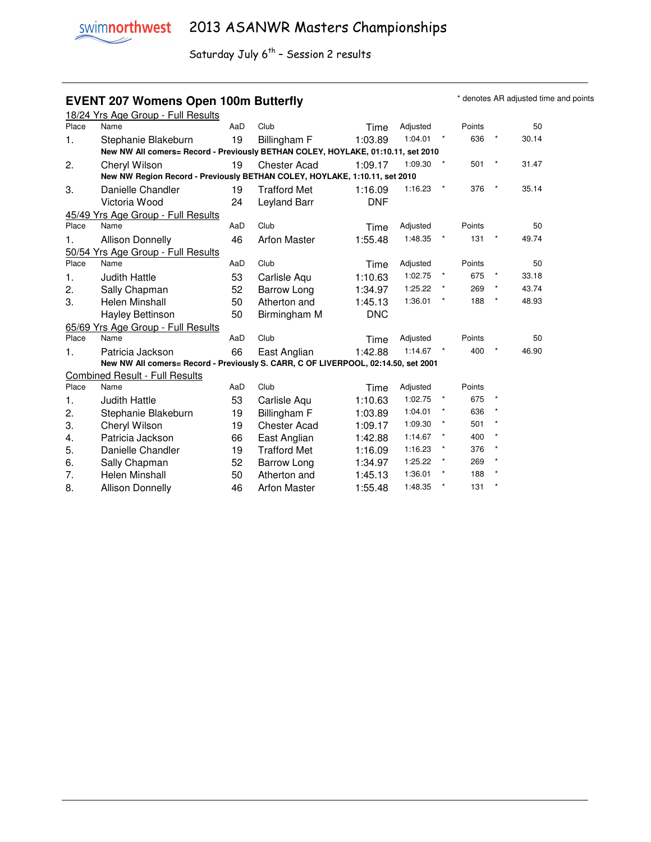### **EVENT 207 Womens Open 100m Butterfly EVENT 207 Womens Open 100m Butterfly**

|       | 18/24 Yrs Age Group - Full Results                                                 |     |                     |            |          |          |        |         |       |
|-------|------------------------------------------------------------------------------------|-----|---------------------|------------|----------|----------|--------|---------|-------|
| Place | Name                                                                               | AaD | Club                | Time       | Adjusted |          | Points |         | 50    |
| 1.    | Stephanie Blakeburn                                                                | 19  | Billingham F        | 1:03.89    | 1:04.01  | $\star$  | 636    |         | 30.14 |
|       | New NW All comers= Record - Previously BETHAN COLEY, HOYLAKE, 01:10.11, set 2010   |     |                     |            |          |          |        |         |       |
| 2.    | Cheryl Wilson                                                                      | 19  | <b>Chester Acad</b> | 1:09.17    | 1:09.30  |          | 501    |         | 31.47 |
|       | New NW Region Record - Previously BETHAN COLEY, HOYLAKE, 1:10.11, set 2010         |     |                     |            |          |          |        |         |       |
| 3.    | Danielle Chandler                                                                  | 19  | <b>Trafford Met</b> | 1:16.09    | 1:16.23  | $\star$  | 376    | $\ast$  | 35.14 |
|       | Victoria Wood                                                                      | 24  | Leyland Barr        | DNF        |          |          |        |         |       |
|       | 45/49 Yrs Age Group - Full Results                                                 |     |                     |            |          |          |        |         |       |
| Place | Name                                                                               | AaD | Club                | Time       | Adjusted |          | Points |         | 50    |
| 1.    | <b>Allison Donnelly</b>                                                            | 46  | <b>Arfon Master</b> | 1:55.48    | 1:48.35  | $\star$  | 131    | $\star$ | 49.74 |
|       | 50/54 Yrs Age Group - Full Results                                                 |     |                     |            |          |          |        |         |       |
| Place | Name                                                                               | AaD | Club                | Time       | Adjusted |          | Points |         | 50    |
| 1.    | <b>Judith Hattle</b>                                                               | 53  | Carlisle Aqu        | 1:10.63    | 1:02.75  | $^\star$ | 675    |         | 33.18 |
| 2.    | Sally Chapman                                                                      | 52  | Barrow Long         | 1:34.97    | 1:25.22  |          | 269    |         | 43.74 |
| 3.    | <b>Helen Minshall</b>                                                              | 50  | Atherton and        | 1:45.13    | 1:36.01  |          | 188    | $\star$ | 48.93 |
|       | Hayley Bettinson                                                                   | 50  | Birmingham M        | <b>DNC</b> |          |          |        |         |       |
|       | 65/69 Yrs Age Group - Full Results                                                 |     |                     |            |          |          |        |         |       |
| Place | Name                                                                               | AaD | Club                | Time       | Adjusted |          | Points |         | 50    |
| 1.    | Patricia Jackson                                                                   | 66  | East Anglian        | 1:42.88    | 1:14.67  | $\star$  | 400    |         | 46.90 |
|       | New NW All comers= Record - Previously S. CARR, C OF LIVERPOOL, 02:14.50, set 2001 |     |                     |            |          |          |        |         |       |
|       | <b>Combined Result - Full Results</b>                                              |     |                     |            |          |          |        |         |       |
| Place | Name                                                                               | AaD | Club                | Time       | Adjusted |          | Points |         |       |
| 1.    | <b>Judith Hattle</b>                                                               | 53  | Carlisle Aqu        | 1:10.63    | 1:02.75  | $^\star$ | 675    |         |       |
| 2.    | Stephanie Blakeburn                                                                | 19  | Billingham F        | 1:03.89    | 1:04.01  | $\star$  | 636    |         |       |
| 3.    | Cheryl Wilson                                                                      | 19  | <b>Chester Acad</b> | 1:09.17    | 1:09.30  | $\star$  | 501    |         |       |
| 4.    | Patricia Jackson                                                                   | 66  | East Anglian        | 1:42.88    | 1:14.67  |          | 400    |         |       |
| 5.    | Danielle Chandler                                                                  | 19  | <b>Trafford Met</b> | 1:16.09    | 1:16.23  |          | 376    |         |       |
| 6.    | Sally Chapman                                                                      | 52  | Barrow Long         | 1:34.97    | 1:25.22  |          | 269    |         |       |
| 7.    | <b>Helen Minshall</b>                                                              | 50  | Atherton and        | 1:45.13    | 1:36.01  | $\star$  | 188    | $\star$ |       |
| 8.    | <b>Allison Donnelly</b>                                                            | 46  | <b>Arfon Master</b> | 1:55.48    | 1:48.35  |          | 131    |         |       |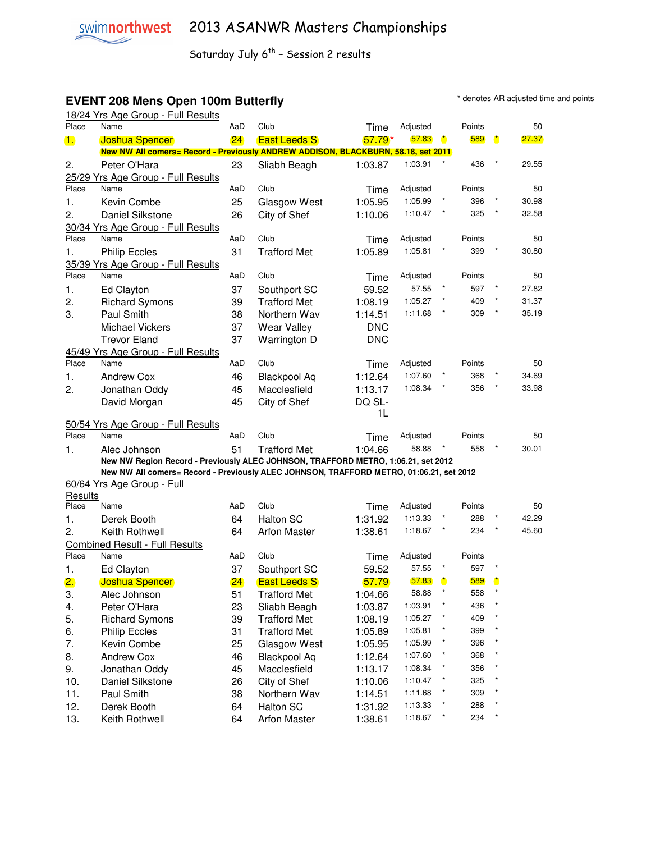### **EVENT 208 Mens Open 100m Butterfly EVENT 208 Mens Open 100m Butterfly**

|                | 18/24 Yrs Age Group - Full Results                                                      |     |                     |            |                |              |        |                      |       |
|----------------|-----------------------------------------------------------------------------------------|-----|---------------------|------------|----------------|--------------|--------|----------------------|-------|
| Place          | Name                                                                                    | AaD | Club                | Time       | Adjusted       |              | Points |                      | 50    |
| $\mathbf{1}$ . | <b>Joshua Spencer</b>                                                                   | 24  | <b>East Leeds S</b> | $57.79*$   | 57.83          | $\mathbf{r}$ | 589    | $\ddot{\phantom{a}}$ | 27.37 |
|                | New NW All comers= Record - Previously ANDREW ADDISON, BLACKBURN, 58.18, set 2011       |     |                     |            |                |              |        |                      |       |
| 2.             | Peter O'Hara                                                                            | 23  | Sliabh Beagh        | 1:03.87    | 1:03.91        |              | 436    |                      | 29.55 |
|                | 25/29 Yrs Age Group - Full Results                                                      |     |                     |            |                |              |        |                      |       |
| Place          | Name                                                                                    | AaD | Club                | Time       | Adjusted       |              | Points |                      | 50    |
| 1.             | Kevin Combe                                                                             | 25  | Glasgow West        | 1:05.95    | 1:05.99        |              | 396    |                      | 30.98 |
| 2.             | Daniel Silkstone                                                                        | 26  | City of Shef        | 1:10.06    | 1:10.47        |              | 325    |                      | 32.58 |
|                | 30/34 Yrs Age Group - Full Results                                                      |     |                     |            |                |              |        |                      |       |
| Place          | Name                                                                                    | AaD | Club                | Time       | Adjusted       |              | Points |                      | 50    |
| 1.             | <b>Philip Eccles</b>                                                                    | 31  | <b>Trafford Met</b> | 1:05.89    | 1:05.81        |              | 399    |                      | 30.80 |
|                | 35/39 Yrs Age Group - Full Results                                                      |     |                     |            |                |              |        |                      |       |
| Place          | Name                                                                                    | AaD | Club                | Time       | Adjusted       |              | Points |                      | 50    |
| 1.             | Ed Clayton                                                                              | 37  | Southport SC        | 59.52      | 57.55          |              | 597    |                      | 27.82 |
| 2.             | <b>Richard Symons</b>                                                                   | 39  | <b>Trafford Met</b> | 1:08.19    | 1:05.27        |              | 409    |                      | 31.37 |
| 3.             | Paul Smith                                                                              | 38  | Northern Wav        | 1:14.51    | 1:11.68        |              | 309    |                      | 35.19 |
|                | <b>Michael Vickers</b>                                                                  | 37  | <b>Wear Valley</b>  | <b>DNC</b> |                |              |        |                      |       |
|                | <b>Trevor Eland</b>                                                                     | 37  | Warrington D        | <b>DNC</b> |                |              |        |                      |       |
|                | 45/49 Yrs Age Group - Full Results                                                      |     |                     |            |                |              |        |                      |       |
| Place          | Name                                                                                    | AaD | Club                | Time       | Adjusted       |              | Points |                      | 50    |
| 1.             | <b>Andrew Cox</b>                                                                       | 46  | <b>Blackpool Aq</b> | 1:12.64    | 1:07.60        |              | 368    |                      | 34.69 |
| 2.             | Jonathan Oddy                                                                           | 45  | Macclesfield        | 1:13.17    | 1:08.34        |              | 356    |                      | 33.98 |
|                | David Morgan                                                                            | 45  | City of Shef        | DQ SL-     |                |              |        |                      |       |
|                |                                                                                         |     |                     | 1L         |                |              |        |                      |       |
|                | 50/54 Yrs Age Group - Full Results                                                      |     |                     |            |                |              |        |                      |       |
| Place          | Name                                                                                    | AaD | Club                | Time       | Adjusted       |              | Points |                      | 50    |
| 1.             | Alec Johnson                                                                            | 51  | <b>Trafford Met</b> | 1:04.66    | 58.88          |              | 558    |                      | 30.01 |
|                | New NW Region Record - Previously ALEC JOHNSON, TRAFFORD METRO, 1:06.21, set 2012       |     |                     |            |                |              |        |                      |       |
|                | New NW All comers= Record - Previously ALEC JOHNSON, TRAFFORD METRO, 01:06.21, set 2012 |     |                     |            |                |              |        |                      |       |
|                | 60/64 Yrs Age Group - Full                                                              |     |                     |            |                |              |        |                      |       |
| Results        |                                                                                         |     | Club                |            |                |              |        |                      |       |
| Place          | Name                                                                                    | AaD |                     | Time       | Adjusted       |              | Points |                      | 50    |
| 1.             | Derek Booth                                                                             | 64  | <b>Halton SC</b>    | 1:31.92    | 1:13.33        |              | 288    |                      | 42.29 |
| 2.             | Keith Rothwell                                                                          | 64  | <b>Arfon Master</b> | 1:38.61    | 1:18.67        |              | 234    |                      | 45.60 |
|                | <b>Combined Result - Full Results</b><br>Name                                           |     | Club                |            |                |              |        |                      |       |
| Place          |                                                                                         | AaD |                     | Time       | Adjusted       |              | Points |                      |       |
| 1.             | Ed Clayton                                                                              | 37  | Southport SC        | 59.52      | 57.55          |              | 597    |                      |       |
| 2.             | <b>Joshua Spencer</b>                                                                   | 24  | <b>East Leeds S</b> | 57.79      | 57.83<br>58.88 | $\mathbf{r}$ | 589    | $\ddot{\phantom{a}}$ |       |
| 3.             | Alec Johnson                                                                            | 51  | <b>Trafford Met</b> | 1:04.66    |                |              | 558    |                      |       |
| 4.             | Peter O'Hara                                                                            | 23  | Sliabh Beagh        | 1:03.87    | 1:03.91        |              | 436    |                      |       |
| 5.             | <b>Richard Symons</b>                                                                   | 39  | <b>Trafford Met</b> | 1:08.19    | 1:05.27        |              | 409    |                      |       |
| 6.             | <b>Philip Eccles</b>                                                                    | 31  | <b>Trafford Met</b> | 1:05.89    | 1:05.81        |              | 399    |                      |       |
| 7.             | Kevin Combe                                                                             | 25  | Glasgow West        | 1:05.95    | 1:05.99        |              | 396    |                      |       |
| 8.             | <b>Andrew Cox</b>                                                                       | 46  | <b>Blackpool Aq</b> | 1:12.64    | 1:07.60        |              | 368    |                      |       |
| 9.             | Jonathan Oddy                                                                           | 45  | Macclesfield        | 1:13.17    | 1:08.34        |              | 356    |                      |       |
| 10.            | Daniel Silkstone                                                                        | 26  | City of Shef        | 1:10.06    | 1:10.47        |              | 325    |                      |       |
| 11.            | Paul Smith                                                                              | 38  | Northern Wav        | 1:14.51    | 1:11.68        |              | 309    |                      |       |
| 12.            | Derek Booth                                                                             | 64  | <b>Halton SC</b>    | 1:31.92    | 1:13.33        |              | 288    |                      |       |
| 13.            | Keith Rothwell                                                                          | 64  | <b>Arfon Master</b> | 1:38.61    | 1:18.67        | $\star$      | 234    | $^\star$             |       |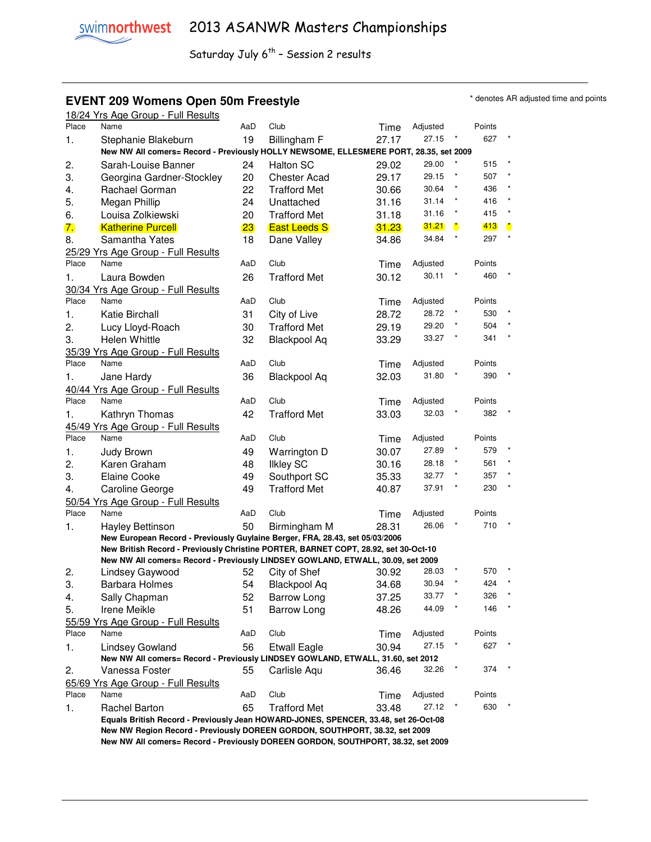### **EVENT 209 Womens Open 50m Freestyle EVENT 209 Womens Open 50m Freestyle**

|       | 18/24 Yrs Age Group - Full Results                                                                      |     |                     |       |                   |              |               |              |
|-------|---------------------------------------------------------------------------------------------------------|-----|---------------------|-------|-------------------|--------------|---------------|--------------|
| Place | Name                                                                                                    | AaD | Club                | Time  | Adjusted          |              | Points        |              |
| 1.    | Stephanie Blakeburn                                                                                     | 19  | Billingham F        | 27.17 | 27.15             |              | 627           |              |
|       | New NW All comers= Record - Previously HOLLY NEWSOME, ELLESMERE PORT, 28.35, set 2009                   |     |                     |       |                   |              |               |              |
| 2.    | Sarah-Louise Banner                                                                                     | 24  | <b>Halton SC</b>    | 29.02 | 29.00             |              | 515           |              |
| 3.    | Georgina Gardner-Stockley                                                                               | 20  | <b>Chester Acad</b> | 29.17 | 29.15             |              | 507           |              |
| 4.    | Rachael Gorman                                                                                          | 22  | <b>Trafford Met</b> | 30.66 | 30.64             |              | 436           |              |
| 5.    | Megan Phillip                                                                                           | 24  | Unattached          | 31.16 | 31.14             | $\star$      | 416           |              |
| 6.    | Louisa Zolkiewski                                                                                       | 20  | <b>Trafford Met</b> | 31.18 | 31.16             | $\star$      | 415           |              |
| 7.    | <b>Katherine Purcell</b>                                                                                | 23  | <b>East Leeds S</b> | 31.23 | 31.21             | $\mathbf{r}$ | 413           | $\mathbf{r}$ |
| 8.    | Samantha Yates                                                                                          | 18  | Dane Valley         | 34.86 | 34.84             | $\star$      | 297           | $\star$      |
|       | 25/29 Yrs Age Group - Full Results                                                                      |     |                     |       |                   |              |               |              |
| Place | Name                                                                                                    | AaD | Club                | Time  | Adjusted          |              | Points        |              |
| 1.    | Laura Bowden                                                                                            | 26  | <b>Trafford Met</b> | 30.12 | 30.11             |              | 460           |              |
|       | 30/34 Yrs Age Group - Full Results                                                                      |     |                     |       |                   |              |               |              |
| Place | Name                                                                                                    | AaD | Club                | Time  | Adjusted          |              | Points        |              |
| 1.    | Katie Birchall                                                                                          | 31  | City of Live        | 28.72 | 28.72             |              | 530           |              |
| 2.    | Lucy Lloyd-Roach                                                                                        | 30  | <b>Trafford Met</b> | 29.19 | 29.20             |              | 504           |              |
| 3.    | <b>Helen Whittle</b>                                                                                    | 32  | <b>Blackpool Aq</b> | 33.29 | 33.27             |              | 341           |              |
|       | 35/39 Yrs Age Group - Full Results                                                                      |     |                     |       |                   |              |               |              |
| Place | Name                                                                                                    | AaD | Club                | Time  | Adjusted          |              | Points        |              |
| 1.    | Jane Hardy                                                                                              | 36  | <b>Blackpool Aq</b> | 32.03 | 31.80             |              | 390           |              |
|       | 40/44 Yrs Age Group - Full Results                                                                      |     |                     |       |                   |              |               |              |
| Place | Name                                                                                                    | AaD | Club                | Time  | Adjusted          |              | Points        |              |
| 1.    | Kathryn Thomas                                                                                          | 42  | <b>Trafford Met</b> | 33.03 | 32.03             |              | 382           |              |
|       | 45/49 Yrs Age Group - Full Results                                                                      |     |                     |       |                   |              |               |              |
| Place | Name                                                                                                    | AaD | Club                | Time  | Adjusted          |              | Points        |              |
| 1.    | Judy Brown                                                                                              | 49  | Warrington D        | 30.07 | 27.89             |              | 579           |              |
| 2.    | Karen Graham                                                                                            | 48  | <b>Ilkley SC</b>    | 30.16 | 28.18             |              | 561           |              |
| 3.    | <b>Elaine Cooke</b>                                                                                     | 49  | Southport SC        | 35.33 | 32.77             |              | 357           |              |
| 4.    | Caroline George                                                                                         | 49  | <b>Trafford Met</b> | 40.87 | 37.91             |              | 230           |              |
| Place | 50/54 Yrs Age Group - Full Results<br>Name                                                              |     | Club                |       |                   |              |               |              |
|       |                                                                                                         | AaD |                     | Time  | Adjusted<br>26.06 |              | Points<br>710 |              |
| 1.    | <b>Hayley Bettinson</b><br>New European Record - Previously Guylaine Berger, FRA, 28.43, set 05/03/2006 | 50  | Birmingham M        | 28.31 |                   |              |               |              |
|       | New British Record - Previously Christine PORTER, BARNET COPT, 28.92, set 30-Oct-10                     |     |                     |       |                   |              |               |              |
|       | New NW All comers= Record - Previously LINDSEY GOWLAND, ETWALL, 30.09, set 2009                         |     |                     |       |                   |              |               |              |
| 2.    | Lindsey Gaywood                                                                                         | 52  | City of Shef        | 30.92 | 28.03             |              | 570           |              |
| 3.    | <b>Barbara Holmes</b>                                                                                   | 54  | <b>Blackpool Aq</b> | 34.68 | 30.94             |              | 424           |              |
| 4.    | Sally Chapman                                                                                           | 52  | <b>Barrow Long</b>  | 37.25 | 33.77             |              | 326           |              |
| 5.    | Irene Meikle                                                                                            | 51  | <b>Barrow Long</b>  | 48.26 | 44.09             |              | 146           |              |
|       | 55/59 Yrs Age Group - Full Results                                                                      |     |                     |       |                   |              |               |              |
| Place | Name                                                                                                    | AaD | Club                | Time  | Adjusted          |              | Points        |              |
| 1.    | Lindsey Gowland                                                                                         | 56  | <b>Etwall Eagle</b> | 30.94 | 27.15             |              | 627           |              |
|       | New NW All comers= Record - Previously LINDSEY GOWLAND, ETWALL, 31.60, set 2012                         |     |                     |       |                   |              |               |              |
| 2.    | Vanessa Foster                                                                                          | 55  | Carlisle Aqu        | 36.46 | 32.26             |              | 374           |              |
|       | 65/69 Yrs Age Group - Full Results                                                                      |     |                     |       |                   |              |               |              |
| Place | Name                                                                                                    | AaD | Club                | Time  | Adjusted          |              | Points        |              |
| 1.    | <b>Rachel Barton</b>                                                                                    | 65  | <b>Trafford Met</b> | 33.48 | 27.12             |              | 630           |              |
|       | Equals British Record - Previously Jean HOWARD-JONES, SPENCER, 33.48, set 26-Oct-08                     |     |                     |       |                   |              |               |              |
|       | New NW Region Record - Previously DOREEN GORDON, SOUTHPORT, 38.32, set 2009                             |     |                     |       |                   |              |               |              |
|       | New NW All comers= Record - Previously DOREEN GORDON, SOUTHPORT, 38.32, set 2009                        |     |                     |       |                   |              |               |              |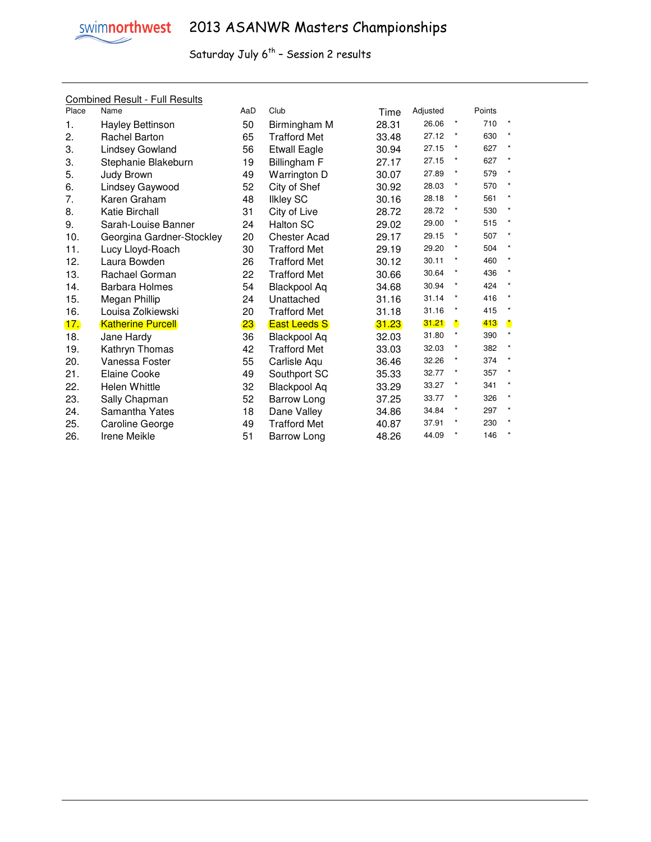

#### Combined Result - Full Results

| Place      | Name                      | AaD | Club                | Time  | Adjusted |              | Points |              |
|------------|---------------------------|-----|---------------------|-------|----------|--------------|--------|--------------|
| 1.         | Hayley Bettinson          | 50  | Birmingham M        | 28.31 | 26.06    | $\star$      | 710    |              |
| 2.         | <b>Rachel Barton</b>      | 65  | <b>Trafford Met</b> | 33.48 | 27.12    | $^\star$     | 630    |              |
| 3.         | Lindsey Gowland           | 56  | <b>Etwall Eagle</b> | 30.94 | 27.15    | $\star$      | 627    |              |
| 3.         | Stephanie Blakeburn       | 19  | Billingham F        | 27.17 | 27.15    | $\ast$       | 627    |              |
| 5.         | Judy Brown                | 49  | Warrington D        | 30.07 | 27.89    | $\star$      | 579    | $\star$      |
| 6.         | Lindsey Gaywood           | 52  | City of Shef        | 30.92 | 28.03    | $\star$      | 570    |              |
| 7.         | Karen Graham              | 48  | <b>Ilkley SC</b>    | 30.16 | 28.18    | $\ast$       | 561    |              |
| 8.         | Katie Birchall            | 31  | City of Live        | 28.72 | 28.72    | $\star$      | 530    |              |
| 9.         | Sarah-Louise Banner       | 24  | <b>Halton SC</b>    | 29.02 | 29.00    | $\ast$       | 515    |              |
| 10.        | Georgina Gardner-Stockley | 20  | <b>Chester Acad</b> | 29.17 | 29.15    | $\star$      | 507    | $\star$      |
| 11.        | Lucy Lloyd-Roach          | 30  | <b>Trafford Met</b> | 29.19 | 29.20    | $\star$      | 504    |              |
| 12.        | Laura Bowden              | 26  | <b>Trafford Met</b> | 30.12 | 30.11    | $\star$      | 460    |              |
| 13.        | Rachael Gorman            | 22  | <b>Trafford Met</b> | 30.66 | 30.64    | $\star$      | 436    |              |
| 14.        | <b>Barbara Holmes</b>     | 54  | <b>Blackpool Aq</b> | 34.68 | 30.94    | $\star$      | 424    | $\star$      |
| 15.        | Megan Phillip             | 24  | Unattached          | 31.16 | 31.14    | $\star$      | 416    |              |
| 16.        | Louisa Zolkiewski         | 20  | <b>Trafford Met</b> | 31.18 | 31.16    | $\star$      | 415    |              |
| <u>17.</u> | <b>Katherine Purcell</b>  | 23  | <b>East Leeds S</b> | 31.23 | 31.21    | $\mathbf{r}$ | 413    | $\mathbf{r}$ |
| 18.        | Jane Hardy                | 36  | <b>Blackpool Aq</b> | 32.03 | 31.80    | $\star$      | 390    |              |
| 19.        | Kathryn Thomas            | 42  | <b>Trafford Met</b> | 33.03 | 32.03    | $\star$      | 382    |              |
| 20.        | Vanessa Foster            | 55  | Carlisle Aqu        | 36.46 | 32.26    | $\ast$       | 374    |              |
| 21.        | <b>Elaine Cooke</b>       | 49  | Southport SC        | 35.33 | 32.77    | $\ast$       | 357    |              |
| 22.        | <b>Helen Whittle</b>      | 32  | <b>Blackpool Aq</b> | 33.29 | 33.27    | $\star$      | 341    |              |
| 23.        | Sally Chapman             | 52  | Barrow Long         | 37.25 | 33.77    | $\star$      | 326    | $\star$      |
| 24.        | Samantha Yates            | 18  | Dane Valley         | 34.86 | 34.84    | $\ast$       | 297    |              |
| 25.        | Caroline George           | 49  | <b>Trafford Met</b> | 40.87 | 37.91    | $\star$      | 230    |              |
| 26.        | Irene Meikle              | 51  | <b>Barrow Long</b>  | 48.26 | 44.09    | $\star$      | 146    |              |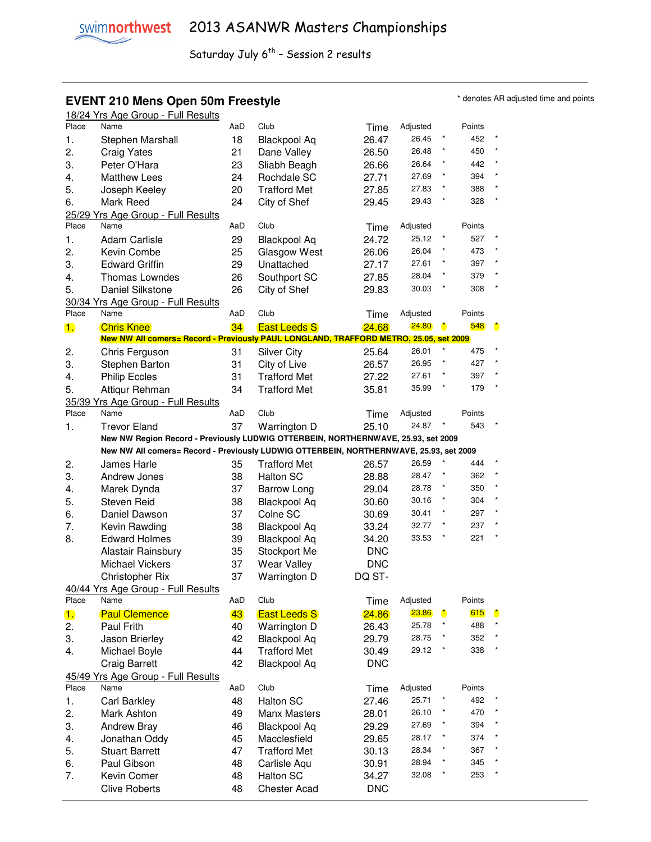# **EVENT 210 Mens Open 50m Freestyle EVENT 210 Mens Open 50m Freestyle Frame and points \*** denotes AR adjusted time and points

|       | 18/24 Yrs Age Group - Full Results                                                     |     |                     |            |          |                      |        |                      |
|-------|----------------------------------------------------------------------------------------|-----|---------------------|------------|----------|----------------------|--------|----------------------|
| Place | Name                                                                                   | AaD | Club                | Time       | Adjusted |                      | Points |                      |
| 1.    | Stephen Marshall                                                                       | 18  | <b>Blackpool Aq</b> | 26.47      | 26.45    |                      | 452    |                      |
| 2.    | <b>Craig Yates</b>                                                                     | 21  | Dane Valley         | 26.50      | 26.48    |                      | 450    | $\pmb{\ast}$         |
| 3.    | Peter O'Hara                                                                           | 23  | Sliabh Beagh        | 26.66      | 26.64    |                      | 442    | $\star$              |
| 4.    | <b>Matthew Lees</b>                                                                    | 24  | Rochdale SC         | 27.71      | 27.69    |                      | 394    | $\star$              |
| 5.    | Joseph Keeley                                                                          | 20  | <b>Trafford Met</b> | 27.85      | 27.83    |                      | 388    | $\star$              |
| 6.    | Mark Reed                                                                              | 24  | City of Shef        | 29.45      | 29.43    |                      | 328    | $\star$              |
|       |                                                                                        |     |                     |            |          |                      |        |                      |
| Place | 25/29 Yrs Age Group - Full Results<br>Name                                             | AaD | Club                |            | Adjusted |                      | Points |                      |
|       |                                                                                        |     |                     | Time       | 25.12    |                      | 527    |                      |
| 1.    | <b>Adam Carlisle</b>                                                                   | 29  | <b>Blackpool Aq</b> | 24.72      |          |                      |        |                      |
| 2.    | Kevin Combe                                                                            | 25  | Glasgow West        | 26.06      | 26.04    |                      | 473    | $\star$              |
| 3.    | <b>Edward Griffin</b>                                                                  | 29  | Unattached          | 27.17      | 27.61    |                      | 397    | $\star$              |
| 4.    | <b>Thomas Lowndes</b>                                                                  | 26  | Southport SC        | 27.85      | 28.04    |                      | 379    |                      |
| 5.    | Daniel Silkstone                                                                       | 26  | City of Shef        | 29.83      | 30.03    |                      | 308    | $\star$              |
|       | 30/34 Yrs Age Group - Full Results                                                     |     |                     |            |          |                      |        |                      |
| Place | Name                                                                                   | AaD | Club                | Time       | Adjusted |                      | Points |                      |
| 1.    | <b>Chris Knee</b>                                                                      | 34  | <b>East Leeds S</b> | 24.68      | 24.80    | $\ddot{\phantom{a}}$ | 548    | $\ddot{\phantom{a}}$ |
|       | New NW All comers= Record - Previously PAUL LONGLAND, TRAFFORD METRO, 25.05, set 2009  |     |                     |            |          |                      |        |                      |
| 2.    | Chris Ferguson                                                                         | 31  | <b>Silver City</b>  | 25.64      | 26.01    |                      | 475    |                      |
| 3.    | Stephen Barton                                                                         | 31  | City of Live        | 26.57      | 26.95    |                      | 427    |                      |
| 4.    | <b>Philip Eccles</b>                                                                   | 31  | <b>Trafford Met</b> | 27.22      | 27.61    |                      | 397    | $\star$              |
| 5.    | Attiqur Rehman                                                                         | 34  | <b>Trafford Met</b> | 35.81      | 35.99    |                      | 179    |                      |
|       | 35/39 Yrs Age Group - Full Results                                                     |     |                     |            |          |                      |        |                      |
| Place | Name                                                                                   | AaD | Club                | Time       | Adjusted |                      | Points |                      |
| 1.    | <b>Trevor Eland</b>                                                                    | 37  | Warrington D        | 25.10      | 24.87    |                      | 543    |                      |
|       | New NW Region Record - Previously LUDWIG OTTERBEIN, NORTHERNWAVE, 25.93, set 2009      |     |                     |            |          |                      |        |                      |
|       | New NW All comers= Record - Previously LUDWIG OTTERBEIN, NORTHERNWAVE, 25.93, set 2009 |     |                     |            |          |                      |        |                      |
| 2.    | James Harle                                                                            | 35  | <b>Trafford Met</b> | 26.57      | 26.59    |                      | 444    |                      |
| 3.    | Andrew Jones                                                                           | 38  | <b>Halton SC</b>    | 28.88      | 28.47    |                      | 362    | $\star$              |
| 4.    | Marek Dynda                                                                            | 37  | <b>Barrow Long</b>  | 29.04      | 28.78    |                      | 350    | $\star$              |
| 5.    | <b>Steven Reid</b>                                                                     | 38  | <b>Blackpool Aq</b> | 30.60      | 30.16    | $\star$              | 304    | $\star$              |
| 6.    | Daniel Dawson                                                                          | 37  | Colne SC            | 30.69      | 30.41    | $\star$              | 297    | $\star$              |
|       |                                                                                        |     |                     |            | 32.77    |                      | 237    |                      |
| 7.    | Kevin Rawding                                                                          | 38  | <b>Blackpool Aq</b> | 33.24      | 33.53    |                      | 221    | $\star$              |
| 8.    | <b>Edward Holmes</b>                                                                   | 39  | <b>Blackpool Aq</b> | 34.20      |          |                      |        |                      |
|       | Alastair Rainsbury                                                                     | 35  | Stockport Me        | <b>DNC</b> |          |                      |        |                      |
|       | <b>Michael Vickers</b>                                                                 | 37  | <b>Wear Valley</b>  | <b>DNC</b> |          |                      |        |                      |
|       | Christopher Rix                                                                        | 37  | Warrington D        | DQ ST-     |          |                      |        |                      |
|       | 40/44 Yrs Age Group - Full Results                                                     |     |                     |            |          |                      |        |                      |
| Place | Name                                                                                   | AaD | Club                | Time       | Adjusted |                      | Points |                      |
| 1.    | <b>Paul Clemence</b>                                                                   | 43  | <b>East Leeds S</b> | 24.86      | 23.86    | $\bullet$            | 615    | $\bullet$            |
| 2.    | Paul Frith                                                                             | 40  | Warrington D        | 26.43      | 25.78    |                      | 488    |                      |
| 3.    | Jason Brierley                                                                         | 42  | <b>Blackpool Aq</b> | 29.79      | 28.75    |                      | 352    |                      |
| 4.    | Michael Boyle                                                                          | 44  | <b>Trafford Met</b> | 30.49      | 29.12    |                      | 338    |                      |
|       | <b>Craig Barrett</b>                                                                   | 42  | <b>Blackpool Aq</b> | <b>DNC</b> |          |                      |        |                      |
|       | 45/49 Yrs Age Group - Full Results                                                     |     |                     |            |          |                      |        |                      |
| Place | Name                                                                                   | AaD | Club                | Time       | Adjusted |                      | Points |                      |
| 1.    | Carl Barkley                                                                           | 48  | <b>Halton SC</b>    | 27.46      | 25.71    |                      | 492    |                      |
| 2.    | Mark Ashton                                                                            | 49  | Manx Masters        | 28.01      | 26.10    |                      | 470    |                      |
| 3.    | <b>Andrew Bray</b>                                                                     | 46  | <b>Blackpool Aq</b> | 29.29      | 27.69    |                      | 394    |                      |
| 4.    | Jonathan Oddy                                                                          | 45  | Macclesfield        | 29.65      | 28.17    |                      | 374    |                      |
| 5.    | <b>Stuart Barrett</b>                                                                  | 47  | <b>Trafford Met</b> | 30.13      | 28.34    |                      | 367    |                      |
| 6.    | Paul Gibson                                                                            | 48  | Carlisle Aqu        | 30.91      | 28.94    |                      | 345    |                      |
| 7.    | Kevin Comer                                                                            | 48  | Halton SC           | 34.27      | 32.08    | $\ast$               | 253    |                      |
|       |                                                                                        |     |                     |            |          |                      |        |                      |
|       | <b>Clive Roberts</b>                                                                   | 48  | <b>Chester Acad</b> | <b>DNC</b> |          |                      |        |                      |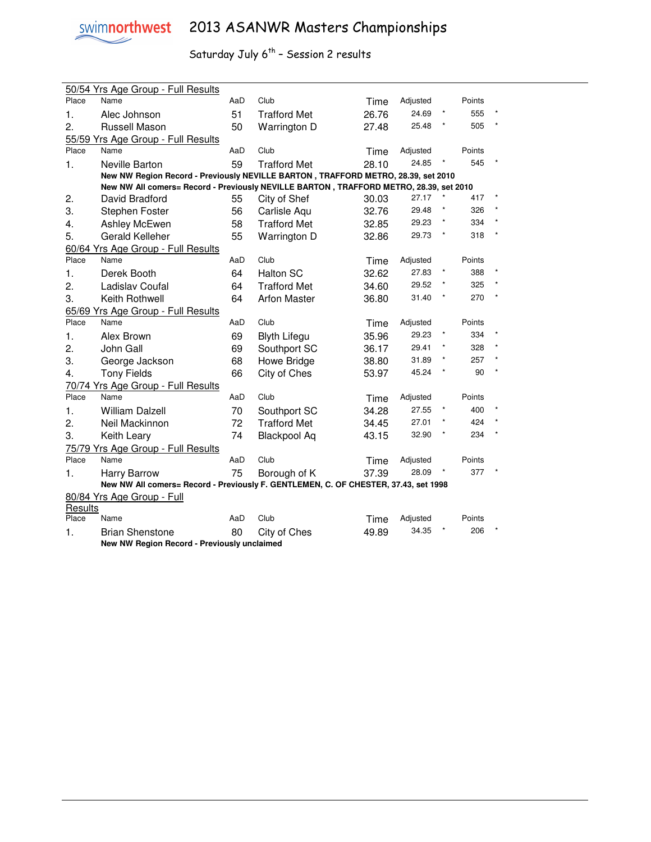

|         | 50/54 Yrs Age Group - Full Results                                                     |     |                     |       |          |        |  |
|---------|----------------------------------------------------------------------------------------|-----|---------------------|-------|----------|--------|--|
| Place   | Name                                                                                   | AaD | Club                | Time  | Adjusted | Points |  |
| 1.      | Alec Johnson                                                                           | 51  | <b>Trafford Met</b> | 26.76 | 24.69    | 555    |  |
| 2.      | Russell Mason                                                                          | 50  | Warrington D        | 27.48 | 25.48    | 505    |  |
|         | 55/59 Yrs Age Group - Full Results                                                     |     |                     |       |          |        |  |
| Place   | Name                                                                                   | AaD | Club                | Time  | Adjusted | Points |  |
| 1.      | Neville Barton                                                                         | 59  | <b>Trafford Met</b> | 28.10 | 24.85    | 545    |  |
|         | New NW Region Record - Previously NEVILLE BARTON, TRAFFORD METRO, 28.39, set 2010      |     |                     |       |          |        |  |
|         | New NW All comers= Record - Previously NEVILLE BARTON, TRAFFORD METRO, 28.39, set 2010 |     |                     |       |          |        |  |
| 2.      | David Bradford                                                                         | 55  | City of Shef        | 30.03 | 27.17    | 417    |  |
| 3.      | Stephen Foster                                                                         | 56  | Carlisle Aqu        | 32.76 | 29.48    | 326    |  |
| 4.      | Ashley McEwen                                                                          | 58  | <b>Trafford Met</b> | 32.85 | 29.23    | 334    |  |
| 5.      | <b>Gerald Kelleher</b>                                                                 | 55  | Warrington D        | 32.86 | 29.73    | 318    |  |
|         | 60/64 Yrs Age Group - Full Results                                                     |     |                     |       |          |        |  |
| Place   | Name                                                                                   | AaD | Club                | Time  | Adjusted | Points |  |
| 1.      | Derek Booth                                                                            | 64  | <b>Halton SC</b>    | 32.62 | 27.83    | 388    |  |
| 2.      | Ladislav Coufal                                                                        | 64  | <b>Trafford Met</b> | 34.60 | 29.52    | 325    |  |
| 3.      | Keith Rothwell                                                                         | 64  | <b>Arfon Master</b> | 36.80 | 31.40    | 270    |  |
|         | 65/69 Yrs Age Group - Full Results                                                     |     |                     |       |          |        |  |
| Place   | Name                                                                                   | AaD | Club                | Time  | Adjusted | Points |  |
| 1.      | Alex Brown                                                                             | 69  | <b>Blyth Lifegu</b> | 35.96 | 29.23    | 334    |  |
| 2.      | John Gall                                                                              | 69  | Southport SC        | 36.17 | 29.41    | 328    |  |
| 3.      | George Jackson                                                                         | 68  | Howe Bridge         | 38.80 | 31.89    | 257    |  |
| 4.      | <b>Tony Fields</b>                                                                     | 66  | City of Ches        | 53.97 | 45.24    | 90     |  |
|         | 70/74 Yrs Age Group - Full Results                                                     |     |                     |       |          |        |  |
| Place   | Name                                                                                   | AaD | Club                | Time  | Adjusted | Points |  |
| 1.      | <b>William Dalzell</b>                                                                 | 70  | Southport SC        | 34.28 | 27.55    | 400    |  |
| 2.      | Neil Mackinnon                                                                         | 72  | <b>Trafford Met</b> | 34.45 | 27.01    | 424    |  |
| 3.      | Keith Leary                                                                            | 74  | <b>Blackpool Aq</b> | 43.15 | 32.90    | 234    |  |
|         | 75/79 Yrs Age Group - Full Results                                                     |     |                     |       |          |        |  |
| Place   | Name                                                                                   | AaD | Club                | Time  | Adjusted | Points |  |
| 1.      | <b>Harry Barrow</b>                                                                    | 75  | Borough of K        | 37.39 | 28.09    | 377    |  |
|         | New NW All comers= Record - Previously F. GENTLEMEN, C. OF CHESTER, 37.43, set 1998    |     |                     |       |          |        |  |
|         | 80/84 Yrs Age Group - Full                                                             |     |                     |       |          |        |  |
| Results |                                                                                        |     |                     |       |          |        |  |
| Place   | Name                                                                                   | AaD | Club                | Time  | Adjusted | Points |  |
| 1.      | <b>Brian Shenstone</b>                                                                 | 80  | City of Ches        | 49.89 | 34.35    | 206    |  |
|         | New NW Region Record - Previously unclaimed                                            |     |                     |       |          |        |  |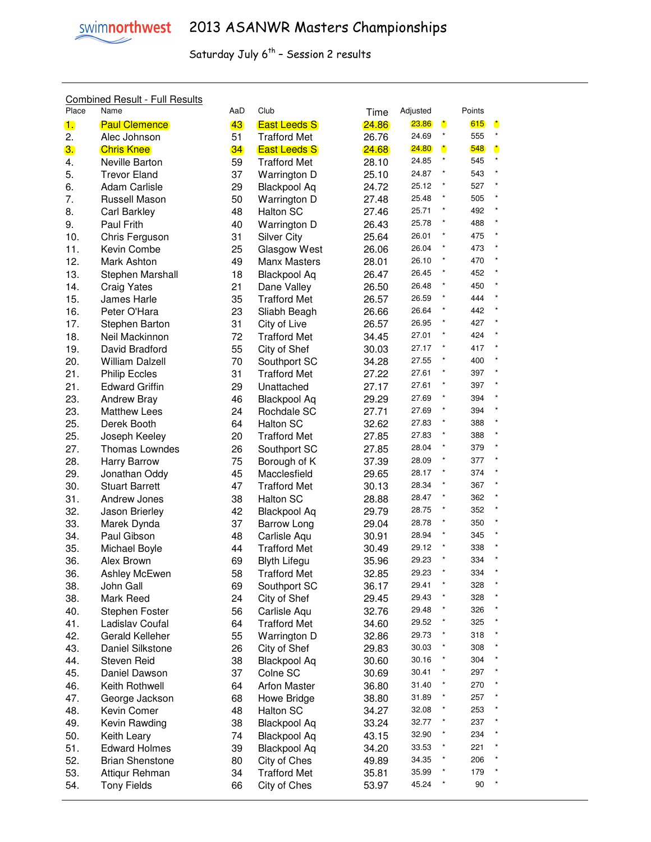#### Combined Result - Full Results

| Place | Name                   | AaD | Club                | Time  | Adjusted |              | Points |              |
|-------|------------------------|-----|---------------------|-------|----------|--------------|--------|--------------|
| 1.    | <b>Paul Clemence</b>   | 43  | <b>East Leeds S</b> | 24.86 | 23.86    | $\bullet$    | 615    | $\bullet$    |
| 2.    | Alec Johnson           | 51  | <b>Trafford Met</b> | 26.76 | 24.69    | $\star$      | 555    | $\star$      |
| 3.    | <b>Chris Knee</b>      | 34  | <b>East Leeds S</b> | 24.68 | 24.80    | $\mathbf{r}$ | 548    | $\bullet$    |
| 4.    | Neville Barton         | 59  | <b>Trafford Met</b> | 28.10 | 24.85    | $\star$      | 545    | $\pmb{\ast}$ |
| 5.    | <b>Trevor Eland</b>    | 37  | Warrington D        | 25.10 | 24.87    |              | 543    | $\pmb{\ast}$ |
| 6.    | <b>Adam Carlisle</b>   | 29  | <b>Blackpool Aq</b> | 24.72 | 25.12    |              | 527    | $\pmb{\ast}$ |
| 7.    | Russell Mason          | 50  | Warrington D        | 27.48 | 25.48    |              | 505    | $\star$      |
| 8.    | Carl Barkley           | 48  | Halton SC           | 27.46 | 25.71    |              | 492    | $\pmb{\ast}$ |
| 9.    | Paul Frith             | 40  | Warrington D        | 26.43 | 25.78    |              | 488    |              |
| 10.   | Chris Ferguson         | 31  | <b>Silver City</b>  | 25.64 | 26.01    |              | 475    |              |
| 11.   | Kevin Combe            | 25  | Glasgow West        | 26.06 | 26.04    |              | 473    | $\star$      |
| 12.   | Mark Ashton            | 49  | Manx Masters        | 28.01 | 26.10    |              | 470    | $\star$      |
| 13.   | Stephen Marshall       | 18  | <b>Blackpool Aq</b> | 26.47 | 26.45    |              | 452    | $\star$      |
| 14.   | <b>Craig Yates</b>     | 21  | Dane Valley         | 26.50 | 26.48    |              | 450    | $\star$      |
| 15.   | James Harle            | 35  | <b>Trafford Met</b> | 26.57 | 26.59    |              | 444    |              |
| 16.   | Peter O'Hara           | 23  | Sliabh Beagh        | 26.66 | 26.64    |              | 442    | $\star$      |
| 17.   | Stephen Barton         | 31  | City of Live        | 26.57 | 26.95    |              | 427    | $\star$      |
| 18.   | Neil Mackinnon         | 72  | <b>Trafford Met</b> | 34.45 | 27.01    |              | 424    | $\star$      |
| 19.   | David Bradford         | 55  | City of Shef        | 30.03 | 27.17    | $\star$      | 417    | $\pmb{\ast}$ |
| 20.   | <b>William Dalzell</b> | 70  | Southport SC        | 34.28 | 27.55    |              | 400    | $\pmb{\ast}$ |
| 21.   | <b>Philip Eccles</b>   | 31  | <b>Trafford Met</b> | 27.22 | 27.61    |              | 397    | $\star$      |
| 21.   |                        | 29  |                     | 27.17 | 27.61    | $^{\star}$   | 397    | $\star$      |
|       | <b>Edward Griffin</b>  |     | Unattached          |       | 27.69    | $\pmb{\ast}$ | 394    | $\star$      |
| 23.   | <b>Andrew Bray</b>     | 46  | <b>Blackpool Aq</b> | 29.29 | 27.69    | $\pmb{\ast}$ | 394    | $\star$      |
| 23.   | <b>Matthew Lees</b>    | 24  | Rochdale SC         | 27.71 | 27.83    | $\pmb{\ast}$ | 388    | $\star$      |
| 25.   | Derek Booth            | 64  | Halton SC           | 32.62 |          | $\star$      |        | $\star$      |
| 25.   | Joseph Keeley          | 20  | <b>Trafford Met</b> | 27.85 | 27.83    | $\star$      | 388    | $\star$      |
| 27.   | <b>Thomas Lowndes</b>  | 26  | Southport SC        | 27.85 | 28.04    | $\star$      | 379    | $\star$      |
| 28.   | Harry Barrow           | 75  | Borough of K        | 37.39 | 28.09    |              | 377    | $\star$      |
| 29.   | Jonathan Oddy          | 45  | Macclesfield        | 29.65 | 28.17    |              | 374    | $\star$      |
| 30.   | <b>Stuart Barrett</b>  | 47  | <b>Trafford Met</b> | 30.13 | 28.34    |              | 367    | $\star$      |
| 31.   | Andrew Jones           | 38  | Halton SC           | 28.88 | 28.47    |              | 362    | $\star$      |
| 32.   | Jason Brierley         | 42  | <b>Blackpool Aq</b> | 29.79 | 28.75    |              | 352    | $\star$      |
| 33.   | Marek Dynda            | 37  | Barrow Long         | 29.04 | 28.78    |              | 350    | $\star$      |
| 34.   | Paul Gibson            | 48  | Carlisle Aqu        | 30.91 | 28.94    |              | 345    |              |
| 35.   | Michael Boyle          | 44  | <b>Trafford Met</b> | 30.49 | 29.12    |              | 338    | $\star$      |
| 36.   | Alex Brown             | 69  | <b>Blyth Lifegu</b> | 35.96 | 29.23    |              | 334    | $\star$      |
| 36.   | <b>Ashley McEwen</b>   | 58  | <b>Trafford Met</b> | 32.85 | 29.23    |              | 334    |              |
| 38.   | John Gall              | 69  | Southport SC        | 36.17 | 29.41    |              | 328    |              |
| 38.   | Mark Reed              | 24  | City of Shef        | 29.45 | 29.43    |              | 328    |              |
| 40.   | Stephen Foster         | 56  | Carlisle Aqu        | 32.76 | 29.48    |              | 326    |              |
| 41.   | Ladislav Coufal        | 64  | <b>Trafford Met</b> | 34.60 | 29.52    |              | 325    | $\star$      |
| 42.   | Gerald Kelleher        | 55  | Warrington D        | 32.86 | 29.73    |              | 318    | $\star$      |
| 43.   | Daniel Silkstone       | 26  | City of Shef        | 29.83 | 30.03    |              | 308    |              |
| 44.   | <b>Steven Reid</b>     | 38  | <b>Blackpool Aq</b> | 30.60 | 30.16    |              | 304    | $\star$      |
| 45.   | Daniel Dawson          | 37  | Colne SC            | 30.69 | 30.41    |              | 297    | $\pmb{\ast}$ |
| 46.   | Keith Rothwell         | 64  | <b>Arfon Master</b> | 36.80 | 31.40    |              | 270    | $\pmb{\ast}$ |
| 47.   | George Jackson         | 68  | Howe Bridge         | 38.80 | 31.89    | $\star$      | 257    | $\star$      |
| 48.   | Kevin Comer            | 48  | Halton SC           | 34.27 | 32.08    | $\star$      | 253    | $\star$      |
| 49.   | Kevin Rawding          | 38  | <b>Blackpool Aq</b> | 33.24 | 32.77    | $\star$      | 237    |              |
| 50.   | Keith Leary            | 74  | <b>Blackpool Aq</b> | 43.15 | 32.90    |              | 234    |              |
| 51.   | <b>Edward Holmes</b>   | 39  | <b>Blackpool Aq</b> | 34.20 | 33.53    |              | 221    |              |
| 52.   | <b>Brian Shenstone</b> | 80  | City of Ches        | 49.89 | 34.35    |              | 206    |              |
| 53.   | Attiqur Rehman         | 34  | <b>Trafford Met</b> | 35.81 | 35.99    |              | 179    |              |
| 54.   | <b>Tony Fields</b>     | 66  | City of Ches        | 53.97 | 45.24    |              | $90\,$ |              |
|       |                        |     |                     |       |          |              |        |              |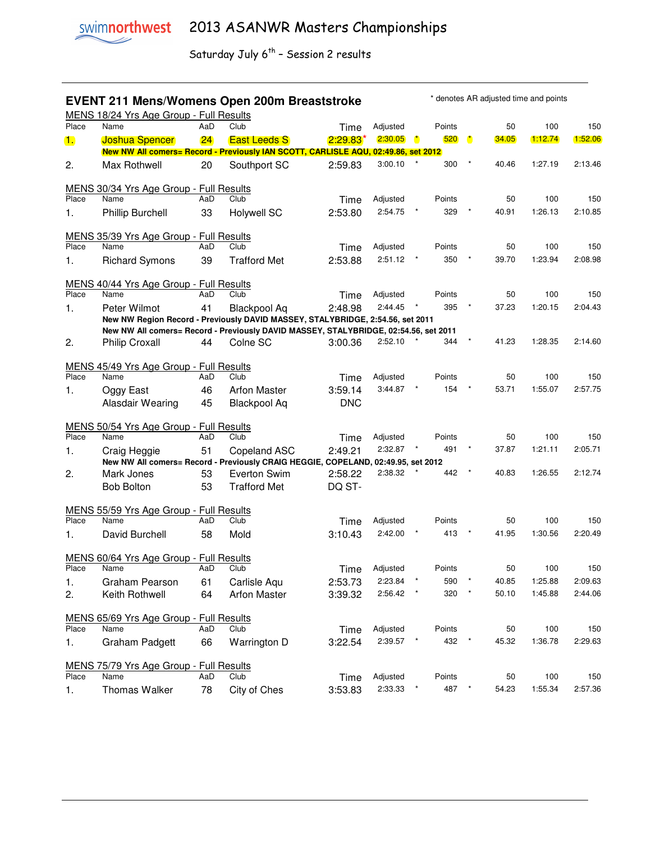### **EVENT 211 Mens/Womens Open 200m Breaststroke** \* denotes AR adjusted time and points

|                | MENS 18/24 Yrs Age Group - Full Results                                              |     |                     |            |          |              |        |              |       |         |         |
|----------------|--------------------------------------------------------------------------------------|-----|---------------------|------------|----------|--------------|--------|--------------|-------|---------|---------|
| Place          | Name                                                                                 | AaD | Club                | Time       | Adjusted |              | Points |              | 50    | 100     | 150     |
| 1.             | <b>Joshua Spencer</b>                                                                | 24  | <b>East Leeds S</b> | $2:29.83*$ | 2:30.05  | $\mathbf{r}$ | 520    | $\mathbf{r}$ | 34.05 | 1:12.74 | 1:52.06 |
|                | New NW All comers= Record - Previously IAN SCOTT, CARLISLE AQU, 02:49.86, set 2012   |     |                     |            |          |              |        |              |       |         |         |
| 2.             | Max Rothwell                                                                         | 20  | Southport SC        | 2:59.83    | 3:00.10  |              | 300    |              | 40.46 | 1:27.19 | 2:13.46 |
|                |                                                                                      |     |                     |            |          |              |        |              |       |         |         |
| Place          | MENS 30/34 Yrs Age Group - Full Results<br>Name                                      | AaD | Club                |            | Adjusted |              | Points |              | 50    | 100     | 150     |
|                |                                                                                      |     |                     | Time       | 2:54.75  |              | 329    |              | 40.91 | 1:26.13 | 2:10.85 |
| 1.             | <b>Phillip Burchell</b>                                                              | 33  | <b>Holywell SC</b>  | 2:53.80    |          |              |        |              |       |         |         |
|                | MENS 35/39 Yrs Age Group - Full Results                                              |     |                     |            |          |              |        |              |       |         |         |
| Place          | Name                                                                                 | AaD | Club                | Time       | Adjusted |              | Points |              | 50    | 100     | 150     |
| 1.             | <b>Richard Symons</b>                                                                | 39  | <b>Trafford Met</b> | 2:53.88    | 2:51.12  |              | 350    |              | 39.70 | 1:23.94 | 2:08.98 |
|                |                                                                                      |     |                     |            |          |              |        |              |       |         |         |
|                | MENS 40/44 Yrs Age Group - Full Results                                              |     |                     |            |          |              |        |              |       |         |         |
| Place          | Name                                                                                 | AaD | Club                | Time       | Adjusted |              | Points |              | 50    | 100     | 150     |
| $\mathbf{1}$ . | Peter Wilmot                                                                         | 41  | Blackpool Aq        | 2:48.98    | 2:44.45  |              | 395    |              | 37.23 | 1:20.15 | 2:04.43 |
|                | New NW Region Record - Previously DAVID MASSEY, STALYBRIDGE, 2:54.56, set 2011       |     |                     |            |          |              |        |              |       |         |         |
|                | New NW All comers= Record - Previously DAVID MASSEY, STALYBRIDGE, 02:54.56, set 2011 |     |                     |            | 2:52.10  |              | 344    |              | 41.23 | 1:28.35 | 2:14.60 |
| 2.             | <b>Philip Croxall</b>                                                                | 44  | Colne SC            | 3:00.36    |          |              |        |              |       |         |         |
|                | MENS 45/49 Yrs Age Group - Full Results                                              |     |                     |            |          |              |        |              |       |         |         |
| Place          | Name                                                                                 | AaD | Club                | Time       | Adjusted |              | Points |              | 50    | 100     | 150     |
| 1.             | Oggy East                                                                            | 46  | <b>Arfon Master</b> | 3:59.14    | 3:44.87  |              | 154    |              | 53.71 | 1:55.07 | 2:57.75 |
|                | Alasdair Wearing                                                                     | 45  | <b>Blackpool Aq</b> | <b>DNC</b> |          |              |        |              |       |         |         |
|                |                                                                                      |     |                     |            |          |              |        |              |       |         |         |
|                | MENS 50/54 Yrs Age Group - Full Results                                              |     |                     |            |          |              |        |              |       |         |         |
| Place          | Name                                                                                 | AaD | Club                | Time       | Adjusted |              | Points |              | 50    | 100     | 150     |
| 1.             | Craig Heggie                                                                         | 51  | Copeland ASC        | 2:49.21    | 2:32.87  | $\star$      | 491    |              | 37.87 | 1:21.11 | 2:05.71 |
|                | New NW All comers= Record - Previously CRAIG HEGGIE, COPELAND, 02:49.95, set 2012    |     |                     |            |          |              |        |              |       |         |         |
| 2.             | Mark Jones                                                                           | 53  | <b>Everton Swim</b> | 2:58.22    | 2:38.32  |              | 442    |              | 40.83 | 1:26.55 | 2:12.74 |
|                | <b>Bob Bolton</b>                                                                    | 53  | <b>Trafford Met</b> | DQ ST-     |          |              |        |              |       |         |         |
|                |                                                                                      |     |                     |            |          |              |        |              |       |         |         |
| Place          | MENS 55/59 Yrs Age Group - Full Results<br>Name                                      | AaD | Club                | Time       | Adjusted |              | Points |              | 50    | 100     | 150     |
| 1.             | David Burchell                                                                       | 58  | Mold                | 3:10.43    | 2:42.00  |              | 413    |              | 41.95 | 1:30.56 | 2:20.49 |
|                |                                                                                      |     |                     |            |          |              |        |              |       |         |         |
|                | MENS 60/64 Yrs Age Group - Full Results                                              |     |                     |            |          |              |        |              |       |         |         |
| Place          | Name                                                                                 | AaD | Club                | Time       | Adjusted |              | Points |              | 50    | 100     | 150     |
| 1.             | Graham Pearson                                                                       | 61  | Carlisle Aqu        | 2:53.73    | 2:23.84  |              | 590    |              | 40.85 | 1:25.88 | 2:09.63 |
| 2.             | Keith Rothwell                                                                       | 64  | <b>Arfon Master</b> | 3:39.32    | 2:56.42  | $\pmb{\ast}$ | 320    |              | 50.10 | 1:45.88 | 2:44.06 |
|                |                                                                                      |     |                     |            |          |              |        |              |       |         |         |
|                | MENS 65/69 Yrs Age Group - Full Results                                              |     |                     |            |          |              |        |              |       |         |         |
| Place          | Name                                                                                 | AaD | Club                | Time       | Adjusted |              | Points |              | 50    | 100     | 150     |
| 1.             | Graham Padgett                                                                       | 66  | Warrington D        | 3:22.54    | 2:39.57  |              | 432    | $\star$      | 45.32 | 1:36.78 | 2:29.63 |
|                |                                                                                      |     |                     |            |          |              |        |              |       |         |         |
| Place          | MENS 75/79 Yrs Age Group - Full Results<br>Name                                      | AaD | Club                |            | Adjusted |              | Points |              | 50    | 100     | 150     |
|                |                                                                                      |     |                     | Time       | 2:33.33  |              | 487    |              | 54.23 | 1:55.34 | 2:57.36 |
| 1.             | Thomas Walker                                                                        | 78  | City of Ches        | 3:53.83    |          |              |        |              |       |         |         |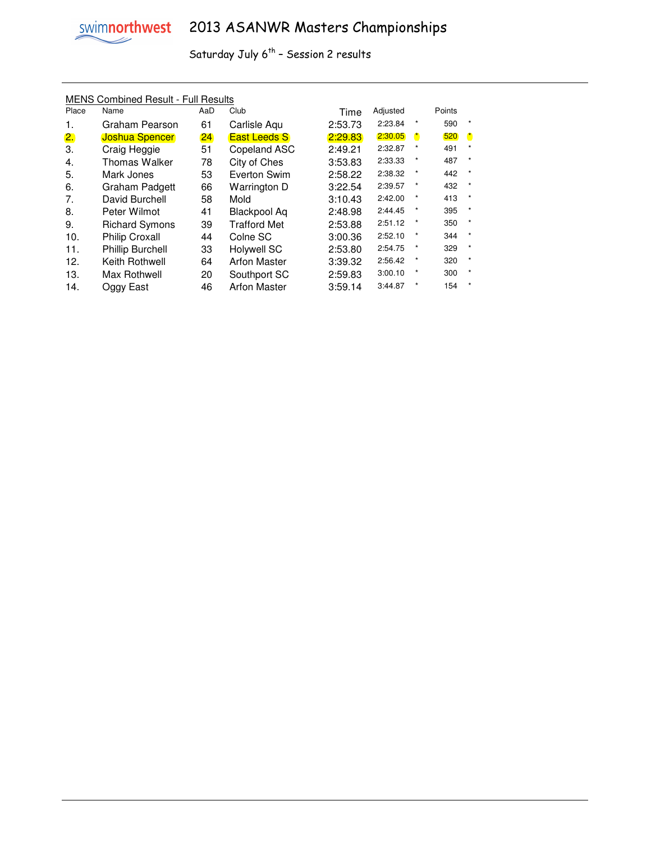# swimnorthwest 2013 ASANWR Masters Championships

Saturday July  $6^{th}$  - Session 2 results

#### MENS Combined Result - Full Results

| Place | Name                    | AaD | Club                | Time    | Adjusted |              | Points |              |
|-------|-------------------------|-----|---------------------|---------|----------|--------------|--------|--------------|
| 1.    | Graham Pearson          | 61  | Carlisle Aqu        | 2:53.73 | 2:23.84  | $\star$      | 590    | $\star$      |
| 2.    | <b>Joshua Spencer</b>   | 24  | <b>East Leeds S</b> | 2:29.83 | 2:30.05  | $\mathbf{r}$ | 520    | $\mathbf{r}$ |
| 3.    | Craig Heggie            | 51  | Copeland ASC        | 2:49.21 | 2:32.87  | $\ast$       | 491    | $\star$      |
| 4.    | <b>Thomas Walker</b>    | 78  | City of Ches        | 3:53.83 | 2:33.33  | $\star$      | 487    | $\star$      |
| 5.    | Mark Jones              | 53  | Everton Swim        | 2:58.22 | 2:38.32  | $\ast$       | 442    | $\star$      |
| 6.    | Graham Padgett          | 66  | Warrington D        | 3:22.54 | 2:39.57  | $\star$      | 432    | $\star$      |
| 7.    | David Burchell          | 58  | Mold                | 3:10.43 | 2:42.00  | $\star$      | 413    | $\star$      |
| 8.    | Peter Wilmot            | 41  | Blackpool Ag        | 2:48.98 | 2:44.45  | $\star$      | 395    | $\star$      |
| 9.    | <b>Richard Symons</b>   | 39  | <b>Trafford Met</b> | 2:53.88 | 2:51.12  | $\ast$       | 350    | $\star$      |
| 10.   | <b>Philip Croxall</b>   | 44  | Colne SC            | 3:00.36 | 2:52.10  | $\star$      | 344    | $\star$      |
| 11.   | <b>Phillip Burchell</b> | 33  | Holywell SC         | 2:53.80 | 2:54.75  | $\star$      | 329    | $\star$      |
| 12.   | Keith Rothwell          | 64  | <b>Arfon Master</b> | 3:39.32 | 2:56.42  | $\ast$       | 320    | $\star$      |
| 13.   | Max Rothwell            | 20  | Southport SC        | 2:59.83 | 3:00.10  | $\star$      | 300    | $\star$      |
| 14.   | Oggy East               | 46  | <b>Arfon Master</b> | 3:59.14 | 3:44.87  | $\star$      | 154    | $\star$      |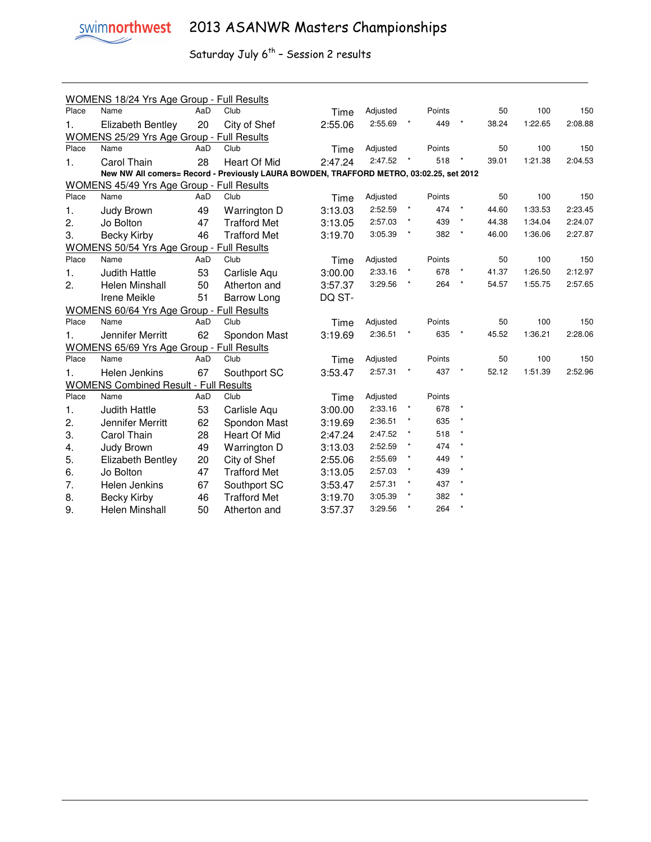

|                                                                                         | WOMENS 18/24 Yrs Age Group - Full Results    |     |                                           |         |          |              |         |         |       |         |         |
|-----------------------------------------------------------------------------------------|----------------------------------------------|-----|-------------------------------------------|---------|----------|--------------|---------|---------|-------|---------|---------|
| Place                                                                                   | Name                                         | AaD | Club                                      | Time    | Adjusted | Points       |         | 50      | 100   | 150     |         |
| 1.                                                                                      | Elizabeth Bentley                            | 20  | 2:55.69<br>449<br>2:55.06<br>City of Shef |         |          | 38.24        | 1:22.65 | 2:08.88 |       |         |         |
| WOMENS 25/29 Yrs Age Group - Full Results                                               |                                              |     |                                           |         |          |              |         |         |       |         |         |
| Place                                                                                   | Name                                         | AaD | Club                                      | Time    | Adjusted |              | Points  |         | 50    | 100     | 150     |
| 1.                                                                                      | Carol Thain                                  | 28  | Heart Of Mid                              | 2:47.24 | 2:47.52  |              | 518     |         | 39.01 | 1:21.38 | 2:04.53 |
| New NW All comers= Record - Previously LAURA BOWDEN, TRAFFORD METRO, 03:02.25, set 2012 |                                              |     |                                           |         |          |              |         |         |       |         |         |
|                                                                                         | WOMENS 45/49 Yrs Age Group - Full Results    |     |                                           |         |          |              |         |         |       |         |         |
| Place                                                                                   | Name                                         | AaD | Club                                      | Time    | Adjusted |              | Points  |         | 50    | 100     | 150     |
| 1.                                                                                      | Judy Brown                                   | 49  | Warrington D                              | 3:13.03 | 2:52.59  | $\star$      | 474     | $\star$ | 44.60 | 1:33.53 | 2:23.45 |
| 2.                                                                                      | Jo Bolton                                    | 47  | <b>Trafford Met</b>                       | 3:13.05 | 2:57.03  | $\star$      | 439     | $\star$ | 44.38 | 1:34.04 | 2:24.07 |
| 3.                                                                                      | Becky Kirby                                  | 46  | <b>Trafford Met</b>                       | 3:19.70 | 3:05.39  |              | 382     | $\star$ | 46.00 | 1:36.06 | 2:27.87 |
| <b>WOMENS 50/54 Yrs Age Group - Full Results</b>                                        |                                              |     |                                           |         |          |              |         |         |       |         |         |
| Place                                                                                   | Name                                         | AaD | Club                                      | Time    | Adjusted |              | Points  |         | 50    | 100     | 150     |
| 1.                                                                                      | <b>Judith Hattle</b>                         | 53  | Carlisle Aqu                              | 3:00.00 | 2:33.16  |              | 678     |         | 41.37 | 1:26.50 | 2:12.97 |
| 2.                                                                                      | Helen Minshall                               | 50  | Atherton and                              | 3:57.37 | 3:29.56  |              | 264     | $\star$ | 54.57 | 1:55.75 | 2:57.65 |
|                                                                                         | Irene Meikle                                 | 51  | Barrow Long                               | DQ ST-  |          |              |         |         |       |         |         |
|                                                                                         | WOMENS 60/64 Yrs Age Group - Full Results    |     |                                           |         |          |              |         |         |       |         |         |
| Place                                                                                   | Name                                         | AaD | Club                                      | Time    | Adjusted |              | Points  |         | 50    | 100     | 150     |
| 1.                                                                                      | Jennifer Merritt                             | 62  | Spondon Mast                              | 3:19.69 | 2:36.51  |              | 635     |         | 45.52 | 1:36.21 | 2:28.06 |
|                                                                                         | WOMENS 65/69 Yrs Age Group - Full Results    |     |                                           |         |          |              |         |         |       |         |         |
| Place                                                                                   | Name                                         | AaD | Club                                      | Time    | Adjusted |              | Points  |         | 50    | 100     | 150     |
| 1.                                                                                      | Helen Jenkins                                | 67  | Southport SC                              | 3:53.47 | 2:57.31  |              | 437     | $\star$ | 52.12 | 1:51.39 | 2:52.96 |
|                                                                                         | <b>WOMENS Combined Result - Full Results</b> |     |                                           |         |          |              |         |         |       |         |         |
| Place                                                                                   | Name                                         | AaD | Club                                      | Time    | Adjusted |              | Points  |         |       |         |         |
| 1.                                                                                      | <b>Judith Hattle</b>                         | 53  | Carlisle Aqu                              | 3:00.00 | 2:33.16  |              | 678     |         |       |         |         |
| 2.                                                                                      | Jennifer Merritt                             | 62  | Spondon Mast                              | 3:19.69 | 2:36.51  | $^\star$     | 635     | $\star$ |       |         |         |
| 3.                                                                                      | Carol Thain                                  | 28  | Heart Of Mid                              | 2:47.24 | 2:47.52  | $\pmb{\ast}$ | 518     |         |       |         |         |
| 4.                                                                                      | Judy Brown                                   | 49  | Warrington D                              | 3:13.03 | 2:52.59  |              | 474     |         |       |         |         |
| 5.                                                                                      | <b>Elizabeth Bentley</b>                     | 20  | City of Shef                              | 2:55.06 | 2:55.69  |              | 449     |         |       |         |         |
| 6.                                                                                      | Jo Bolton                                    | 47  | <b>Trafford Met</b>                       | 3:13.05 | 2:57.03  |              | 439     |         |       |         |         |
| 7.                                                                                      | Helen Jenkins                                | 67  | Southport SC                              | 3:53.47 | 2:57.31  | $^\star$     | 437     | $\star$ |       |         |         |
| 8.                                                                                      | <b>Becky Kirby</b>                           | 46  | <b>Trafford Met</b>                       | 3:19.70 | 3:05.39  | $\star$      | 382     | $\star$ |       |         |         |
| 9.                                                                                      | Helen Minshall                               | 50  | Atherton and                              | 3:57.37 | 3:29.56  |              | 264     | $\star$ |       |         |         |